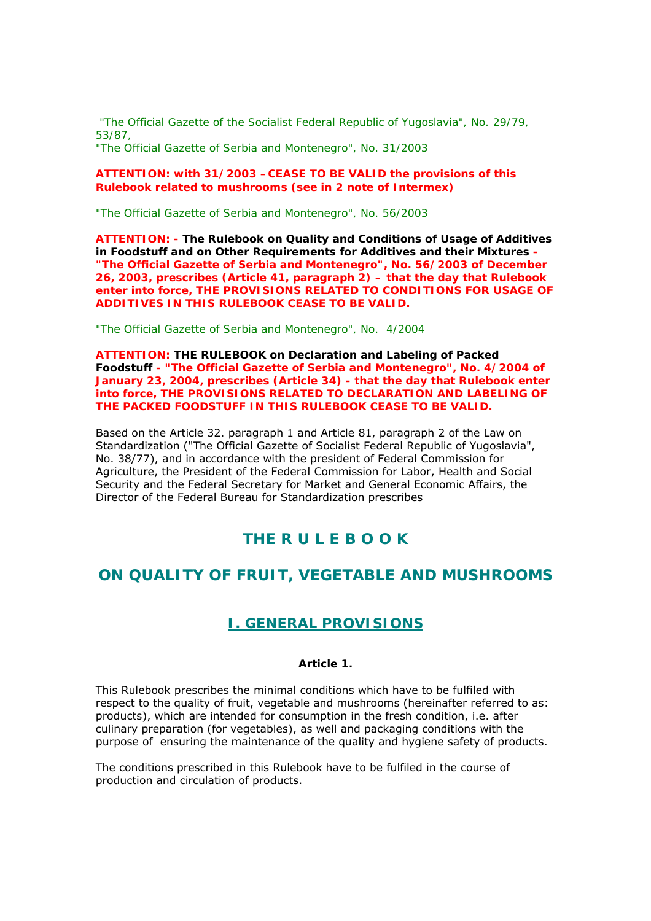*"The Official Gazette of the Socialist Federal Republic of Yugoslavia", No. 29/79, 53/87, "The Official Gazette of Serbia and Montenegro", No. 31/2003* 

### **ATTENTION: with 31/2003 –CEASE TO BE VALID the provisions of this Rulebook related to mushrooms (see in 2 note of Intermex)**

*"The Official Gazette of Serbia and Montenegro", No. 56/2003* 

**ATTENTION: - The Rulebook on Quality and Conditions of Usage of Additives in Foodstuff and on Other Requirements for Additives and their Mixtures - "The Official Gazette of Serbia and Montenegro", No. 56/2003 of December 26, 2003, prescribes (Article 41, paragraph 2) – that the day that Rulebook enter into force, THE PROVISIONS RELATED TO CONDITIONS FOR USAGE OF ADDITIVES IN THIS RULEBOOK CEASE TO BE VALID.** 

*"The Official Gazette of Serbia and Montenegro", No. 4/2004* 

**ATTENTION: THE RULEBOOK on Declaration and Labeling of Packed Foodstuff** *- "The Official Gazette of Serbia and Montenegro", No.* **4/2004 of January 23, 2004, prescribes (Article 34) - that the day that Rulebook enter into force, THE PROVISIONS RELATED TO DECLARATION AND LABELING OF THE PACKED FOODSTUFF IN THIS RULEBOOK CEASE TO BE VALID.** 

Based on the Article 32. paragraph 1 and Article 81, paragraph 2 of the Law on Standardization ("The Official Gazette of Socialist Federal Republic of Yugoslavia", No. 38/77), and in accordance with the president of Federal Commission for Agriculture, the President of the Federal Commission for Labor, Health and Social Security and the Federal Secretary for Market and General Economic Affairs, the Director of the Federal Bureau for Standardization prescribes

# **THE R U L E B O O K**

# **ON QUALITY OF FRUIT, VEGETABLE AND MUSHROOMS**

# **I. GENERAL PROVISIONS**

## *Article 1.*

This Rulebook prescribes the minimal conditions which have to be fulfiled with respect to the quality of fruit, vegetable and mushrooms (hereinafter referred to as: products), which are intended for consumption in the fresh condition, i.e. after culinary preparation (for vegetables), as well and packaging conditions with the purpose of ensuring the maintenance of the quality and hygiene safety of products.

The conditions prescribed in this Rulebook have to be fulfiled in the course of production and circulation of products.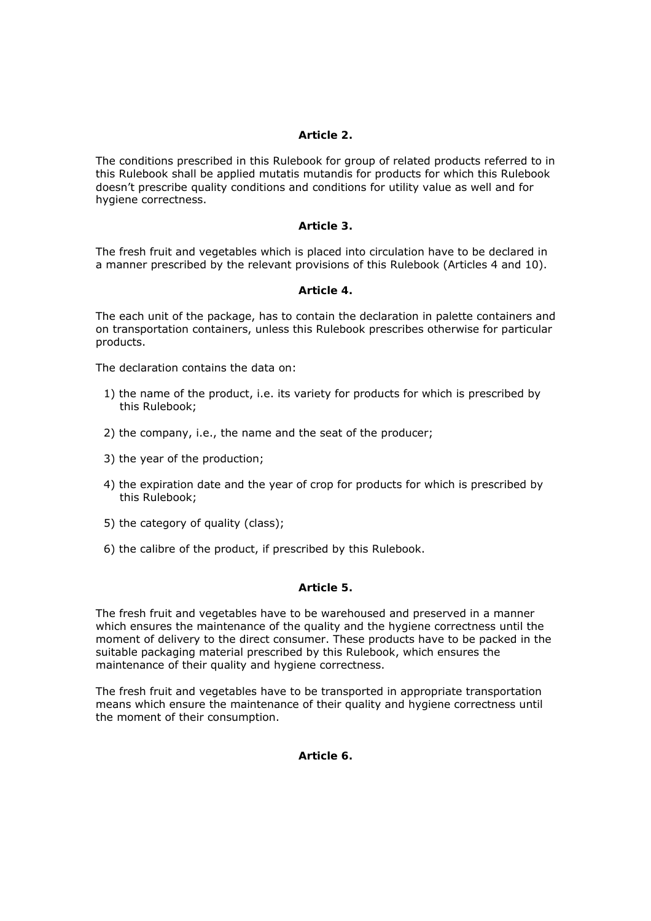## *Article 2.*

The conditions prescribed in this Rulebook for group of related products referred to in this Rulebook shall be applied mutatis mutandis for products for which this Rulebook doesn't prescribe quality conditions and conditions for utility value as well and for hygiene correctness.

### *Article 3.*

The fresh fruit and vegetables which is placed into circulation have to be declared in a manner prescribed by the relevant provisions of this Rulebook (Articles 4 and 10).

### *Article 4.*

The each unit of the package, has to contain the declaration in palette containers and on transportation containers, unless this Rulebook prescribes otherwise for particular products.

The declaration contains the data on:

- 1) the name of the product, i.e. its variety for products for which is prescribed by this Rulebook;
- 2) the company, i.e., the name and the seat of the producer;
- 3) the year of the production;
- 4) the expiration date and the year of crop for products for which is prescribed by this Rulebook;
- 5) the category of quality (class);
- 6) the calibre of the product, if prescribed by this Rulebook.

### *Article 5.*

The fresh fruit and vegetables have to be warehoused and preserved in a manner which ensures the maintenance of the quality and the hygiene correctness until the moment of delivery to the direct consumer. These products have to be packed in the suitable packaging material prescribed by this Rulebook, which ensures the maintenance of their quality and hygiene correctness.

The fresh fruit and vegetables have to be transported in appropriate transportation means which ensure the maintenance of their quality and hygiene correctness until the moment of their consumption.

*Article 6.*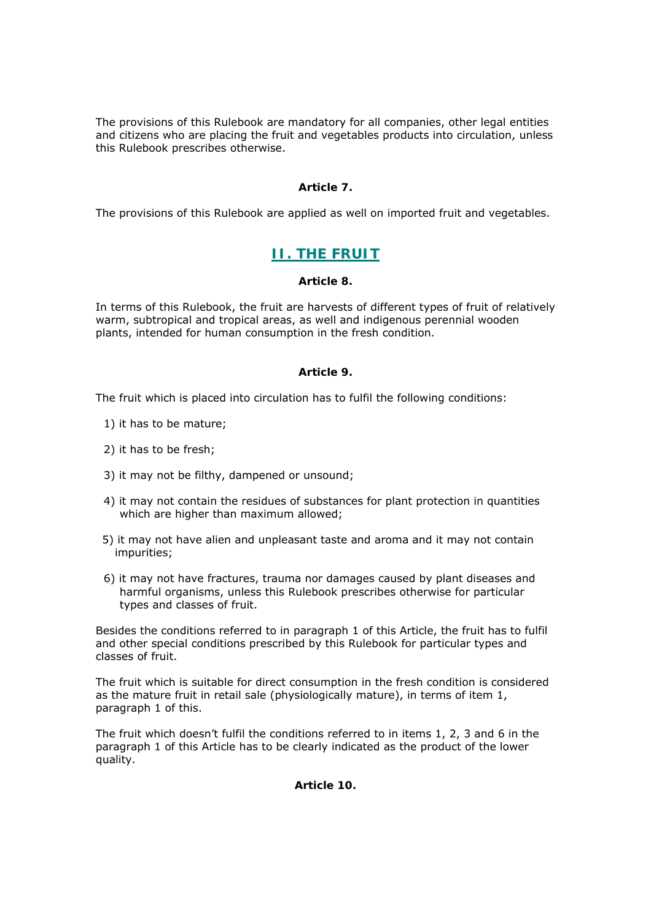The provisions of this Rulebook are mandatory for all companies, other legal entities and citizens who are placing the fruit and vegetables products into circulation, unless this Rulebook prescribes otherwise.

# *Article 7.*

The provisions of this Rulebook are applied as well on imported fruit and vegetables.

# **II. THE FRUIT**

# *Article 8.*

In terms of this Rulebook, the fruit are harvests of different types of fruit of relatively warm, subtropical and tropical areas, as well and indigenous perennial wooden plants, intended for human consumption in the fresh condition.

# *Article 9.*

The fruit which is placed into circulation has to fulfil the following conditions:

- 1) it has to be mature;
- 2) it has to be fresh;
- 3) it may not be filthy, dampened or unsound;
- 4) it may not contain the residues of substances for plant protection in quantities which are higher than maximum allowed;
- 5) it may not have alien and unpleasant taste and aroma and it may not contain impurities;
- 6) it may not have fractures, trauma nor damages caused by plant diseases and harmful organisms, unless this Rulebook prescribes otherwise for particular types and classes of fruit.

Besides the conditions referred to in paragraph 1 of this Article, the fruit has to fulfil and other special conditions prescribed by this Rulebook for particular types and classes of fruit.

The fruit which is suitable for direct consumption in the fresh condition is considered as the mature fruit in retail sale (physiologically mature), in terms of item 1, paragraph 1 of this.

The fruit which doesn't fulfil the conditions referred to in items 1, 2, 3 and 6 in the paragraph 1 of this Article has to be clearly indicated as the product of the lower quality.

*Article 10.*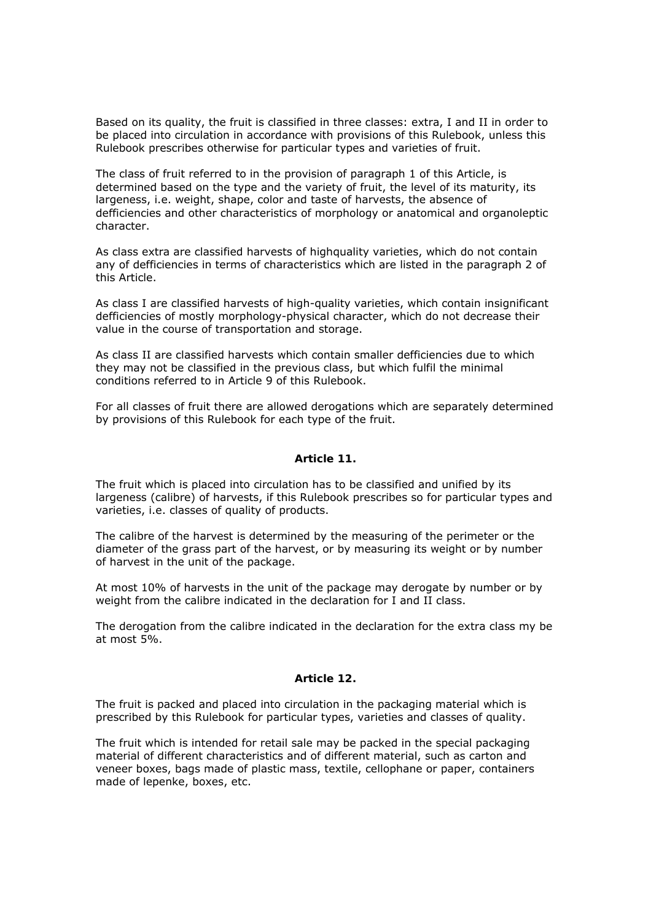Based on its quality, the fruit is classified in three classes: extra, I and II in order to be placed into circulation in accordance with provisions of this Rulebook, unless this Rulebook prescribes otherwise for particular types and varieties of fruit.

The class of fruit referred to in the provision of paragraph 1 of this Article, is determined based on the type and the variety of fruit, the level of its maturity, its largeness, i.e. weight, shape, color and taste of harvests, the absence of defficiencies and other characteristics of morphology or anatomical and organoleptic character.

As class extra are classified harvests of highquality varieties, which do not contain any of defficiencies in terms of characteristics which are listed in the paragraph 2 of this Article.

As class I are classified harvests of high-quality varieties, which contain insignificant defficiencies of mostly morphology-physical character, which do not decrease their value in the course of transportation and storage.

As class II are classified harvests which contain smaller defficiencies due to which they may not be classified in the previous class, but which fulfil the minimal conditions referred to in Article 9 of this Rulebook.

For all classes of fruit there are allowed derogations which are separately determined by provisions of this Rulebook for each type of the fruit.

### *Article 11.*

The fruit which is placed into circulation has to be classified and unified by its largeness (calibre) of harvests, if this Rulebook prescribes so for particular types and varieties, i.e. classes of quality of products.

The calibre of the harvest is determined by the measuring of the perimeter or the diameter of the grass part of the harvest, or by measuring its weight or by number of harvest in the unit of the package.

At most 10% of harvests in the unit of the package may derogate by number or by weight from the calibre indicated in the declaration for I and II class.

The derogation from the calibre indicated in the declaration for the extra class my be at most 5%.

### *Article 12.*

The fruit is packed and placed into circulation in the packaging material which is prescribed by this Rulebook for particular types, varieties and classes of quality.

The fruit which is intended for retail sale may be packed in the special packaging material of different characteristics and of different material, such as carton and veneer boxes, bags made of plastic mass, textile, cellophane or paper, containers made of lepenke, boxes, etc.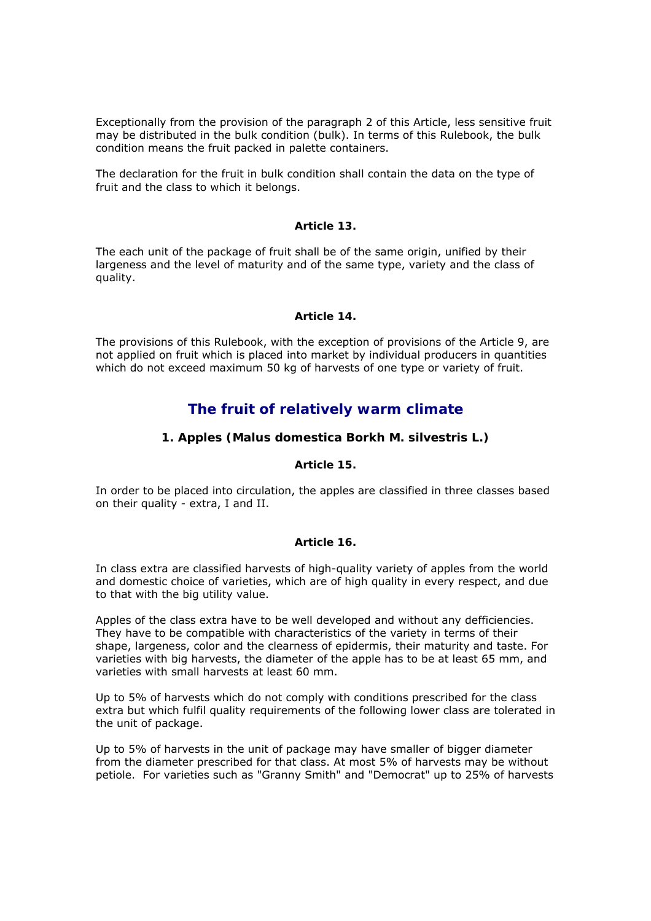Exceptionally from the provision of the paragraph 2 of this Article, less sensitive fruit may be distributed in the bulk condition (bulk). In terms of this Rulebook, the bulk condition means the fruit packed in palette containers.

The declaration for the fruit in bulk condition shall contain the data on the type of fruit and the class to which it belongs.

### *Article 13.*

The each unit of the package of fruit shall be of the same origin, unified by their largeness and the level of maturity and of the same type, variety and the class of quality.

### *Article 14.*

The provisions of this Rulebook, with the exception of provisions of the Article 9, are not applied on fruit which is placed into market by individual producers in quantities which do not exceed maximum 50 kg of harvests of one type or variety of fruit.

# *The fruit of relatively warm climate*

# **1. Apples (Malus domestica Borkh M. silvestris L.)**

### *Article 15.*

In order to be placed into circulation, the apples are classified in three classes based on their quality - extra, I and II.

### *Article 16.*

In class extra are classified harvests of high-quality variety of apples from the world and domestic choice of varieties, which are of high quality in every respect, and due to that with the big utility value.

Apples of the class extra have to be well developed and without any defficiencies. They have to be compatible with characteristics of the variety in terms of their shape, largeness, color and the clearness of epidermis, their maturity and taste. For varieties with big harvests, the diameter of the apple has to be at least 65 mm, and varieties with small harvests at least 60 mm.

Up to 5% of harvests which do not comply with conditions prescribed for the class extra but which fulfil quality requirements of the following lower class are tolerated in the unit of package.

Up to 5% of harvests in the unit of package may have smaller of bigger diameter from the diameter prescribed for that class. At most 5% of harvests may be without petiole. For varieties such as "Granny Smith" and "Democrat" up to 25% of harvests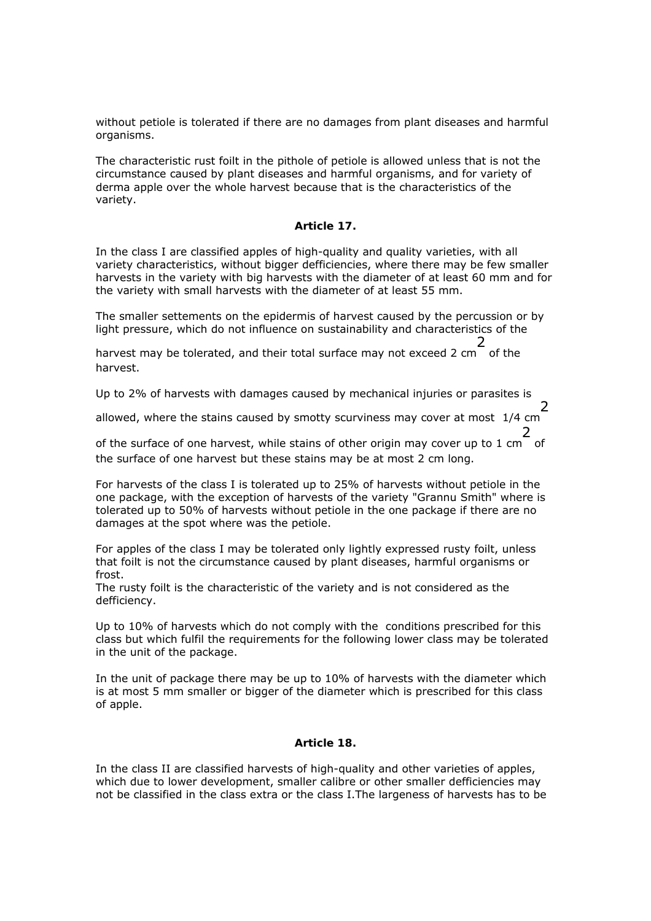without petiole is tolerated if there are no damages from plant diseases and harmful organisms.

The characteristic rust foilt in the pithole of petiole is allowed unless that is not the circumstance caused by plant diseases and harmful organisms, and for variety of derma apple over the whole harvest because that is the characteristics of the variety.

# *Article 17.*

In the class I are classified apples of high-quality and quality varieties, with all variety characteristics, without bigger defficiencies, where there may be few smaller harvests in the variety with big harvests with the diameter of at least 60 mm and for the variety with small harvests with the diameter of at least 55 mm.

The smaller settements on the epidermis of harvest caused by the percussion or by light pressure, which do not influence on sustainability and characteristics of the

harvest may be tolerated, and their total surface may not exceed 2 cm 2 of the harvest.

Up to 2% of harvests with damages caused by mechanical injuries or parasites is

allowed, where the stains caused by smotty scurviness may cover at most 1/4 cm 2

of the surface of one harvest, while stains of other origin may cover up to 1 cm 2 of the surface of one harvest but these stains may be at most 2 cm long.

For harvests of the class I is tolerated up to 25% of harvests without petiole in the one package, with the exception of harvests of the variety "Grannu Smith" where is tolerated up to 50% of harvests without petiole in the one package if there are no damages at the spot where was the petiole.

For apples of the class I may be tolerated only lightly expressed rusty foilt, unless that foilt is not the circumstance caused by plant diseases, harmful organisms or frost.

The rusty foilt is the characteristic of the variety and is not considered as the defficiency.

Up to 10% of harvests which do not comply with the conditions prescribed for this class but which fulfil the requirements for the following lower class may be tolerated in the unit of the package.

In the unit of package there may be up to 10% of harvests with the diameter which is at most 5 mm smaller or bigger of the diameter which is prescribed for this class of apple.

### *Article 18.*

In the class II are classified harvests of high-quality and other varieties of apples, which due to lower development, smaller calibre or other smaller defficiencies may not be classified in the class extra or the class I.The largeness of harvests has to be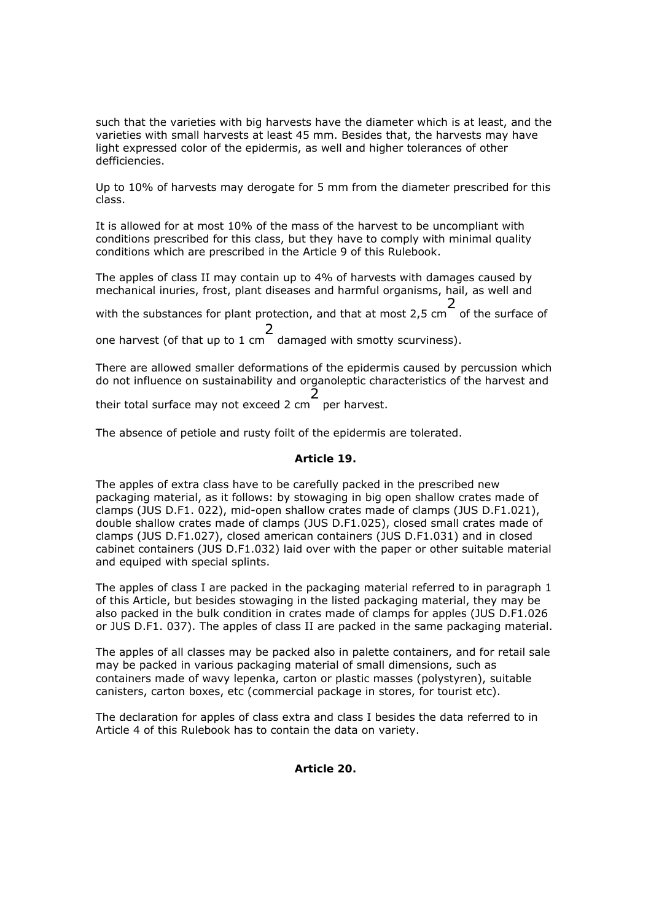such that the varieties with big harvests have the diameter which is at least, and the varieties with small harvests at least 45 mm. Besides that, the harvests may have light expressed color of the epidermis, as well and higher tolerances of other defficiencies.

Up to 10% of harvests may derogate for 5 mm from the diameter prescribed for this class.

It is allowed for at most 10% of the mass of the harvest to be uncompliant with conditions prescribed for this class, but they have to comply with minimal quality conditions which are prescribed in the Article 9 of this Rulebook.

The apples of class II may contain up to 4% of harvests with damages caused by mechanical inuries, frost, plant diseases and harmful organisms, hail, as well and

with the substances for plant protection, and that at most 2,5 cm 2 of the surface of 2

one harvest (of that up to 1 cm damaged with smotty scurviness).

There are allowed smaller deformations of the epidermis caused by percussion which do not influence on sustainability and organoleptic characteristics of the harvest and

their total surface may not exceed 2 cm 2 per harvest.

The absence of petiole and rusty foilt of the epidermis are tolerated.

### *Article 19.*

The apples of extra class have to be carefully packed in the prescribed new packaging material, as it follows: by stowaging in big open shallow crates made of clamps (JUS D.F1. 022), mid-open shallow crates made of clamps (JUS D.F1.021), double shallow crates made of clamps (JUS D.F1.025), closed small crates made of clamps (JUS D.F1.027), closed american containers (JUS D.F1.031) and in closed cabinet containers (JUS D.F1.032) laid over with the paper or other suitable material and equiped with special splints.

The apples of class I are packed in the packaging material referred to in paragraph 1 of this Article, but besides stowaging in the listed packaging material, they may be also packed in the bulk condition in crates made of clamps for apples (JUS D.F1.026 or JUS D.F1. 037). The apples of class II are packed in the same packaging material.

The apples of all classes may be packed also in palette containers, and for retail sale may be packed in various packaging material of small dimensions, such as containers made of wavy lepenka, carton or plastic masses (polystyren), suitable canisters, carton boxes, etc (commercial package in stores, for tourist etc).

The declaration for apples of class extra and class I besides the data referred to in Article 4 of this Rulebook has to contain the data on variety.

*Article 20.*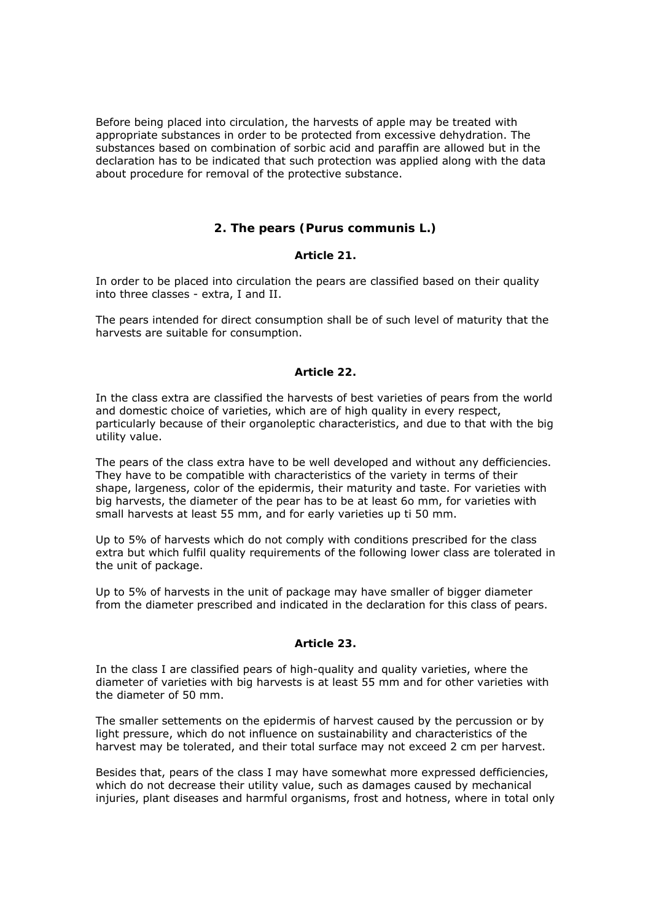Before being placed into circulation, the harvests of apple may be treated with appropriate substances in order to be protected from excessive dehydration. The substances based on combination of sorbic acid and paraffin are allowed but in the declaration has to be indicated that such protection was applied along with the data about procedure for removal of the protective substance.

## **2. The pears (Purus communis L.)**

#### *Article 21.*

In order to be placed into circulation the pears are classified based on their quality into three classes - extra, I and II.

The pears intended for direct consumption shall be of such level of maturity that the harvests are suitable for consumption.

#### *Article 22.*

In the class extra are classified the harvests of best varieties of pears from the world and domestic choice of varieties, which are of high quality in every respect, particularly because of their organoleptic characteristics, and due to that with the big utility value.

The pears of the class extra have to be well developed and without any defficiencies. They have to be compatible with characteristics of the variety in terms of their shape, largeness, color of the epidermis, their maturity and taste. For varieties with big harvests, the diameter of the pear has to be at least 6o mm, for varieties with small harvests at least 55 mm, and for early varieties up ti 50 mm.

Up to 5% of harvests which do not comply with conditions prescribed for the class extra but which fulfil quality requirements of the following lower class are tolerated in the unit of package.

Up to 5% of harvests in the unit of package may have smaller of bigger diameter from the diameter prescribed and indicated in the declaration for this class of pears.

### *Article 23.*

In the class I are classified pears of high-quality and quality varieties, where the diameter of varieties with big harvests is at least 55 mm and for other varieties with the diameter of 50 mm.

The smaller settements on the epidermis of harvest caused by the percussion or by light pressure, which do not influence on sustainability and characteristics of the harvest may be tolerated, and their total surface may not exceed 2 cm per harvest.

Besides that, pears of the class I may have somewhat more expressed defficiencies, which do not decrease their utility value, such as damages caused by mechanical injuries, plant diseases and harmful organisms, frost and hotness, where in total only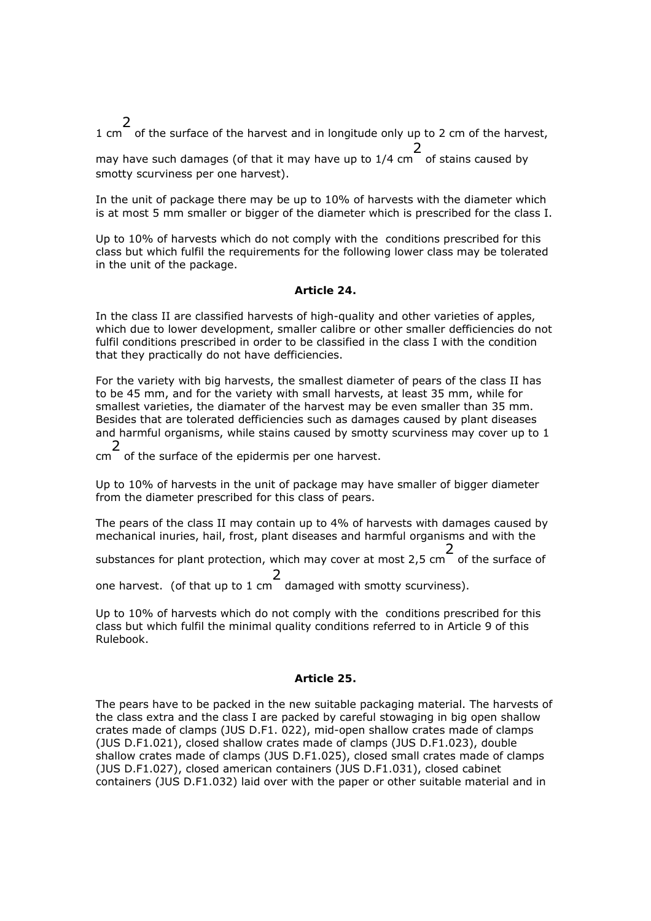1 cm 2 of the surface of the harvest and in longitude only up to 2 cm of the harvest,

may have such damages (of that it may have up to 1/4 cm of stains caused by 2 smotty scurviness per one harvest).

In the unit of package there may be up to 10% of harvests with the diameter which is at most 5 mm smaller or bigger of the diameter which is prescribed for the class I.

Up to 10% of harvests which do not comply with the conditions prescribed for this class but which fulfil the requirements for the following lower class may be tolerated in the unit of the package.

### *Article 24.*

In the class II are classified harvests of high-quality and other varieties of apples, which due to lower development, smaller calibre or other smaller defficiencies do not fulfil conditions prescribed in order to be classified in the class I with the condition that they practically do not have defficiencies.

For the variety with big harvests, the smallest diameter of pears of the class II has to be 45 mm, and for the variety with small harvests, at least 35 mm, while for smallest varieties, the diamater of the harvest may be even smaller than 35 mm. Besides that are tolerated defficiencies such as damages caused by plant diseases and harmful organisms, while stains caused by smotty scurviness may cover up to 1 2

cm of the surface of the epidermis per one harvest.

Up to 10% of harvests in the unit of package may have smaller of bigger diameter from the diameter prescribed for this class of pears.

The pears of the class II may contain up to 4% of harvests with damages caused by mechanical inuries, hail, frost, plant diseases and harmful organisms and with the

substances for plant protection, which may cover at most 2,5 cm 2 of the surface of

one harvest. (of that up to 1 cm 2 damaged with smotty scurviness).

Up to 10% of harvests which do not comply with the conditions prescribed for this class but which fulfil the minimal quality conditions referred to in Article 9 of this Rulebook.

# *Article 25.*

The pears have to be packed in the new suitable packaging material. The harvests of the class extra and the class I are packed by careful stowaging in big open shallow crates made of clamps (JUS D.F1. 022), mid-open shallow crates made of clamps (JUS D.F1.021), closed shallow crates made of clamps (JUS D.F1.023), double shallow crates made of clamps (JUS D.F1.025), closed small crates made of clamps (JUS D.F1.027), closed american containers (JUS D.F1.031), closed cabinet containers (JUS D.F1.032) laid over with the paper or other suitable material and in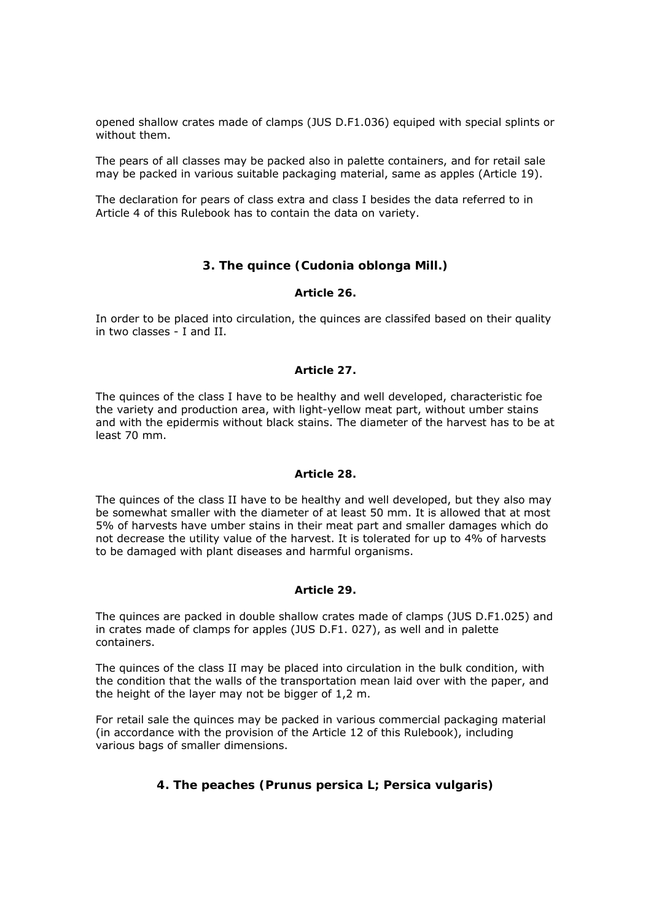opened shallow crates made of clamps (JUS D.F1.036) equiped with special splints or without them.

The pears of all classes may be packed also in palette containers, and for retail sale may be packed in various suitable packaging material, same as apples (Article 19).

The declaration for pears of class extra and class I besides the data referred to in Article 4 of this Rulebook has to contain the data on variety.

# **3. The quince (Cudonia oblonga Mill.)**

### *Article 26.*

In order to be placed into circulation, the quinces are classifed based on their quality in two classes - I and II.

### *Article 27.*

The quinces of the class I have to be healthy and well developed, characteristic foe the variety and production area, with light-yellow meat part, without umber stains and with the epidermis without black stains. The diameter of the harvest has to be at least 70 mm.

## *Article 28.*

The quinces of the class II have to be healthy and well developed, but they also may be somewhat smaller with the diameter of at least 50 mm. It is allowed that at most 5% of harvests have umber stains in their meat part and smaller damages which do not decrease the utility value of the harvest. It is tolerated for up to 4% of harvests to be damaged with plant diseases and harmful organisms.

### *Article 29.*

The quinces are packed in double shallow crates made of clamps (JUS D.F1.025) and in crates made of clamps for apples (JUS D.F1. 027), as well and in palette containers.

The quinces of the class II may be placed into circulation in the bulk condition, with the condition that the walls of the transportation mean laid over with the paper, and the height of the layer may not be bigger of 1,2 m.

For retail sale the quinces may be packed in various commercial packaging material (in accordance with the provision of the Article 12 of this Rulebook), including various bags of smaller dimensions.

# **4. The peaches (Prunus persica L; Persica vulgaris)**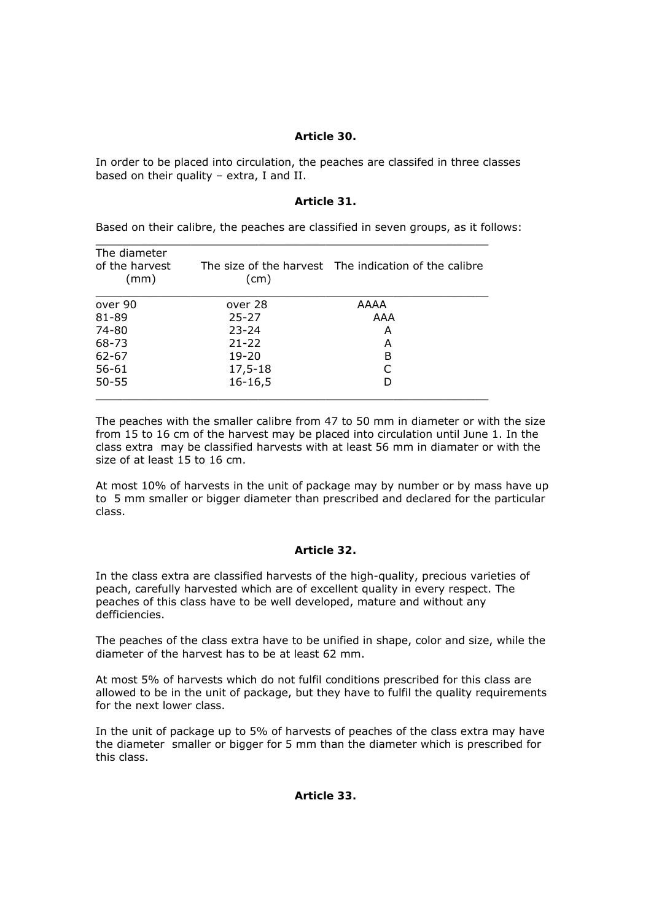## *Article 30.*

In order to be placed into circulation, the peaches are classifed in three classes based on their quality – extra, I and II.

### *Article 31.*

Based on their calibre, the peaches are classified in seven groups, as it follows:

| The diameter<br>of the harvest<br>(mm) | (cm)         | The size of the harvest The indication of the calibre |
|----------------------------------------|--------------|-------------------------------------------------------|
| over 90                                | over 28      | AAAA                                                  |
| 81-89                                  | $25 - 27$    | AAA                                                   |
| 74-80                                  | $23 - 24$    | А                                                     |
| 68-73                                  | $21 - 22$    | А                                                     |
| $62 - 67$                              | $19 - 20$    | B                                                     |
| $56 - 61$                              | 17,5-18      |                                                       |
| $50 - 55$                              | $16 - 16, 5$ |                                                       |

 $\_$  , and the set of the set of the set of the set of the set of the set of the set of the set of the set of the set of the set of the set of the set of the set of the set of the set of the set of the set of the set of th

The peaches with the smaller calibre from 47 to 50 mm in diameter or with the size from 15 to 16 cm of the harvest may be placed into circulation until June 1. In the class extra may be classified harvests with at least 56 mm in diamater or with the size of at least 15 to 16 cm.

At most 10% of harvests in the unit of package may by number or by mass have up to 5 mm smaller or bigger diameter than prescribed and declared for the particular class.

### *Article 32.*

In the class extra are classified harvests of the high-quality, precious varieties of peach, carefully harvested which are of excellent quality in every respect. The peaches of this class have to be well developed, mature and without any defficiencies.

The peaches of the class extra have to be unified in shape, color and size, while the diameter of the harvest has to be at least 62 mm.

At most 5% of harvests which do not fulfil conditions prescribed for this class are allowed to be in the unit of package, but they have to fulfil the quality requirements for the next lower class.

In the unit of package up to 5% of harvests of peaches of the class extra may have the diameter smaller or bigger for 5 mm than the diameter which is prescribed for this class.

*Article 33.*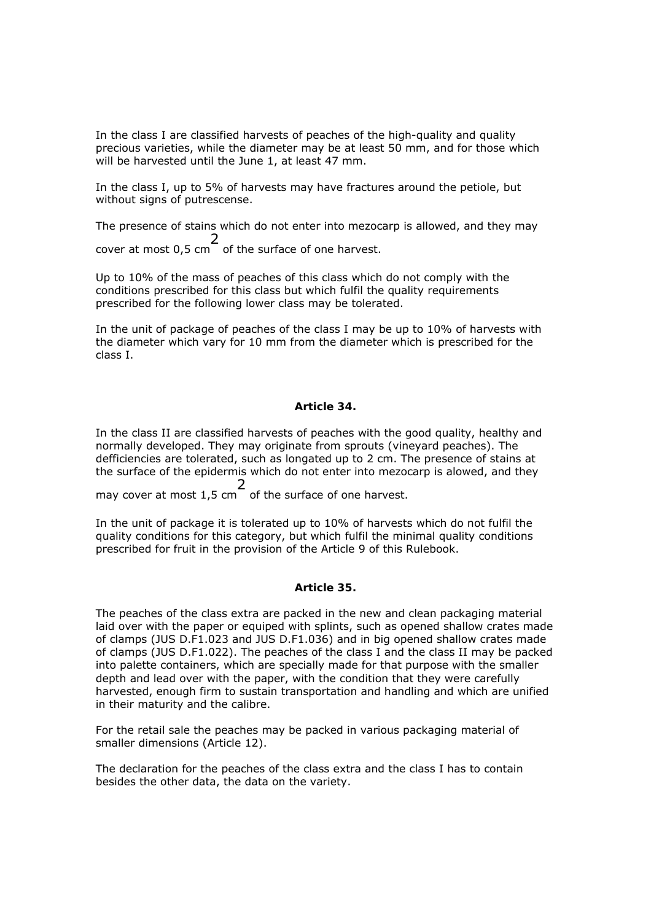In the class I are classified harvests of peaches of the high-quality and quality precious varieties, while the diameter may be at least 50 mm, and for those which will be harvested until the June 1, at least 47 mm.

In the class I, up to 5% of harvests may have fractures around the petiole, but without signs of putrescense.

The presence of stains which do not enter into mezocarp is allowed, and they may cover at most 0,5 cm 2 of the surface of one harvest.

Up to 10% of the mass of peaches of this class which do not comply with the conditions prescribed for this class but which fulfil the quality requirements prescribed for the following lower class may be tolerated.

In the unit of package of peaches of the class I may be up to 10% of harvests with the diameter which vary for 10 mm from the diameter which is prescribed for the class I.

#### *Article 34.*

In the class II are classified harvests of peaches with the good quality, healthy and normally developed. They may originate from sprouts (vineyard peaches). The defficiencies are tolerated, such as longated up to 2 cm. The presence of stains at the surface of the epidermis which do not enter into mezocarp is alowed, and they 2

may cover at most 1,5 cm of the surface of one harvest.

In the unit of package it is tolerated up to 10% of harvests which do not fulfil the quality conditions for this category, but which fulfil the minimal quality conditions prescribed for fruit in the provision of the Article 9 of this Rulebook.

#### *Article 35.*

The peaches of the class extra are packed in the new and clean packaging material laid over with the paper or equiped with splints, such as opened shallow crates made of clamps (JUS D.F1.023 and JUS D.F1.036) and in big opened shallow crates made of clamps (JUS D.F1.022). The peaches of the class I and the class II may be packed into palette containers, which are specially made for that purpose with the smaller depth and lead over with the paper, with the condition that they were carefully harvested, enough firm to sustain transportation and handling and which are unified in their maturity and the calibre.

For the retail sale the peaches may be packed in various packaging material of smaller dimensions (Article 12).

The declaration for the peaches of the class extra and the class I has to contain besides the other data, the data on the variety.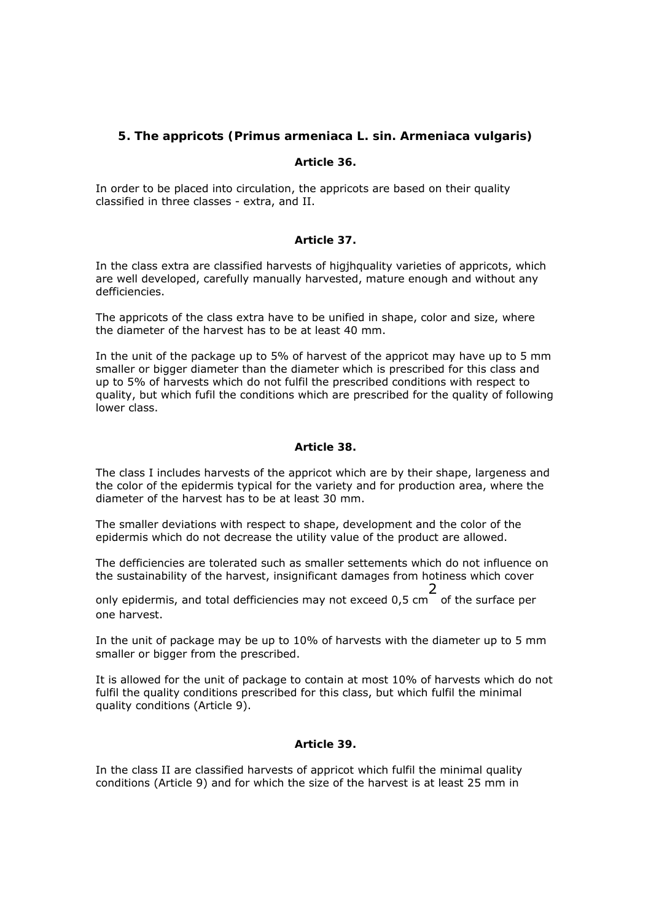# **5. The appricots (Primus armeniaca L. sin. Armeniaca vulgaris)**

### *Article 36.*

In order to be placed into circulation, the appricots are based on their quality classified in three classes - extra, and II.

#### *Article 37.*

In the class extra are classified harvests of higjhquality varieties of appricots, which are well developed, carefully manually harvested, mature enough and without any defficiencies.

The appricots of the class extra have to be unified in shape, color and size, where the diameter of the harvest has to be at least 40 mm.

In the unit of the package up to 5% of harvest of the appricot may have up to 5 mm smaller or bigger diameter than the diameter which is prescribed for this class and up to 5% of harvests which do not fulfil the prescribed conditions with respect to quality, but which fufil the conditions which are prescribed for the quality of following lower class.

#### *Article 38.*

The class I includes harvests of the appricot which are by their shape, largeness and the color of the epidermis typical for the variety and for production area, where the diameter of the harvest has to be at least 30 mm.

The smaller deviations with respect to shape, development and the color of the epidermis which do not decrease the utility value of the product are allowed.

The defficiencies are tolerated such as smaller settements which do not influence on the sustainability of the harvest, insignificant damages from hotiness which cover

only epidermis, and total defficiencies may not exceed 0,5 cm 2 of the surface per one harvest.

In the unit of package may be up to 10% of harvests with the diameter up to 5 mm smaller or bigger from the prescribed.

It is allowed for the unit of package to contain at most 10% of harvests which do not fulfil the quality conditions prescribed for this class, but which fulfil the minimal quality conditions (Article 9).

### *Article 39.*

In the class II are classified harvests of appricot which fulfil the minimal quality conditions (Article 9) and for which the size of the harvest is at least 25 mm in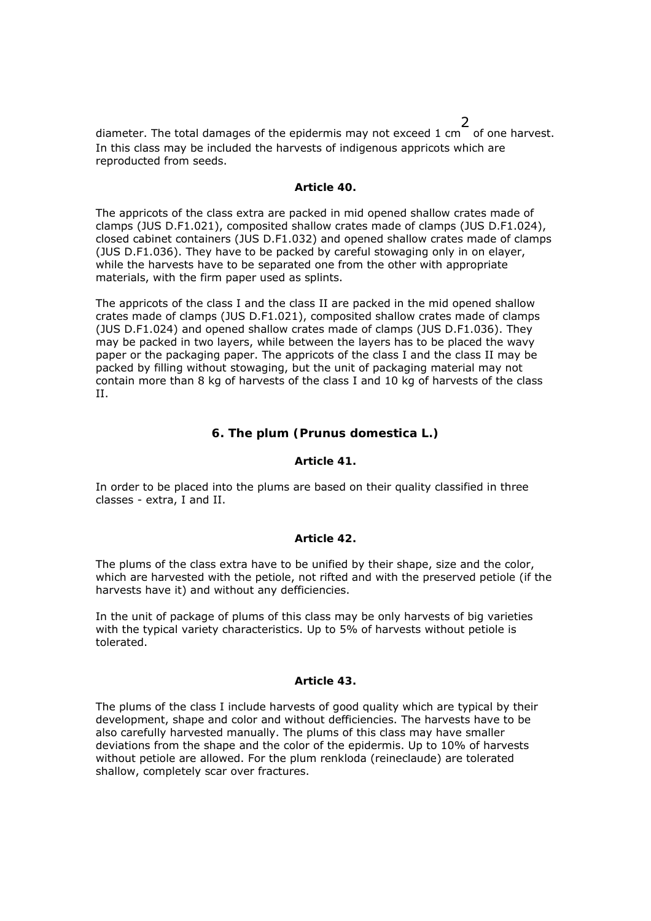diameter. The total damages of the epidermis may not exceed 1 cm of one harvest. In this class may be included the harvests of indigenous appricots which are reproducted from seeds.

#### *Article 40.*

The appricots of the class extra are packed in mid opened shallow crates made of clamps (JUS D.F1.021), composited shallow crates made of clamps (JUS D.F1.024), closed cabinet containers (JUS D.F1.032) and opened shallow crates made of clamps (JUS D.F1.036). They have to be packed by careful stowaging only in on elayer, while the harvests have to be separated one from the other with appropriate materials, with the firm paper used as splints.

The appricots of the class I and the class II are packed in the mid opened shallow crates made of clamps (JUS D.F1.021), composited shallow crates made of clamps (JUS D.F1.024) and opened shallow crates made of clamps (JUS D.F1.036). They may be packed in two layers, while between the layers has to be placed the wavy paper or the packaging paper. The appricots of the class I and the class II may be packed by filling without stowaging, but the unit of packaging material may not contain more than 8 kg of harvests of the class I and 10 kg of harvests of the class II.

### **6. The plum (Prunus domestica L.)**

#### *Article 41.*

In order to be placed into the plums are based on their quality classified in three classes - extra, I and II.

#### *Article 42.*

The plums of the class extra have to be unified by their shape, size and the color, which are harvested with the petiole, not rifted and with the preserved petiole (if the harvests have it) and without any defficiencies.

In the unit of package of plums of this class may be only harvests of big varieties with the typical variety characteristics. Up to 5% of harvests without petiole is tolerated.

#### *Article 43.*

The plums of the class I include harvests of good quality which are typical by their development, shape and color and without defficiencies. The harvests have to be also carefully harvested manually. The plums of this class may have smaller deviations from the shape and the color of the epidermis. Up to 10% of harvests without petiole are allowed. For the plum renkloda (reineclaude) are tolerated shallow, completely scar over fractures.

2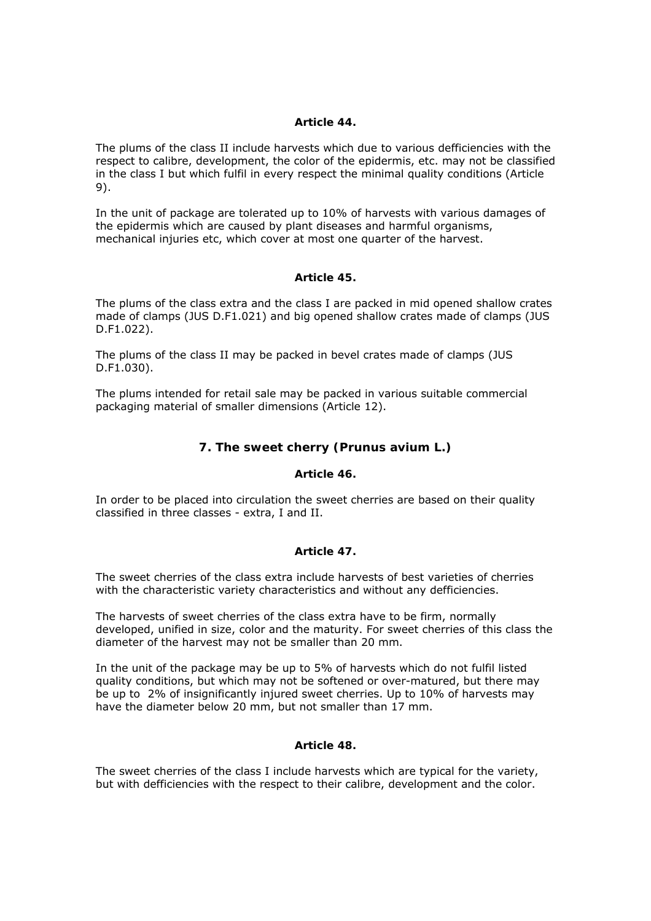### *Article 44.*

The plums of the class II include harvests which due to various defficiencies with the respect to calibre, development, the color of the epidermis, etc. may not be classified in the class I but which fulfil in every respect the minimal quality conditions (Article 9).

In the unit of package are tolerated up to 10% of harvests with various damages of the epidermis which are caused by plant diseases and harmful organisms, mechanical injuries etc, which cover at most one quarter of the harvest.

### *Article 45.*

The plums of the class extra and the class I are packed in mid opened shallow crates made of clamps (JUS D.F1.021) and big opened shallow crates made of clamps (JUS D.F1.022).

The plums of the class II may be packed in bevel crates made of clamps (JUS D.F1.030).

The plums intended for retail sale may be packed in various suitable commercial packaging material of smaller dimensions (Article 12).

# **7. The sweet cherry (Prunus avium L.)**

### *Article 46.*

In order to be placed into circulation the sweet cherries are based on their quality classified in three classes - extra, I and II.

### *Article 47.*

The sweet cherries of the class extra include harvests of best varieties of cherries with the characteristic variety characteristics and without any defficiencies.

The harvests of sweet cherries of the class extra have to be firm, normally developed, unified in size, color and the maturity. For sweet cherries of this class the diameter of the harvest may not be smaller than 20 mm.

In the unit of the package may be up to 5% of harvests which do not fulfil listed quality conditions, but which may not be softened or over-matured, but there may be up to 2% of insignificantly injured sweet cherries. Up to 10% of harvests may have the diameter below 20 mm, but not smaller than 17 mm.

### *Article 48.*

The sweet cherries of the class I include harvests which are typical for the variety, but with defficiencies with the respect to their calibre, development and the color.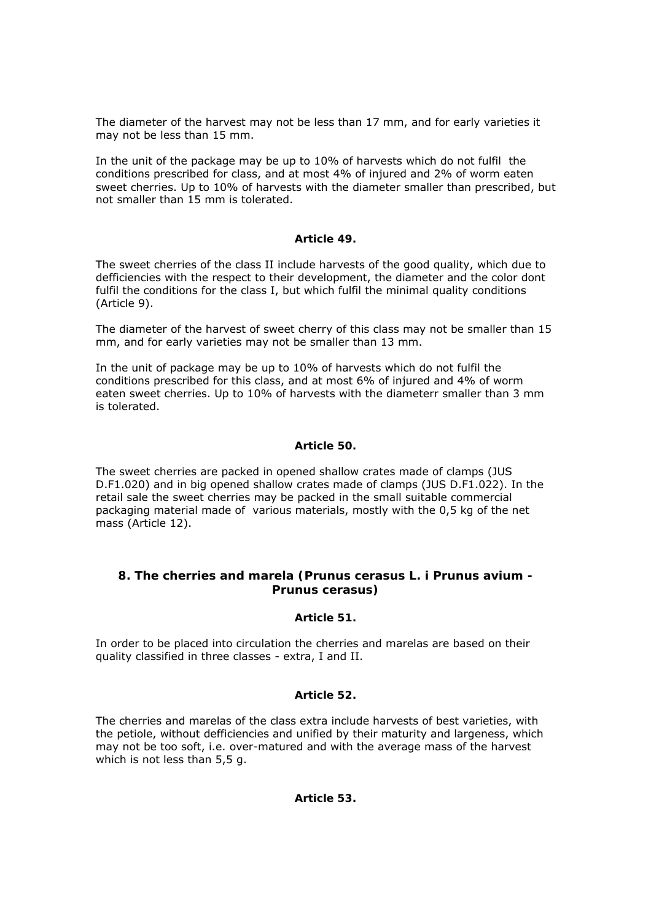The diameter of the harvest may not be less than 17 mm, and for early varieties it may not be less than 15 mm.

In the unit of the package may be up to 10% of harvests which do not fulfil the conditions prescribed for class, and at most 4% of injured and 2% of worm eaten sweet cherries. Up to 10% of harvests with the diameter smaller than prescribed, but not smaller than 15 mm is tolerated.

### *Article 49.*

The sweet cherries of the class II include harvests of the good quality, which due to defficiencies with the respect to their development, the diameter and the color dont fulfil the conditions for the class I, but which fulfil the minimal quality conditions (Article 9).

The diameter of the harvest of sweet cherry of this class may not be smaller than 15 mm, and for early varieties may not be smaller than 13 mm.

In the unit of package may be up to 10% of harvests which do not fulfil the conditions prescribed for this class, and at most 6% of injured and 4% of worm eaten sweet cherries. Up to 10% of harvests with the diameterr smaller than 3 mm is tolerated.

### *Article 50.*

The sweet cherries are packed in opened shallow crates made of clamps (JUS D.F1.020) and in big opened shallow crates made of clamps (JUS D.F1.022). In the retail sale the sweet cherries may be packed in the small suitable commercial packaging material made of various materials, mostly with the 0,5 kg of the net mass (Article 12).

# **8. The cherries and marela (Prunus cerasus L. i Prunus avium - Prunus cerasus)**

### *Article 51.*

In order to be placed into circulation the cherries and marelas are based on their quality classified in three classes - extra, I and II.

### *Article 52.*

The cherries and marelas of the class extra include harvests of best varieties, with the petiole, without defficiencies and unified by their maturity and largeness, which may not be too soft, i.e. over-matured and with the average mass of the harvest which is not less than 5,5 g.

# *Article 53.*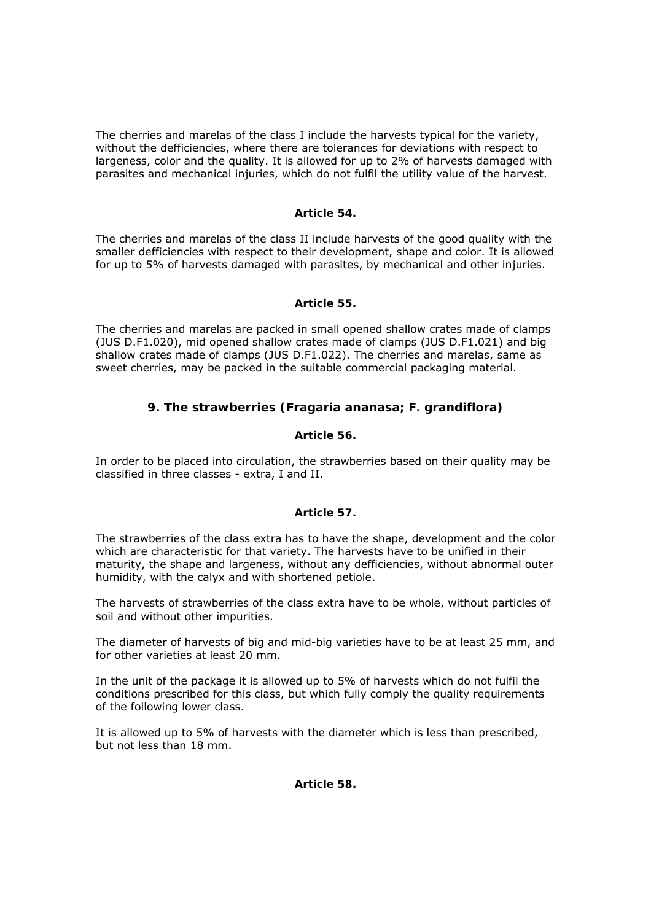The cherries and marelas of the class I include the harvests typical for the variety, without the defficiencies, where there are tolerances for deviations with respect to largeness, color and the quality. It is allowed for up to 2% of harvests damaged with parasites and mechanical injuries, which do not fulfil the utility value of the harvest.

### *Article 54.*

The cherries and marelas of the class II include harvests of the good quality with the smaller defficiencies with respect to their development, shape and color. It is allowed for up to 5% of harvests damaged with parasites, by mechanical and other injuries.

### *Article 55.*

The cherries and marelas are packed in small opened shallow crates made of clamps (JUS D.F1.020), mid opened shallow crates made of clamps (JUS D.F1.021) and big shallow crates made of clamps (JUS D.F1.022). The cherries and marelas, same as sweet cherries, may be packed in the suitable commercial packaging material.

# **9. The strawberries (Fragaria ananasa; F. grandiflora)**

### *Article 56.*

In order to be placed into circulation, the strawberries based on their quality may be classified in three classes - extra, I and II.

### *Article 57.*

The strawberries of the class extra has to have the shape, development and the color which are characteristic for that variety. The harvests have to be unified in their maturity, the shape and largeness, without any defficiencies, without abnormal outer humidity, with the calyx and with shortened petiole.

The harvests of strawberries of the class extra have to be whole, without particles of soil and without other impurities.

The diameter of harvests of big and mid-big varieties have to be at least 25 mm, and for other varieties at least 20 mm.

In the unit of the package it is allowed up to 5% of harvests which do not fulfil the conditions prescribed for this class, but which fully comply the quality requirements of the following lower class.

It is allowed up to 5% of harvests with the diameter which is less than prescribed, but not less than 18 mm.

# *Article 58.*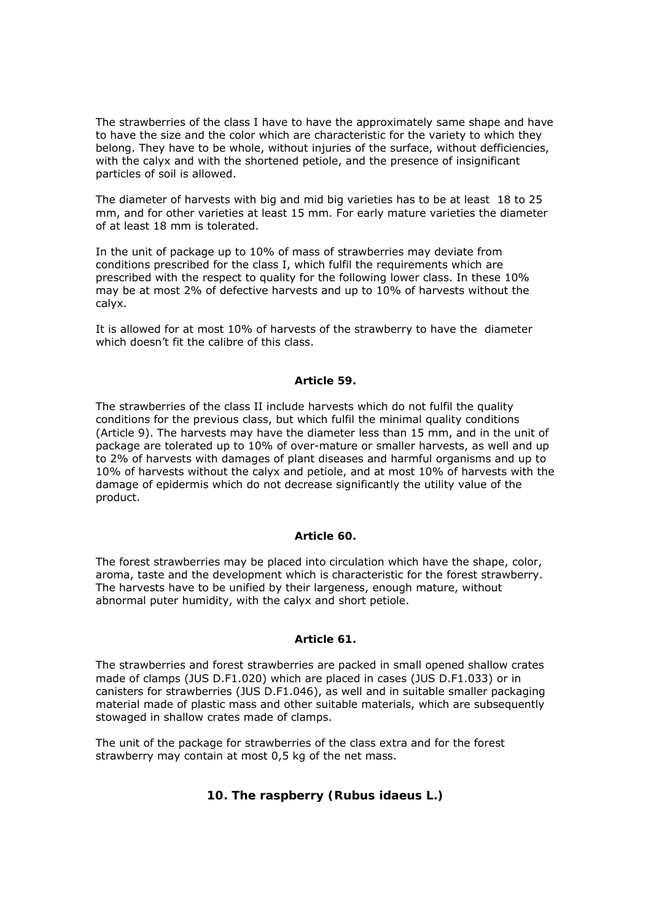The strawberries of the class I have to have the approximately same shape and have to have the size and the color which are characteristic for the variety to which they belong. They have to be whole, without injuries of the surface, without defficiencies, with the calyx and with the shortened petiole, and the presence of insignificant particles of soil is allowed.

The diameter of harvests with big and mid big varieties has to be at least 18 to 25 mm, and for other varieties at least 15 mm. For early mature varieties the diameter of at least 18 mm is tolerated.

In the unit of package up to 10% of mass of strawberries may deviate from conditions prescribed for the class I, which fulfil the requirements which are prescribed with the respect to quality for the following lower class. In these 10% may be at most 2% of defective harvests and up to 10% of harvests without the calyx.

It is allowed for at most 10% of harvests of the strawberry to have the diameter which doesn't fit the calibre of this class.

### *Article 59.*

The strawberries of the class II include harvests which do not fulfil the quality conditions for the previous class, but which fulfil the minimal quality conditions (Article 9). The harvests may have the diameter less than 15 mm, and in the unit of package are tolerated up to 10% of over-mature or smaller harvests, as well and up to 2% of harvests with damages of plant diseases and harmful organisms and up to 10% of harvests without the calyx and petiole, and at most 10% of harvests with the damage of epidermis which do not decrease significantly the utility value of the product.

# *Article 60.*

The forest strawberries may be placed into circulation which have the shape, color, aroma, taste and the development which is characteristic for the forest strawberry. The harvests have to be unified by their largeness, enough mature, without abnormal puter humidity, with the calyx and short petiole.

# *Article 61.*

The strawberries and forest strawberries are packed in small opened shallow crates made of clamps (JUS D.F1.020) which are placed in cases (JUS D.F1.033) or in canisters for strawberries (JUS D.F1.046), as well and in suitable smaller packaging material made of plastic mass and other suitable materials, which are subsequently stowaged in shallow crates made of clamps.

The unit of the package for strawberries of the class extra and for the forest strawberry may contain at most 0,5 kg of the net mass.

# **10. The raspberry (Rubus idaeus L.)**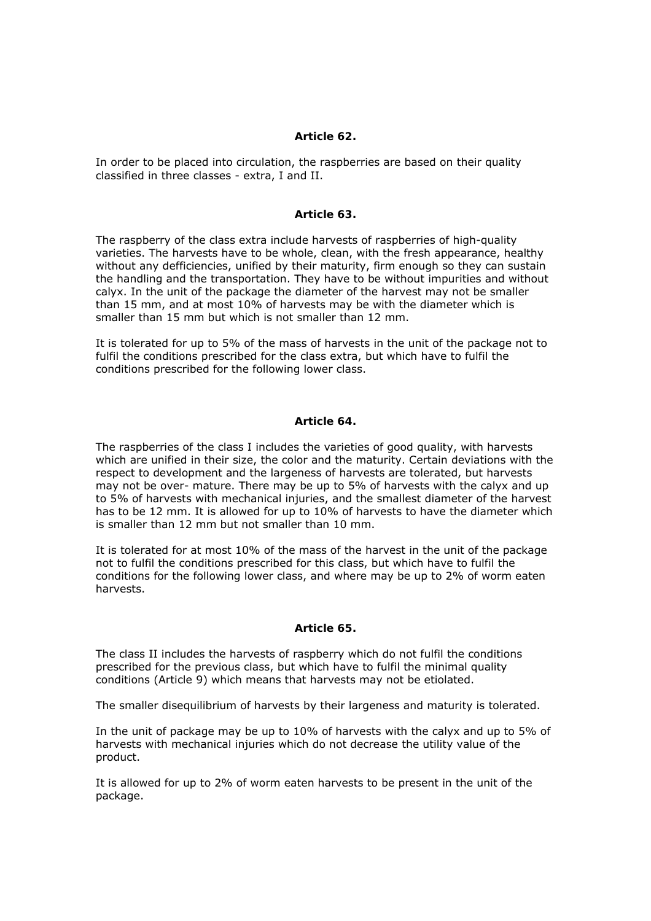### *Article 62.*

In order to be placed into circulation, the raspberries are based on their quality classified in three classes - extra, I and II.

#### *Article 63.*

The raspberry of the class extra include harvests of raspberries of high-quality varieties. The harvests have to be whole, clean, with the fresh appearance, healthy without any defficiencies, unified by their maturity, firm enough so they can sustain the handling and the transportation. They have to be without impurities and without calyx. In the unit of the package the diameter of the harvest may not be smaller than 15 mm, and at most 10% of harvests may be with the diameter which is smaller than 15 mm but which is not smaller than 12 mm.

It is tolerated for up to 5% of the mass of harvests in the unit of the package not to fulfil the conditions prescribed for the class extra, but which have to fulfil the conditions prescribed for the following lower class.

#### *Article 64.*

The raspberries of the class I includes the varieties of good quality, with harvests which are unified in their size, the color and the maturity. Certain deviations with the respect to development and the largeness of harvests are tolerated, but harvests may not be over- mature. There may be up to 5% of harvests with the calyx and up to 5% of harvests with mechanical injuries, and the smallest diameter of the harvest has to be 12 mm. It is allowed for up to 10% of harvests to have the diameter which is smaller than 12 mm but not smaller than 10 mm.

It is tolerated for at most 10% of the mass of the harvest in the unit of the package not to fulfil the conditions prescribed for this class, but which have to fulfil the conditions for the following lower class, and where may be up to 2% of worm eaten harvests.

### *Article 65.*

The class II includes the harvests of raspberry which do not fulfil the conditions prescribed for the previous class, but which have to fulfil the minimal quality conditions (Article 9) which means that harvests may not be etiolated.

The smaller disequilibrium of harvests by their largeness and maturity is tolerated.

In the unit of package may be up to 10% of harvests with the calyx and up to 5% of harvests with mechanical injuries which do not decrease the utility value of the product.

It is allowed for up to 2% of worm eaten harvests to be present in the unit of the package.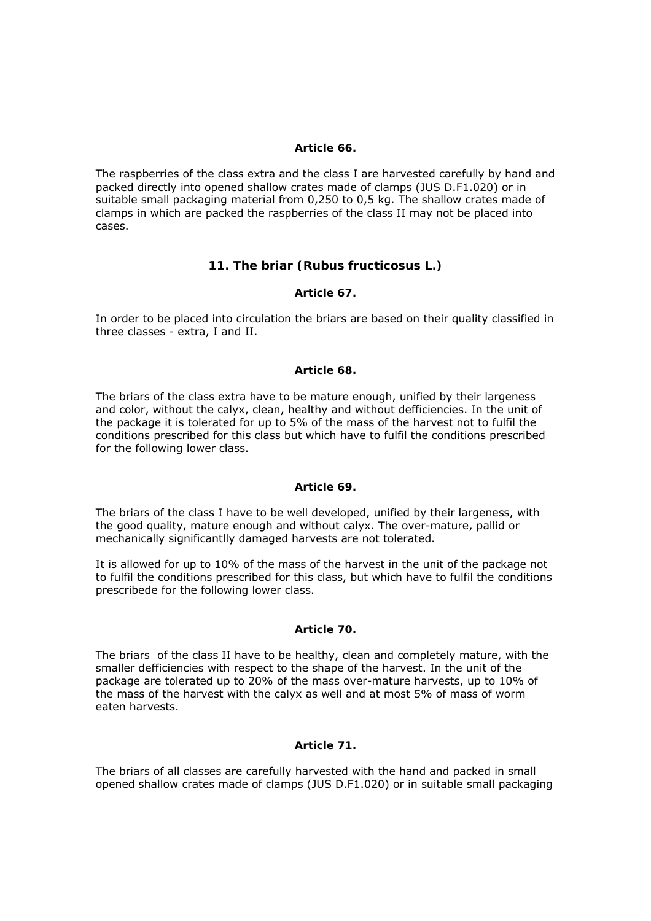### *Article 66.*

The raspberries of the class extra and the class I are harvested carefully by hand and packed directly into opened shallow crates made of clamps (JUS D.F1.020) or in suitable small packaging material from 0,250 to 0,5 kg. The shallow crates made of clamps in which are packed the raspberries of the class II may not be placed into cases.

# **11. The briar (Rubus fructicosus L.)**

# *Article 67.*

In order to be placed into circulation the briars are based on their quality classified in three classes - extra, I and II.

# *Article 68.*

The briars of the class extra have to be mature enough, unified by their largeness and color, without the calyx, clean, healthy and without defficiencies. In the unit of the package it is tolerated for up to 5% of the mass of the harvest not to fulfil the conditions prescribed for this class but which have to fulfil the conditions prescribed for the following lower class.

### *Article 69.*

The briars of the class I have to be well developed, unified by their largeness, with the good quality, mature enough and without calyx. The over-mature, pallid or mechanically significantlly damaged harvests are not tolerated.

It is allowed for up to 10% of the mass of the harvest in the unit of the package not to fulfil the conditions prescribed for this class, but which have to fulfil the conditions prescribede for the following lower class.

# *Article 70.*

The briars of the class II have to be healthy, clean and completely mature, with the smaller defficiencies with respect to the shape of the harvest. In the unit of the package are tolerated up to 20% of the mass over-mature harvests, up to 10% of the mass of the harvest with the calyx as well and at most 5% of mass of worm eaten harvests.

# *Article 71.*

The briars of all classes are carefully harvested with the hand and packed in small opened shallow crates made of clamps (JUS D.F1.020) or in suitable small packaging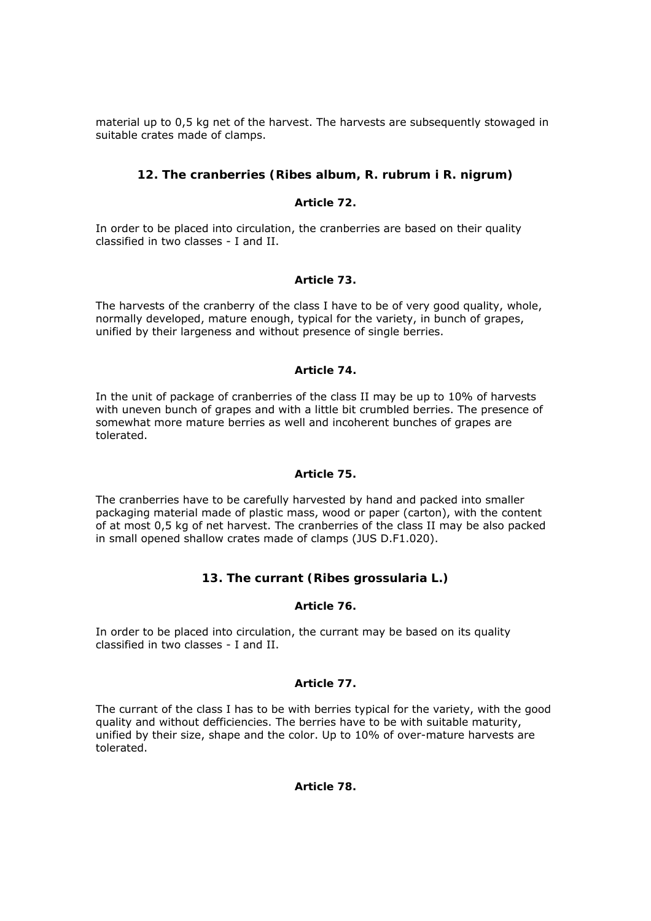material up to 0,5 kg net of the harvest. The harvests are subsequently stowaged in suitable crates made of clamps.

# **12. The cranberries (Ribes album, R. rubrum i R. nigrum)**

# *Article 72.*

In order to be placed into circulation, the cranberries are based on their quality classified in two classes - I and II.

# *Article 73.*

The harvests of the cranberry of the class I have to be of very good quality, whole, normally developed, mature enough, typical for the variety, in bunch of grapes, unified by their largeness and without presence of single berries.

# *Article 74.*

In the unit of package of cranberries of the class II may be up to 10% of harvests with uneven bunch of grapes and with a little bit crumbled berries. The presence of somewhat more mature berries as well and incoherent bunches of grapes are tolerated.

# *Article 75.*

The cranberries have to be carefully harvested by hand and packed into smaller packaging material made of plastic mass, wood or paper (carton), with the content of at most 0,5 kg of net harvest. The cranberries of the class II may be also packed in small opened shallow crates made of clamps (JUS D.F1.020).

# **13. The currant (Ribes grossularia L.)**

# *Article 76.*

In order to be placed into circulation, the currant may be based on its quality classified in two classes - I and II.

# *Article 77.*

The currant of the class I has to be with berries typical for the variety, with the good quality and without defficiencies. The berries have to be with suitable maturity, unified by their size, shape and the color. Up to 10% of over-mature harvests are tolerated.

# *Article 78.*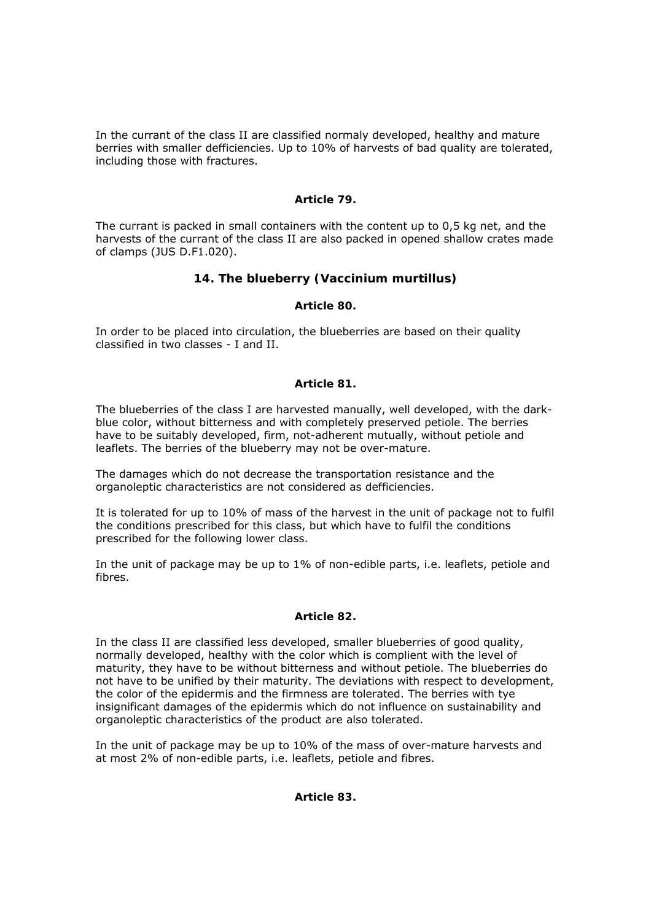In the currant of the class II are classified normaly developed, healthy and mature berries with smaller defficiencies. Up to 10% of harvests of bad quality are tolerated, including those with fractures.

## *Article 79.*

The currant is packed in small containers with the content up to 0,5 kg net, and the harvests of the currant of the class II are also packed in opened shallow crates made of clamps (JUS D.F1.020).

# **14. The blueberry (Vaccinium murtillus)**

### *Article 80.*

In order to be placed into circulation, the blueberries are based on their quality classified in two classes - I and II.

### *Article 81.*

The blueberries of the class I are harvested manually, well developed, with the darkblue color, without bitterness and with completely preserved petiole. The berries have to be suitably developed, firm, not-adherent mutually, without petiole and leaflets. The berries of the blueberry may not be over-mature.

The damages which do not decrease the transportation resistance and the organoleptic characteristics are not considered as defficiencies.

It is tolerated for up to 10% of mass of the harvest in the unit of package not to fulfil the conditions prescribed for this class, but which have to fulfil the conditions prescribed for the following lower class.

In the unit of package may be up to 1% of non-edible parts, i.e. leaflets, petiole and fibres.

### *Article 82.*

In the class II are classified less developed, smaller blueberries of good quality, normally developed, healthy with the color which is complient with the level of maturity, they have to be without bitterness and without petiole. The blueberries do not have to be unified by their maturity. The deviations with respect to development, the color of the epidermis and the firmness are tolerated. The berries with tye insignificant damages of the epidermis which do not influence on sustainability and organoleptic characteristics of the product are also tolerated.

In the unit of package may be up to 10% of the mass of over-mature harvests and at most 2% of non-edible parts, i.e. leaflets, petiole and fibres.

### *Article 83.*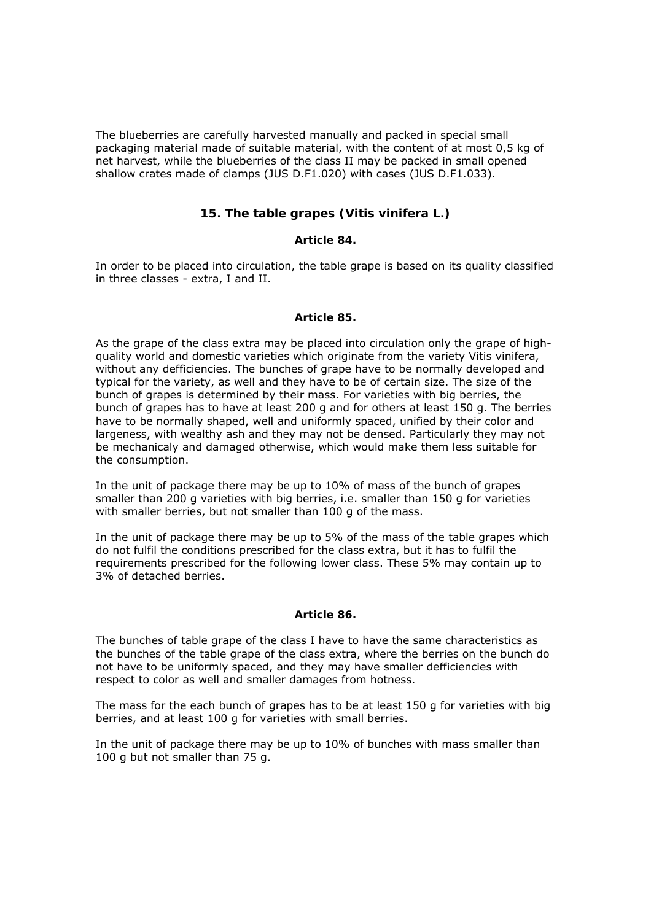The blueberries are carefully harvested manually and packed in special small packaging material made of suitable material, with the content of at most 0,5 kg of net harvest, while the blueberries of the class II may be packed in small opened shallow crates made of clamps (JUS D.F1.020) with cases (JUS D.F1.033).

# **15. The table grapes (Vitis vinifera L.)**

### *Article 84.*

In order to be placed into circulation, the table grape is based on its quality classified in three classes - extra, I and II.

### *Article 85.*

As the grape of the class extra may be placed into circulation only the grape of highquality world and domestic varieties which originate from the variety Vitis vinifera, without any defficiencies. The bunches of grape have to be normally developed and typical for the variety, as well and they have to be of certain size. The size of the bunch of grapes is determined by their mass. For varieties with big berries, the bunch of grapes has to have at least 200 g and for others at least 150 g. The berries have to be normally shaped, well and uniformly spaced, unified by their color and largeness, with wealthy ash and they may not be densed. Particularly they may not be mechanicaly and damaged otherwise, which would make them less suitable for the consumption.

In the unit of package there may be up to 10% of mass of the bunch of grapes smaller than 200 g varieties with big berries, i.e. smaller than 150 g for varieties with smaller berries, but not smaller than 100 g of the mass.

In the unit of package there may be up to 5% of the mass of the table grapes which do not fulfil the conditions prescribed for the class extra, but it has to fulfil the requirements prescribed for the following lower class. These 5% may contain up to 3% of detached berries.

### *Article 86.*

The bunches of table grape of the class I have to have the same characteristics as the bunches of the table grape of the class extra, where the berries on the bunch do not have to be uniformly spaced, and they may have smaller defficiencies with respect to color as well and smaller damages from hotness.

The mass for the each bunch of grapes has to be at least 150 g for varieties with big berries, and at least 100 g for varieties with small berries.

In the unit of package there may be up to 10% of bunches with mass smaller than 100 g but not smaller than 75 g.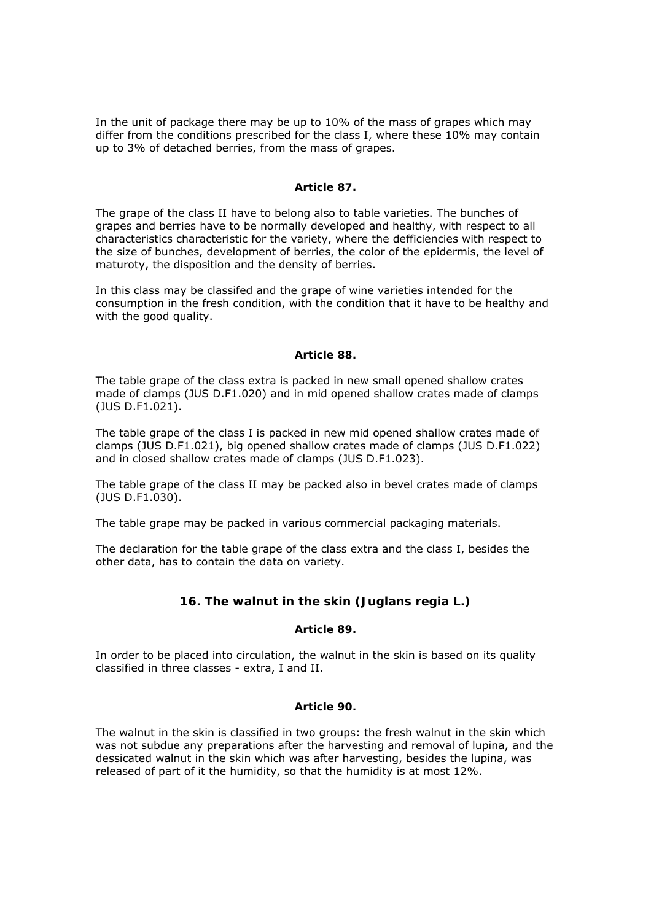In the unit of package there may be up to 10% of the mass of grapes which may differ from the conditions prescribed for the class I, where these 10% may contain up to 3% of detached berries, from the mass of grapes.

### *Article 87.*

The grape of the class II have to belong also to table varieties. The bunches of grapes and berries have to be normally developed and healthy, with respect to all characteristics characteristic for the variety, where the defficiencies with respect to the size of bunches, development of berries, the color of the epidermis, the level of maturoty, the disposition and the density of berries.

In this class may be classifed and the grape of wine varieties intended for the consumption in the fresh condition, with the condition that it have to be healthy and with the good quality.

### *Article 88.*

The table grape of the class extra is packed in new small opened shallow crates made of clamps (JUS D.F1.020) and in mid opened shallow crates made of clamps (JUS D.F1.021).

The table grape of the class I is packed in new mid opened shallow crates made of clamps (JUS D.F1.021), big opened shallow crates made of clamps (JUS D.F1.022) and in closed shallow crates made of clamps (JUS D.F1.023).

The table grape of the class II may be packed also in bevel crates made of clamps (JUS D.F1.030).

The table grape may be packed in various commercial packaging materials.

The declaration for the table grape of the class extra and the class I, besides the other data, has to contain the data on variety.

# **16. The walnut in the skin (Juglans regia L.)**

### *Article 89.*

In order to be placed into circulation, the walnut in the skin is based on its quality classified in three classes - extra, I and II.

### *Article 90.*

The walnut in the skin is classified in two groups: the fresh walnut in the skin which was not subdue any preparations after the harvesting and removal of lupina, and the dessicated walnut in the skin which was after harvesting, besides the lupina, was released of part of it the humidity, so that the humidity is at most 12%.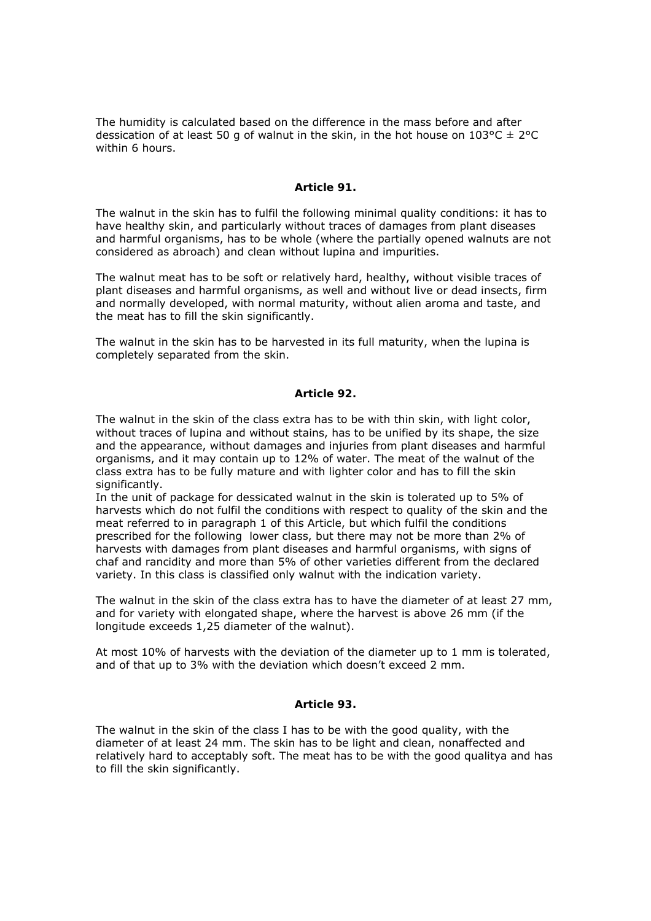The humidity is calculated based on the difference in the mass before and after dessication of at least 50 g of walnut in the skin, in the hot house on  $103^{\circ}C \pm 2^{\circ}C$ within 6 hours.

### *Article 91.*

The walnut in the skin has to fulfil the following minimal quality conditions: it has to have healthy skin, and particularly without traces of damages from plant diseases and harmful organisms, has to be whole (where the partially opened walnuts are not considered as abroach) and clean without lupina and impurities.

The walnut meat has to be soft or relatively hard, healthy, without visible traces of plant diseases and harmful organisms, as well and without live or dead insects, firm and normally developed, with normal maturity, without alien aroma and taste, and the meat has to fill the skin significantly.

The walnut in the skin has to be harvested in its full maturity, when the lupina is completely separated from the skin.

### *Article 92.*

The walnut in the skin of the class extra has to be with thin skin, with light color, without traces of lupina and without stains, has to be unified by its shape, the size and the appearance, without damages and injuries from plant diseases and harmful organisms, and it may contain up to 12% of water. The meat of the walnut of the class extra has to be fully mature and with lighter color and has to fill the skin significantly.

In the unit of package for dessicated walnut in the skin is tolerated up to 5% of harvests which do not fulfil the conditions with respect to quality of the skin and the meat referred to in paragraph 1 of this Article, but which fulfil the conditions prescribed for the following lower class, but there may not be more than 2% of harvests with damages from plant diseases and harmful organisms, with signs of chaf and rancidity and more than 5% of other varieties different from the declared variety. In this class is classified only walnut with the indication variety.

The walnut in the skin of the class extra has to have the diameter of at least 27 mm, and for variety with elongated shape, where the harvest is above 26 mm (if the longitude exceeds 1,25 diameter of the walnut).

At most 10% of harvests with the deviation of the diameter up to 1 mm is tolerated, and of that up to 3% with the deviation which doesn't exceed 2 mm.

### *Article 93.*

The walnut in the skin of the class I has to be with the good quality, with the diameter of at least 24 mm. The skin has to be light and clean, nonaffected and relatively hard to acceptably soft. The meat has to be with the good qualitya and has to fill the skin significantly.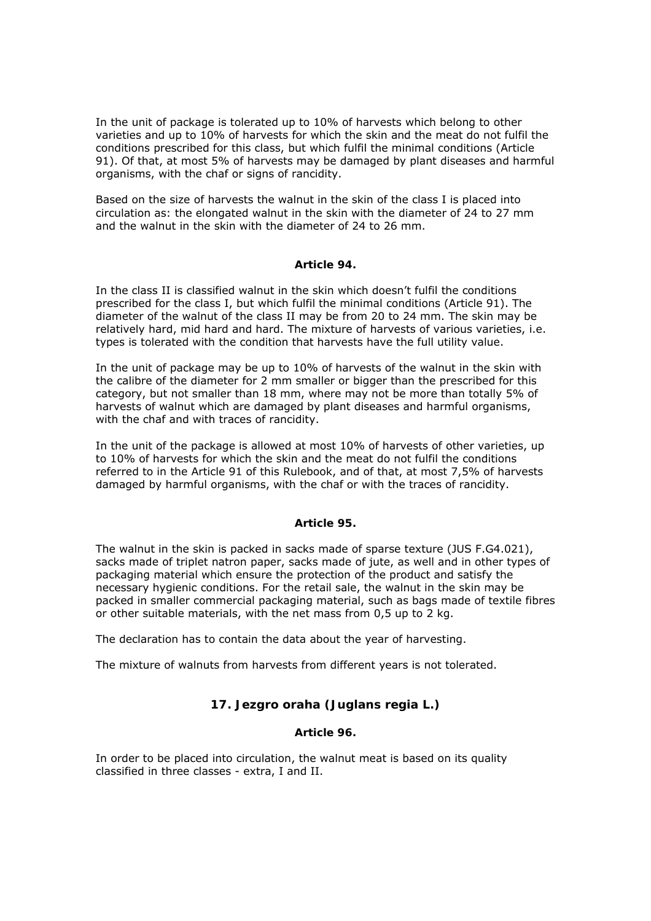In the unit of package is tolerated up to 10% of harvests which belong to other varieties and up to 10% of harvests for which the skin and the meat do not fulfil the conditions prescribed for this class, but which fulfil the minimal conditions (Article 91). Of that, at most 5% of harvests may be damaged by plant diseases and harmful organisms, with the chaf or signs of rancidity.

Based on the size of harvests the walnut in the skin of the class I is placed into circulation as: the elongated walnut in the skin with the diameter of 24 to 27 mm and the walnut in the skin with the diameter of 24 to 26 mm.

### *Article 94.*

In the class II is classified walnut in the skin which doesn't fulfil the conditions prescribed for the class I, but which fulfil the minimal conditions (Article 91). The diameter of the walnut of the class II may be from 20 to 24 mm. The skin may be relatively hard, mid hard and hard. The mixture of harvests of various varieties, i.e. types is tolerated with the condition that harvests have the full utility value.

In the unit of package may be up to 10% of harvests of the walnut in the skin with the calibre of the diameter for 2 mm smaller or bigger than the prescribed for this category, but not smaller than 18 mm, where may not be more than totally 5% of harvests of walnut which are damaged by plant diseases and harmful organisms, with the chaf and with traces of rancidity.

In the unit of the package is allowed at most 10% of harvests of other varieties, up to 10% of harvests for which the skin and the meat do not fulfil the conditions referred to in the Article 91 of this Rulebook, and of that, at most 7,5% of harvests damaged by harmful organisms, with the chaf or with the traces of rancidity.

### *Article 95.*

The walnut in the skin is packed in sacks made of sparse texture (JUS F.G4.021), sacks made of triplet natron paper, sacks made of jute, as well and in other types of packaging material which ensure the protection of the product and satisfy the necessary hygienic conditions. For the retail sale, the walnut in the skin may be packed in smaller commercial packaging material, such as bags made of textile fibres or other suitable materials, with the net mass from 0,5 up to 2 kg.

The declaration has to contain the data about the year of harvesting.

The mixture of walnuts from harvests from different years is not tolerated.

# **17. Jezgro oraha (Juglans regia L.)**

# *Article 96.*

In order to be placed into circulation, the walnut meat is based on its quality classified in three classes - extra, I and II.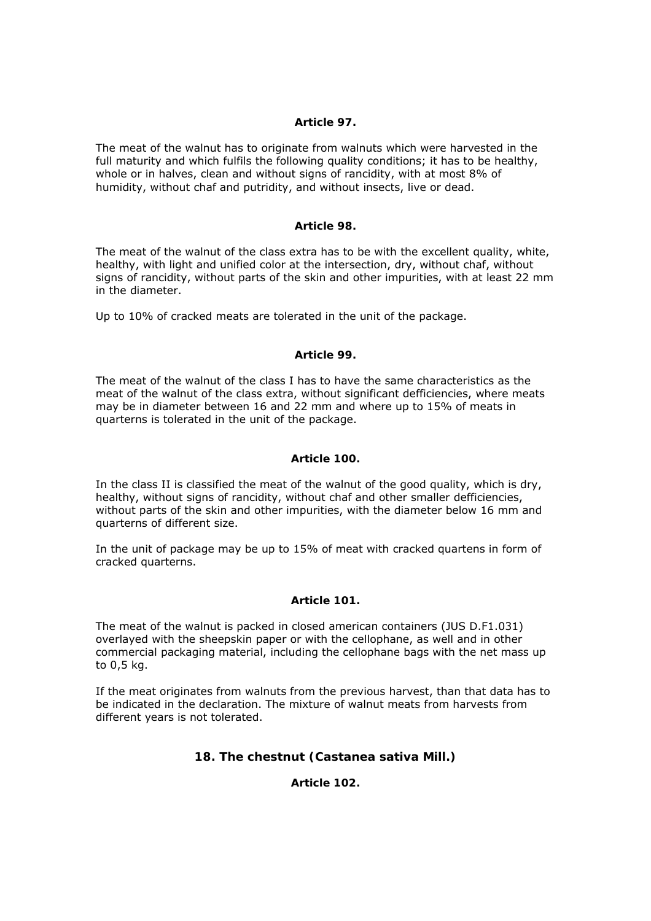## *Article 97.*

The meat of the walnut has to originate from walnuts which were harvested in the full maturity and which fulfils the following quality conditions; it has to be healthy, whole or in halves, clean and without signs of rancidity, with at most 8% of humidity, without chaf and putridity, and without insects, live or dead.

### *Article 98.*

The meat of the walnut of the class extra has to be with the excellent quality, white, healthy, with light and unified color at the intersection, dry, without chaf, without signs of rancidity, without parts of the skin and other impurities, with at least 22 mm in the diameter.

Up to 10% of cracked meats are tolerated in the unit of the package.

### *Article 99.*

The meat of the walnut of the class I has to have the same characteristics as the meat of the walnut of the class extra, without significant defficiencies, where meats may be in diameter between 16 and 22 mm and where up to 15% of meats in quarterns is tolerated in the unit of the package.

## *Article 100.*

In the class II is classified the meat of the walnut of the good quality, which is dry, healthy, without signs of rancidity, without chaf and other smaller defficiencies, without parts of the skin and other impurities, with the diameter below 16 mm and quarterns of different size.

In the unit of package may be up to 15% of meat with cracked quartens in form of cracked quarterns.

### *Article 101.*

The meat of the walnut is packed in closed american containers (JUS D.F1.031) overlayed with the sheepskin paper or with the cellophane, as well and in other commercial packaging material, including the cellophane bags with the net mass up to 0,5 kg.

If the meat originates from walnuts from the previous harvest, than that data has to be indicated in the declaration. The mixture of walnut meats from harvests from different years is not tolerated.

# **18. The chestnut (Castanea sativa Mill.)**

*Article 102.*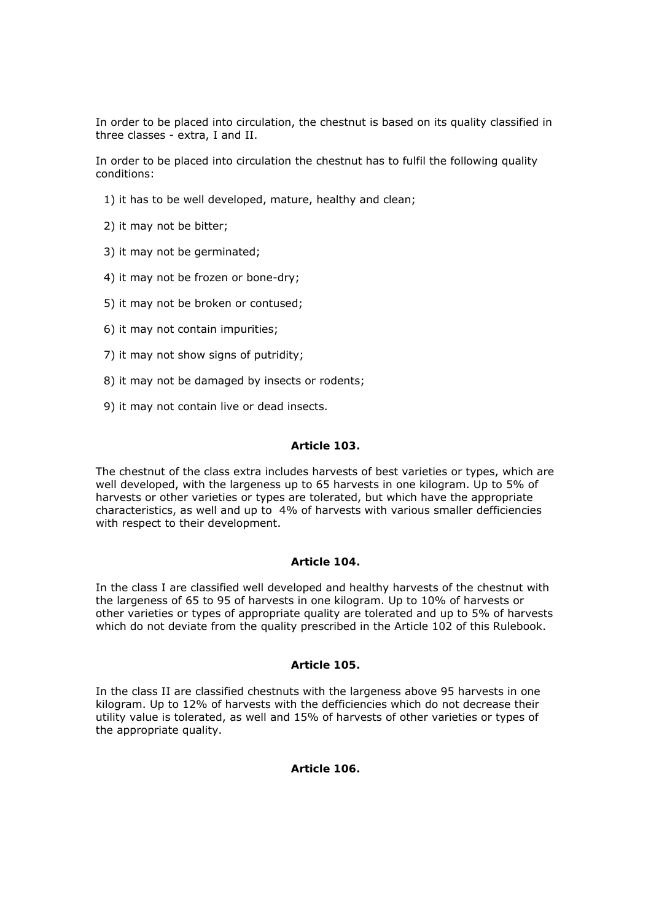In order to be placed into circulation, the chestnut is based on its quality classified in three classes - extra, I and II.

In order to be placed into circulation the chestnut has to fulfil the following quality conditions:

- 1) it has to be well developed, mature, healthy and clean;
- 2) it may not be bitter;
- 3) it may not be germinated;
- 4) it may not be frozen or bone-dry;
- 5) it may not be broken or contused;
- 6) it may not contain impurities;
- 7) it may not show signs of putridity;
- 8) it may not be damaged by insects or rodents;
- 9) it may not contain live or dead insects.

#### *Article 103.*

The chestnut of the class extra includes harvests of best varieties or types, which are well developed, with the largeness up to 65 harvests in one kilogram. Up to 5% of harvests or other varieties or types are tolerated, but which have the appropriate characteristics, as well and up to 4% of harvests with various smaller defficiencies with respect to their development.

### *Article 104.*

In the class I are classified well developed and healthy harvests of the chestnut with the largeness of 65 to 95 of harvests in one kilogram. Up to 10% of harvests or other varieties or types of appropriate quality are tolerated and up to 5% of harvests which do not deviate from the quality prescribed in the Article 102 of this Rulebook.

### *Article 105.*

In the class II are classified chestnuts with the largeness above 95 harvests in one kilogram. Up to 12% of harvests with the defficiencies which do not decrease their utility value is tolerated, as well and 15% of harvests of other varieties or types of the appropriate quality.

### *Article 106.*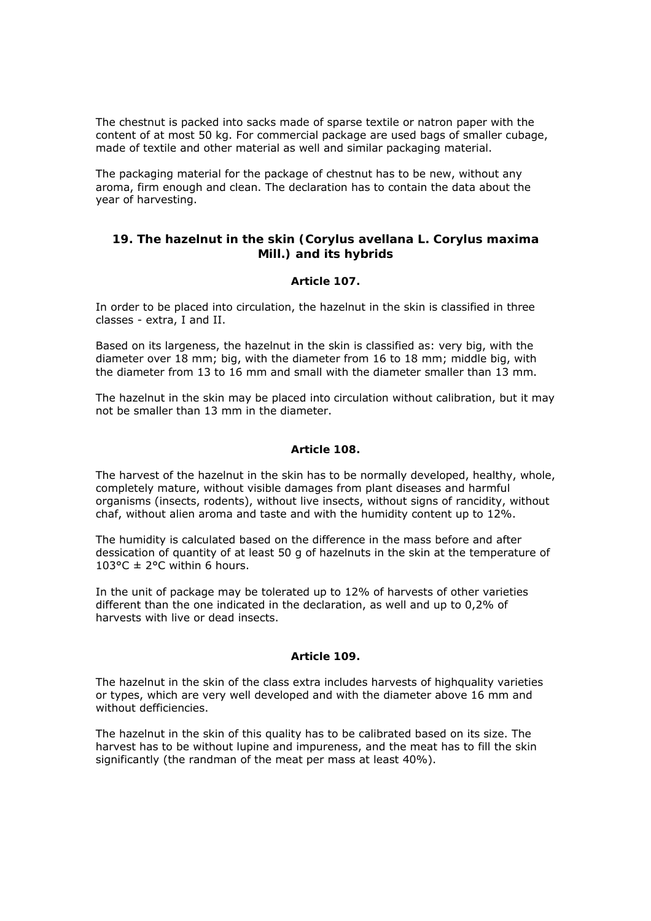The chestnut is packed into sacks made of sparse textile or natron paper with the content of at most 50 kg. For commercial package are used bags of smaller cubage, made of textile and other material as well and similar packaging material.

The packaging material for the package of chestnut has to be new, without any aroma, firm enough and clean. The declaration has to contain the data about the year of harvesting.

# **19. The hazelnut in the skin (Corylus avellana L. Corylus maxima Mill.) and its hybrids**

# *Article 107.*

In order to be placed into circulation, the hazelnut in the skin is classified in three classes - extra, I and II.

Based on its largeness, the hazelnut in the skin is classified as: very big, with the diameter over 18 mm; big, with the diameter from 16 to 18 mm; middle big, with the diameter from 13 to 16 mm and small with the diameter smaller than 13 mm.

The hazelnut in the skin may be placed into circulation without calibration, but it may not be smaller than 13 mm in the diameter.

### *Article 108.*

The harvest of the hazelnut in the skin has to be normally developed, healthy, whole, completely mature, without visible damages from plant diseases and harmful organisms (insects, rodents), without live insects, without signs of rancidity, without chaf, without alien aroma and taste and with the humidity content up to 12%.

The humidity is calculated based on the difference in the mass before and after dessication of quantity of at least 50 g of hazelnuts in the skin at the temperature of  $103^{\circ}$ C ± 2°C within 6 hours.

In the unit of package may be tolerated up to 12% of harvests of other varieties different than the one indicated in the declaration, as well and up to 0,2% of harvests with live or dead insects.

### *Article 109.*

The hazelnut in the skin of the class extra includes harvests of highquality varieties or types, which are very well developed and with the diameter above 16 mm and without defficiencies.

The hazelnut in the skin of this quality has to be calibrated based on its size. The harvest has to be without lupine and impureness, and the meat has to fill the skin significantly (the randman of the meat per mass at least 40%).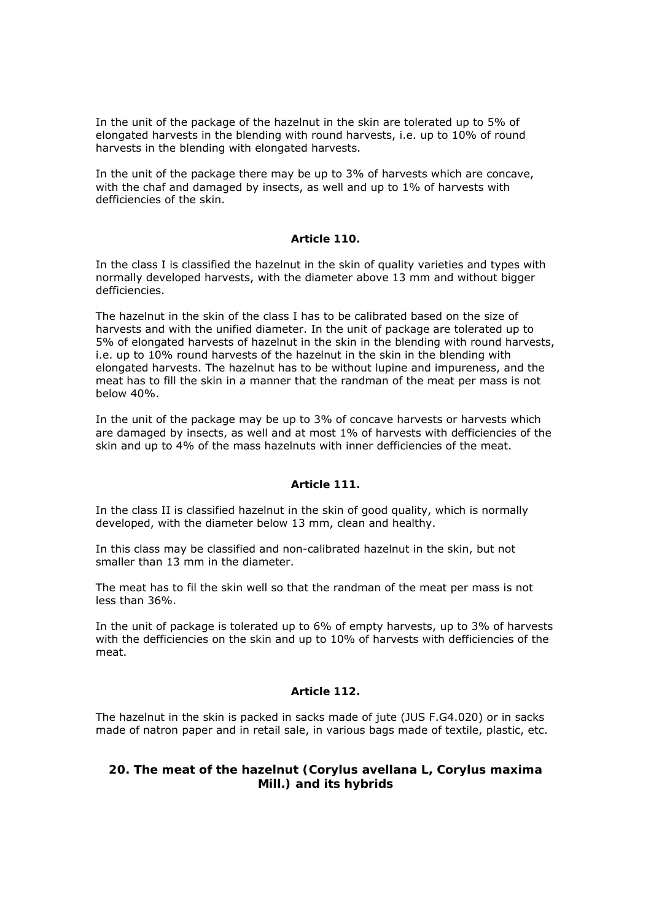In the unit of the package of the hazelnut in the skin are tolerated up to 5% of elongated harvests in the blending with round harvests, i.e. up to 10% of round harvests in the blending with elongated harvests.

In the unit of the package there may be up to 3% of harvests which are concave, with the chaf and damaged by insects, as well and up to 1% of harvests with defficiencies of the skin.

### *Article 110.*

In the class I is classified the hazelnut in the skin of quality varieties and types with normally developed harvests, with the diameter above 13 mm and without bigger defficiencies.

The hazelnut in the skin of the class I has to be calibrated based on the size of harvests and with the unified diameter. In the unit of package are tolerated up to 5% of elongated harvests of hazelnut in the skin in the blending with round harvests, i.e. up to 10% round harvests of the hazelnut in the skin in the blending with elongated harvests. The hazelnut has to be without lupine and impureness, and the meat has to fill the skin in a manner that the randman of the meat per mass is not below 40%.

In the unit of the package may be up to 3% of concave harvests or harvests which are damaged by insects, as well and at most 1% of harvests with defficiencies of the skin and up to 4% of the mass hazelnuts with inner defficiencies of the meat.

### *Article 111.*

In the class II is classified hazelnut in the skin of good quality, which is normally developed, with the diameter below 13 mm, clean and healthy.

In this class may be classified and non-calibrated hazelnut in the skin, but not smaller than 13 mm in the diameter.

The meat has to fil the skin well so that the randman of the meat per mass is not less than 36%.

In the unit of package is tolerated up to 6% of empty harvests, up to 3% of harvests with the defficiencies on the skin and up to 10% of harvests with defficiencies of the meat.

# *Article 112.*

The hazelnut in the skin is packed in sacks made of jute (JUS F.G4.020) or in sacks made of natron paper and in retail sale, in various bags made of textile, plastic, etc.

# **20. The meat of the hazelnut (Corylus avellana L, Corylus maxima Mill.) and its hybrids**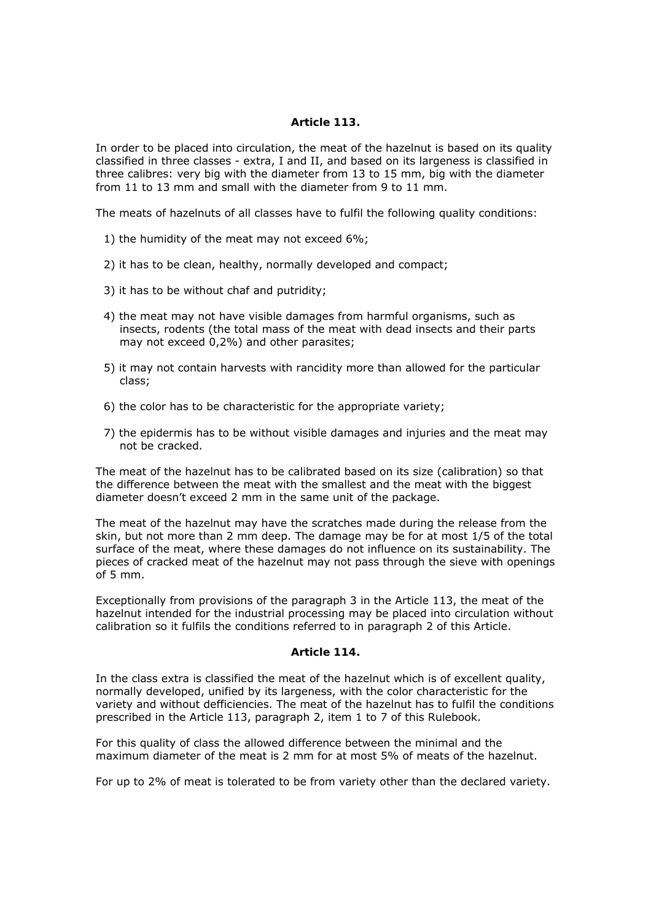### *Article 113.*

In order to be placed into circulation, the meat of the hazelnut is based on its quality classified in three classes - extra, I and II, and based on its largeness is classified in three calibres: very big with the diameter from 13 to 15 mm, big with the diameter from 11 to 13 mm and small with the diameter from 9 to 11 mm.

The meats of hazelnuts of all classes have to fulfil the following quality conditions:

- 1) the humidity of the meat may not exceed 6%;
- 2) it has to be clean, healthy, normally developed and compact;
- 3) it has to be without chaf and putridity;
- 4) the meat may not have visible damages from harmful organisms, such as insects, rodents (the total mass of the meat with dead insects and their parts may not exceed 0,2%) and other parasites;
- 5) it may not contain harvests with rancidity more than allowed for the particular class;
- 6) the color has to be characteristic for the appropriate variety;
- 7) the epidermis has to be without visible damages and injuries and the meat may not be cracked.

The meat of the hazelnut has to be calibrated based on its size (calibration) so that the difference between the meat with the smallest and the meat with the biggest diameter doesn't exceed 2 mm in the same unit of the package.

The meat of the hazelnut may have the scratches made during the release from the skin, but not more than 2 mm deep. The damage may be for at most 1/5 of the total surface of the meat, where these damages do not influence on its sustainability. The pieces of cracked meat of the hazelnut may not pass through the sieve with openings of 5 mm.

Exceptionally from provisions of the paragraph 3 in the Article 113, the meat of the hazelnut intended for the industrial processing may be placed into circulation without calibration so it fulfils the conditions referred to in paragraph 2 of this Article.

### *Article 114.*

In the class extra is classified the meat of the hazelnut which is of excellent quality, normally developed, unified by its largeness, with the color characteristic for the variety and without defficiencies. The meat of the hazelnut has to fulfil the conditions prescribed in the Article 113, paragraph 2, item 1 to 7 of this Rulebook.

For this quality of class the allowed difference between the minimal and the maximum diameter of the meat is 2 mm for at most 5% of meats of the hazelnut.

For up to 2% of meat is tolerated to be from variety other than the declared variety.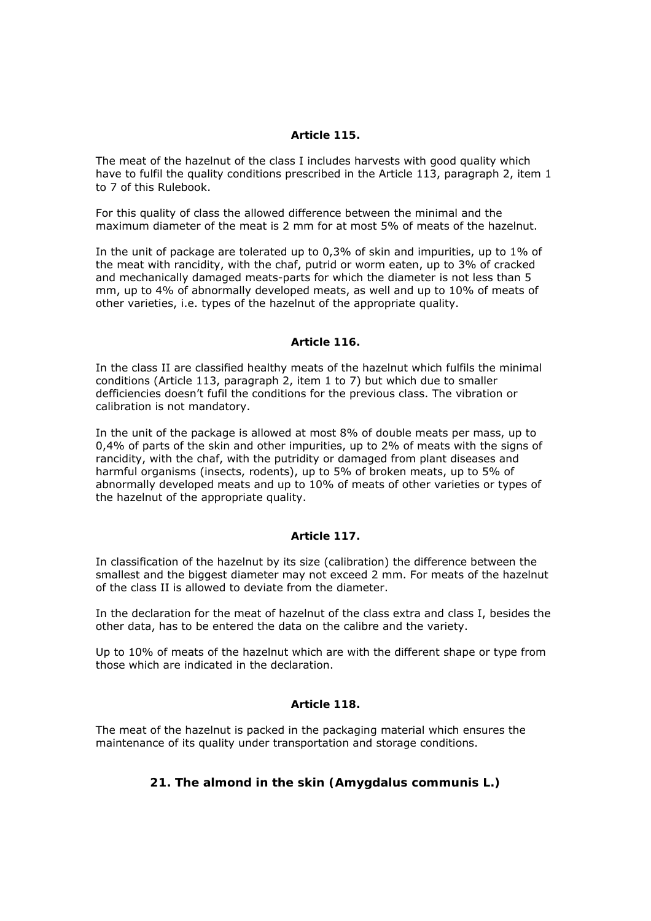### *Article 115.*

The meat of the hazelnut of the class I includes harvests with good quality which have to fulfil the quality conditions prescribed in the Article 113, paragraph 2, item 1 to 7 of this Rulebook.

For this quality of class the allowed difference between the minimal and the maximum diameter of the meat is 2 mm for at most 5% of meats of the hazelnut.

In the unit of package are tolerated up to 0,3% of skin and impurities, up to 1% of the meat with rancidity, with the chaf, putrid or worm eaten, up to 3% of cracked and mechanically damaged meats-parts for which the diameter is not less than 5 mm, up to 4% of abnormally developed meats, as well and up to 10% of meats of other varieties, i.e. types of the hazelnut of the appropriate quality.

### *Article 116.*

In the class II are classified healthy meats of the hazelnut which fulfils the minimal conditions (Article 113, paragraph 2, item 1 to 7) but which due to smaller defficiencies doesn't fufil the conditions for the previous class. The vibration or calibration is not mandatory.

In the unit of the package is allowed at most 8% of double meats per mass, up to 0,4% of parts of the skin and other impurities, up to 2% of meats with the signs of rancidity, with the chaf, with the putridity or damaged from plant diseases and harmful organisms (insects, rodents), up to 5% of broken meats, up to 5% of abnormally developed meats and up to 10% of meats of other varieties or types of the hazelnut of the appropriate quality.

### *Article 117.*

In classification of the hazelnut by its size (calibration) the difference between the smallest and the biggest diameter may not exceed 2 mm. For meats of the hazelnut of the class II is allowed to deviate from the diameter.

In the declaration for the meat of hazelnut of the class extra and class I, besides the other data, has to be entered the data on the calibre and the variety.

Up to 10% of meats of the hazelnut which are with the different shape or type from those which are indicated in the declaration.

### *Article 118.*

The meat of the hazelnut is packed in the packaging material which ensures the maintenance of its quality under transportation and storage conditions.

# **21. The almond in the skin (Amygdalus communis L.)**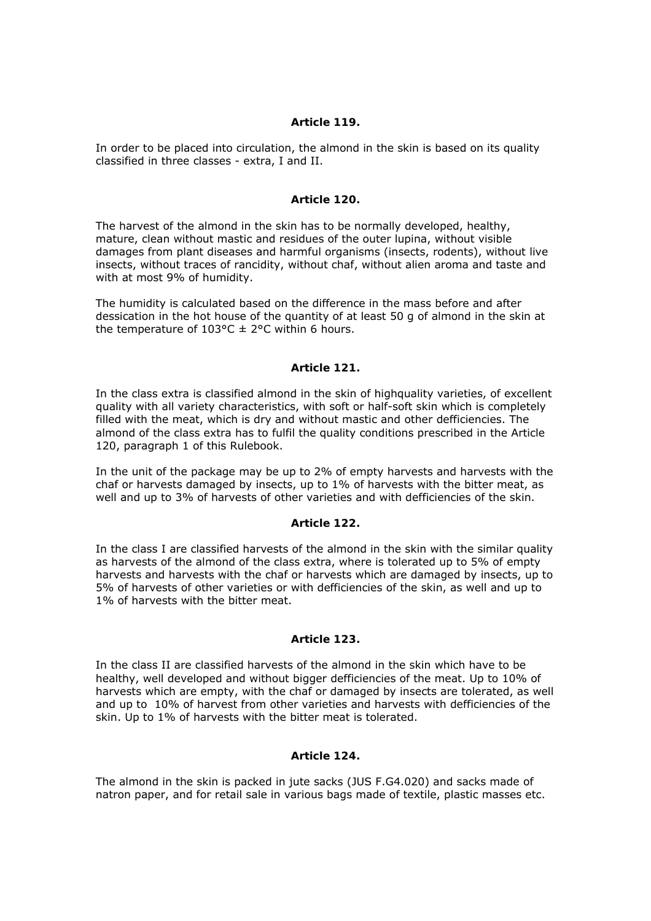### *Article 119.*

In order to be placed into circulation, the almond in the skin is based on its quality classified in three classes - extra, I and II.

### *Article 120.*

The harvest of the almond in the skin has to be normally developed, healthy, mature, clean without mastic and residues of the outer lupina, without visible damages from plant diseases and harmful organisms (insects, rodents), without live insects, without traces of rancidity, without chaf, without alien aroma and taste and with at most 9% of humidity.

The humidity is calculated based on the difference in the mass before and after dessication in the hot house of the quantity of at least 50 g of almond in the skin at the temperature of  $103^{\circ}$ C  $\pm$  2°C within 6 hours.

### *Article 121.*

In the class extra is classified almond in the skin of highquality varieties, of excellent quality with all variety characteristics, with soft or half-soft skin which is completely filled with the meat, which is dry and without mastic and other defficiencies. The almond of the class extra has to fulfil the quality conditions prescribed in the Article 120, paragraph 1 of this Rulebook.

In the unit of the package may be up to 2% of empty harvests and harvests with the chaf or harvests damaged by insects, up to 1% of harvests with the bitter meat, as well and up to 3% of harvests of other varieties and with defficiencies of the skin.

#### *Article 122.*

In the class I are classified harvests of the almond in the skin with the similar quality as harvests of the almond of the class extra, where is tolerated up to 5% of empty harvests and harvests with the chaf or harvests which are damaged by insects, up to 5% of harvests of other varieties or with defficiencies of the skin, as well and up to 1% of harvests with the bitter meat.

### *Article 123.*

In the class II are classified harvests of the almond in the skin which have to be healthy, well developed and without bigger defficiencies of the meat. Up to 10% of harvests which are empty, with the chaf or damaged by insects are tolerated, as well and up to 10% of harvest from other varieties and harvests with defficiencies of the skin. Up to 1% of harvests with the bitter meat is tolerated.

#### *Article 124.*

The almond in the skin is packed in jute sacks (JUS F.G4.020) and sacks made of natron paper, and for retail sale in various bags made of textile, plastic masses etc.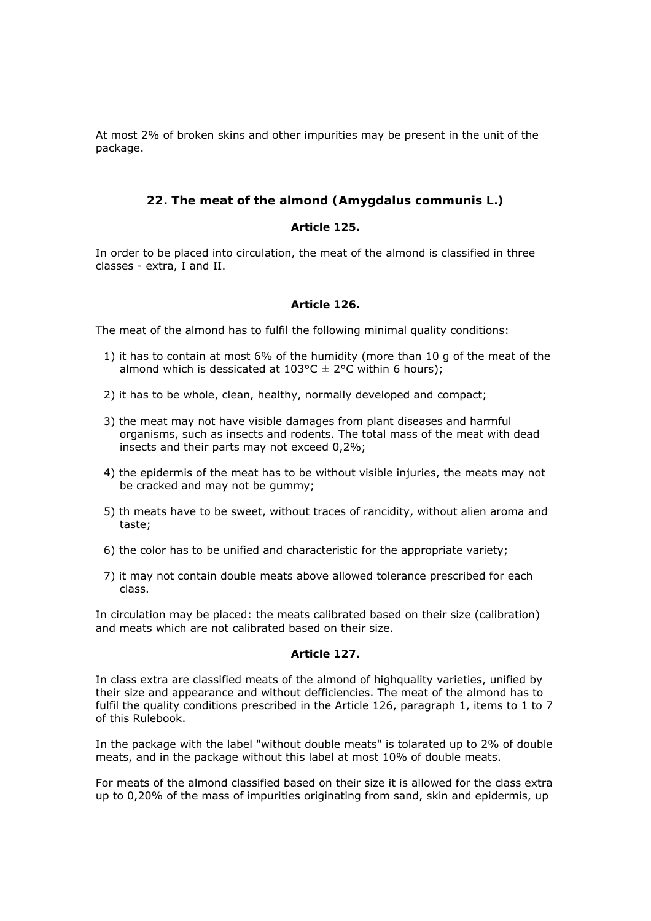At most 2% of broken skins and other impurities may be present in the unit of the package.

# **22. The meat of the almond (Amygdalus communis L.)**

### *Article 125.*

In order to be placed into circulation, the meat of the almond is classified in three classes - extra, I and II.

### *Article 126.*

The meat of the almond has to fulfil the following minimal quality conditions:

- 1) it has to contain at most 6% of the humidity (more than 10 g of the meat of the almond which is dessicated at  $103^{\circ}C \pm 2^{\circ}C$  within 6 hours);
- 2) it has to be whole, clean, healthy, normally developed and compact;
- 3) the meat may not have visible damages from plant diseases and harmful organisms, such as insects and rodents. The total mass of the meat with dead insects and their parts may not exceed 0,2%;
- 4) the epidermis of the meat has to be without visible injuries, the meats may not be cracked and may not be gummy;
- 5) th meats have to be sweet, without traces of rancidity, without alien aroma and taste;
- 6) the color has to be unified and characteristic for the appropriate variety;
- 7) it may not contain double meats above allowed tolerance prescribed for each class.

In circulation may be placed: the meats calibrated based on their size (calibration) and meats which are not calibrated based on their size.

# *Article 127.*

In class extra are classified meats of the almond of highquality varieties, unified by their size and appearance and without defficiencies. The meat of the almond has to fulfil the quality conditions prescribed in the Article 126, paragraph 1, items to 1 to 7 of this Rulebook.

In the package with the label "without double meats" is tolarated up to 2% of double meats, and in the package without this label at most 10% of double meats.

For meats of the almond classified based on their size it is allowed for the class extra up to 0,20% of the mass of impurities originating from sand, skin and epidermis, up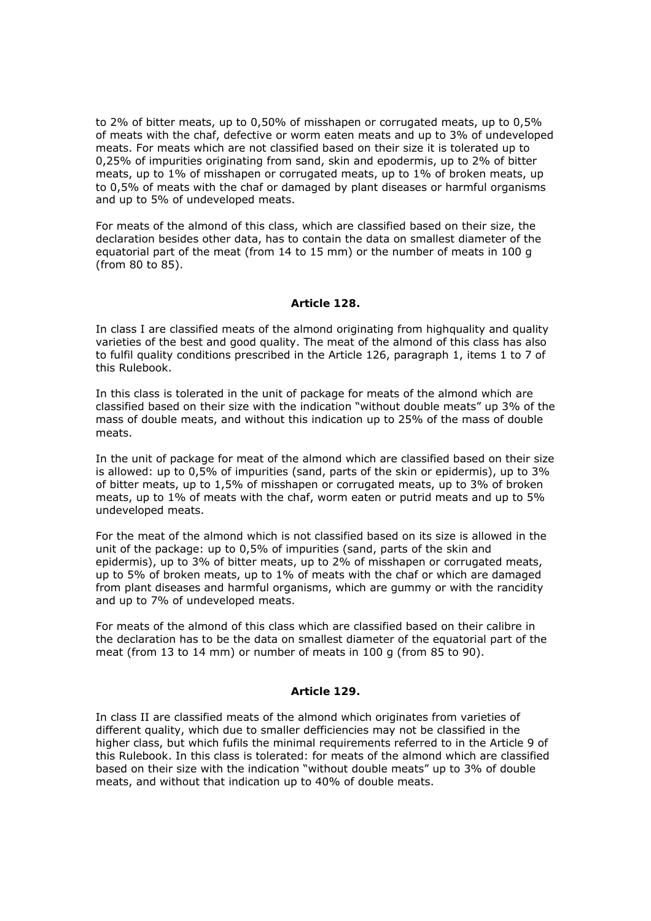to 2% of bitter meats, up to 0,50% of misshapen or corrugated meats, up to 0,5% of meats with the chaf, defective or worm eaten meats and up to 3% of undeveloped meats. For meats which are not classified based on their size it is tolerated up to 0,25% of impurities originating from sand, skin and epodermis, up to 2% of bitter meats, up to 1% of misshapen or corrugated meats, up to 1% of broken meats, up to 0,5% of meats with the chaf or damaged by plant diseases or harmful organisms and up to 5% of undeveloped meats.

For meats of the almond of this class, which are classified based on their size, the declaration besides other data, has to contain the data on smallest diameter of the equatorial part of the meat (from 14 to 15 mm) or the number of meats in 100 g (from 80 to 85).

### *Article 128.*

In class I are classified meats of the almond originating from highquality and quality varieties of the best and good quality. The meat of the almond of this class has also to fulfil quality conditions prescribed in the Article 126, paragraph 1, items 1 to 7 of this Rulebook.

In this class is tolerated in the unit of package for meats of the almond which are classified based on their size with the indication "without double meats" up 3% of the mass of double meats, and without this indication up to 25% of the mass of double meats.

In the unit of package for meat of the almond which are classified based on their size is allowed: up to 0,5% of impurities (sand, parts of the skin or epidermis), up to 3% of bitter meats, up to 1,5% of misshapen or corrugated meats, up to 3% of broken meats, up to 1% of meats with the chaf, worm eaten or putrid meats and up to 5% undeveloped meats.

For the meat of the almond which is not classified based on its size is allowed in the unit of the package: up to 0,5% of impurities (sand, parts of the skin and epidermis), up to 3% of bitter meats, up to 2% of misshapen or corrugated meats, up to 5% of broken meats, up to 1% of meats with the chaf or which are damaged from plant diseases and harmful organisms, which are gummy or with the rancidity and up to 7% of undeveloped meats.

For meats of the almond of this class which are classified based on their calibre in the declaration has to be the data on smallest diameter of the equatorial part of the meat (from 13 to 14 mm) or number of meats in 100 g (from 85 to 90).

#### *Article 129.*

In class II are classified meats of the almond which originates from varieties of different quality, which due to smaller defficiencies may not be classified in the higher class, but which fufils the minimal requirements referred to in the Article 9 of this Rulebook. In this class is tolerated: for meats of the almond which are classified based on their size with the indication "without double meats" up to 3% of double meats, and without that indication up to 40% of double meats.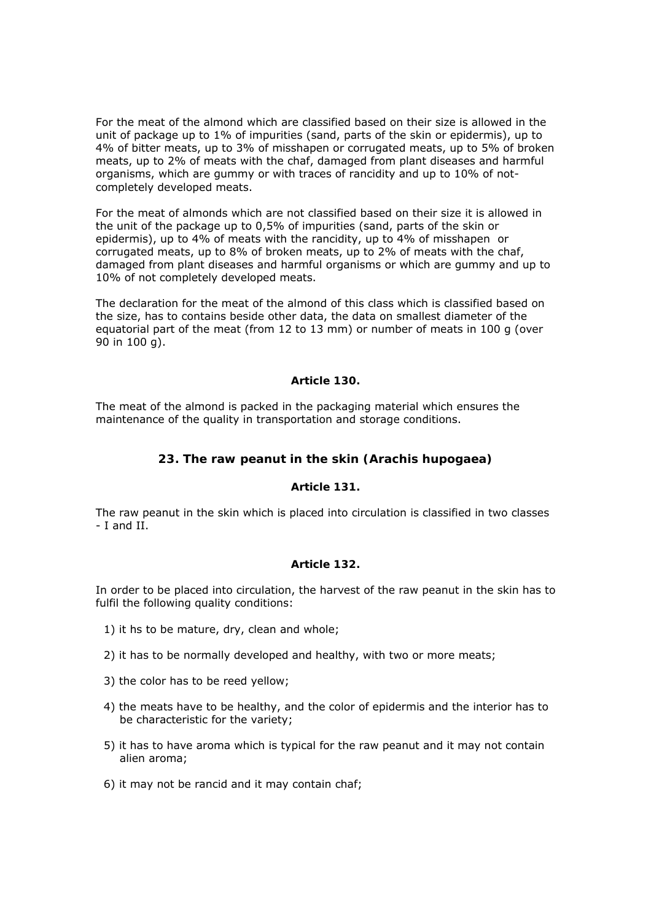For the meat of the almond which are classified based on their size is allowed in the unit of package up to 1% of impurities (sand, parts of the skin or epidermis), up to 4% of bitter meats, up to 3% of misshapen or corrugated meats, up to 5% of broken meats, up to 2% of meats with the chaf, damaged from plant diseases and harmful organisms, which are gummy or with traces of rancidity and up to 10% of notcompletely developed meats.

For the meat of almonds which are not classified based on their size it is allowed in the unit of the package up to 0,5% of impurities (sand, parts of the skin or epidermis), up to 4% of meats with the rancidity, up to 4% of misshapen or corrugated meats, up to 8% of broken meats, up to 2% of meats with the chaf, damaged from plant diseases and harmful organisms or which are gummy and up to 10% of not completely developed meats.

The declaration for the meat of the almond of this class which is classified based on the size, has to contains beside other data, the data on smallest diameter of the equatorial part of the meat (from 12 to 13 mm) or number of meats in 100 g (over 90 in 100 g).

### *Article 130.*

The meat of the almond is packed in the packaging material which ensures the maintenance of the quality in transportation and storage conditions.

## **23. The raw peanut in the skin (Arachis hupogaea)**

### *Article 131.*

The raw peanut in the skin which is placed into circulation is classified in two classes - I and II.

#### *Article 132.*

In order to be placed into circulation, the harvest of the raw peanut in the skin has to fulfil the following quality conditions:

- 1) it hs to be mature, dry, clean and whole;
- 2) it has to be normally developed and healthy, with two or more meats;
- 3) the color has to be reed yellow;
- 4) the meats have to be healthy, and the color of epidermis and the interior has to be characteristic for the variety;
- 5) it has to have aroma which is typical for the raw peanut and it may not contain alien aroma;
- 6) it may not be rancid and it may contain chaf;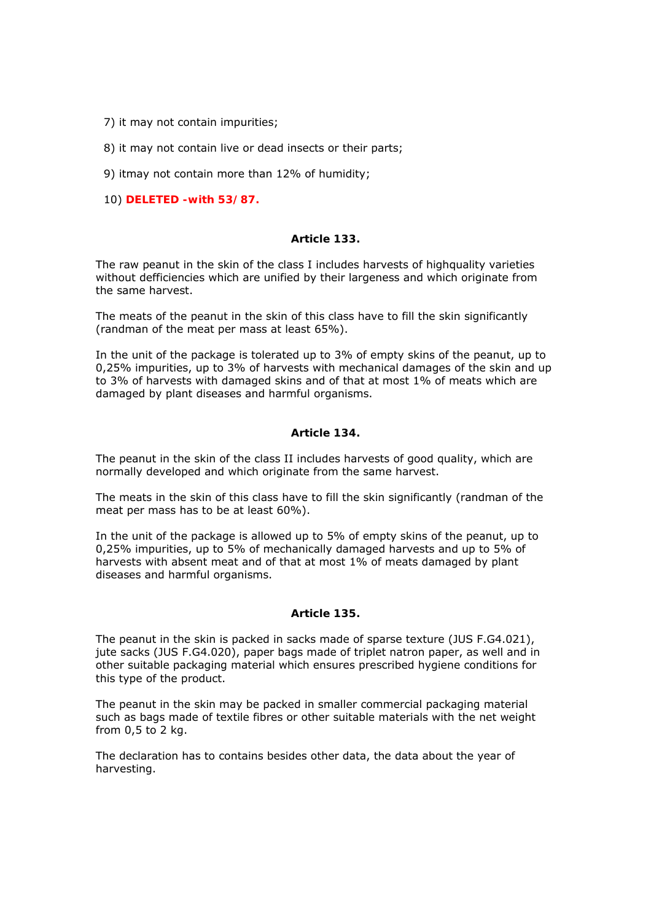- 7) it may not contain impurities;
- 8) it may not contain live or dead insects or their parts;
- 9) itmay not contain more than 12% of humidity;
- 10) **DELETED -with 53/87.**

#### *Article 133.*

The raw peanut in the skin of the class I includes harvests of highquality varieties without defficiencies which are unified by their largeness and which originate from the same harvest.

The meats of the peanut in the skin of this class have to fill the skin significantly (randman of the meat per mass at least 65%).

In the unit of the package is tolerated up to 3% of empty skins of the peanut, up to 0,25% impurities, up to 3% of harvests with mechanical damages of the skin and up to 3% of harvests with damaged skins and of that at most 1% of meats which are damaged by plant diseases and harmful organisms.

## *Article 134.*

The peanut in the skin of the class II includes harvests of good quality, which are normally developed and which originate from the same harvest.

The meats in the skin of this class have to fill the skin significantly (randman of the meat per mass has to be at least 60%).

In the unit of the package is allowed up to 5% of empty skins of the peanut, up to 0,25% impurities, up to 5% of mechanically damaged harvests and up to 5% of harvests with absent meat and of that at most 1% of meats damaged by plant diseases and harmful organisms.

#### *Article 135.*

The peanut in the skin is packed in sacks made of sparse texture (JUS F.G4.021), jute sacks (JUS F.G4.020), paper bags made of triplet natron paper, as well and in other suitable packaging material which ensures prescribed hygiene conditions for this type of the product.

The peanut in the skin may be packed in smaller commercial packaging material such as bags made of textile fibres or other suitable materials with the net weight from 0,5 to 2 kg.

The declaration has to contains besides other data, the data about the year of harvesting.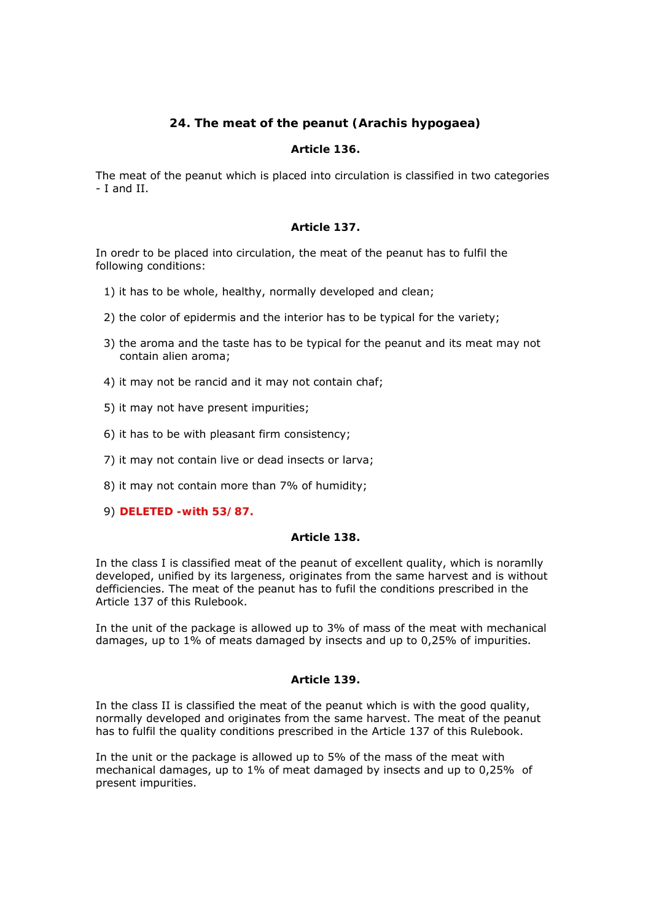# **24. The meat of the peanut (Arachis hypogaea)**

# *Article 136.*

The meat of the peanut which is placed into circulation is classified in two categories - I and II.

## *Article 137.*

In oredr to be placed into circulation, the meat of the peanut has to fulfil the following conditions:

- 1) it has to be whole, healthy, normally developed and clean;
- 2) the color of epidermis and the interior has to be typical for the variety;
- 3) the aroma and the taste has to be typical for the peanut and its meat may not contain alien aroma;
- 4) it may not be rancid and it may not contain chaf;
- 5) it may not have present impurities;
- 6) it has to be with pleasant firm consistency;
- 7) it may not contain live or dead insects or larva;
- 8) it may not contain more than 7% of humidity;
- 9) **DELETED -with 53/87.**

#### *Article 138.*

In the class I is classified meat of the peanut of excellent quality, which is noramlly developed, unified by its largeness, originates from the same harvest and is without defficiencies. The meat of the peanut has to fufil the conditions prescribed in the Article 137 of this Rulebook.

In the unit of the package is allowed up to 3% of mass of the meat with mechanical damages, up to 1% of meats damaged by insects and up to 0,25% of impurities.

### *Article 139.*

In the class II is classified the meat of the peanut which is with the good quality, normally developed and originates from the same harvest. The meat of the peanut has to fulfil the quality conditions prescribed in the Article 137 of this Rulebook.

In the unit or the package is allowed up to 5% of the mass of the meat with mechanical damages, up to 1% of meat damaged by insects and up to 0,25% of present impurities.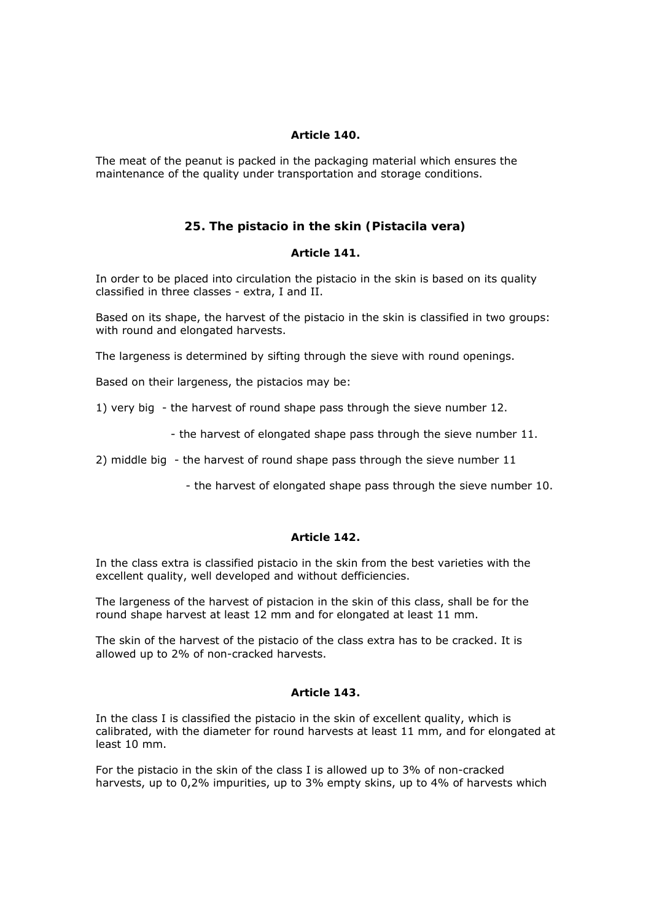## *Article 140.*

The meat of the peanut is packed in the packaging material which ensures the maintenance of the quality under transportation and storage conditions.

# **25. The pistacio in the skin (Pistacila vera)**

#### *Article 141.*

In order to be placed into circulation the pistacio in the skin is based on its quality classified in three classes - extra, I and II.

Based on its shape, the harvest of the pistacio in the skin is classified in two groups: with round and elongated harvests.

The largeness is determined by sifting through the sieve with round openings.

Based on their largeness, the pistacios may be:

1) very big - the harvest of round shape pass through the sieve number 12.

- the harvest of elongated shape pass through the sieve number 11.

2) middle big - the harvest of round shape pass through the sieve number 11

- the harvest of elongated shape pass through the sieve number 10.

#### *Article 142.*

In the class extra is classified pistacio in the skin from the best varieties with the excellent quality, well developed and without defficiencies.

The largeness of the harvest of pistacion in the skin of this class, shall be for the round shape harvest at least 12 mm and for elongated at least 11 mm.

The skin of the harvest of the pistacio of the class extra has to be cracked. It is allowed up to 2% of non-cracked harvests.

## *Article 143.*

In the class I is classified the pistacio in the skin of excellent quality, which is calibrated, with the diameter for round harvests at least 11 mm, and for elongated at least 10 mm.

For the pistacio in the skin of the class I is allowed up to 3% of non-cracked harvests, up to 0,2% impurities, up to 3% empty skins, up to 4% of harvests which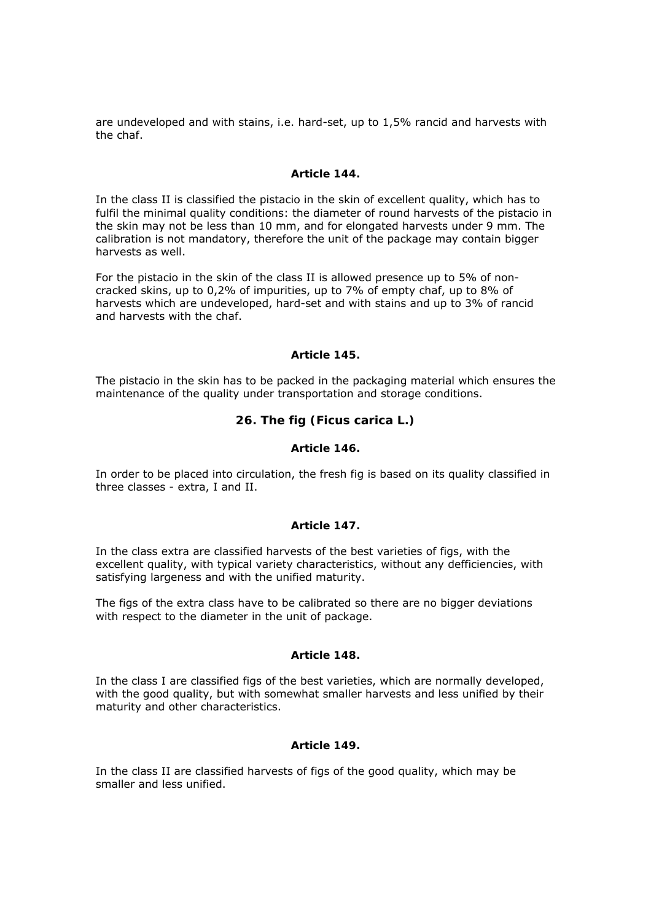are undeveloped and with stains, i.e. hard-set, up to 1,5% rancid and harvests with the chaf.

### *Article 144.*

In the class II is classified the pistacio in the skin of excellent quality, which has to fulfil the minimal quality conditions: the diameter of round harvests of the pistacio in the skin may not be less than 10 mm, and for elongated harvests under 9 mm. The calibration is not mandatory, therefore the unit of the package may contain bigger harvests as well.

For the pistacio in the skin of the class II is allowed presence up to 5% of noncracked skins, up to 0,2% of impurities, up to 7% of empty chaf, up to 8% of harvests which are undeveloped, hard-set and with stains and up to 3% of rancid and harvests with the chaf.

## *Article 145.*

The pistacio in the skin has to be packed in the packaging material which ensures the maintenance of the quality under transportation and storage conditions.

# **26. The fig (Ficus carica L.)**

# *Article 146.*

In order to be placed into circulation, the fresh fig is based on its quality classified in three classes - extra, I and II.

#### *Article 147.*

In the class extra are classified harvests of the best varieties of figs, with the excellent quality, with typical variety characteristics, without any defficiencies, with satisfying largeness and with the unified maturity.

The figs of the extra class have to be calibrated so there are no bigger deviations with respect to the diameter in the unit of package.

#### *Article 148.*

In the class I are classified figs of the best varieties, which are normally developed, with the good quality, but with somewhat smaller harvests and less unified by their maturity and other characteristics.

# *Article 149.*

In the class II are classified harvests of figs of the good quality, which may be smaller and less unified.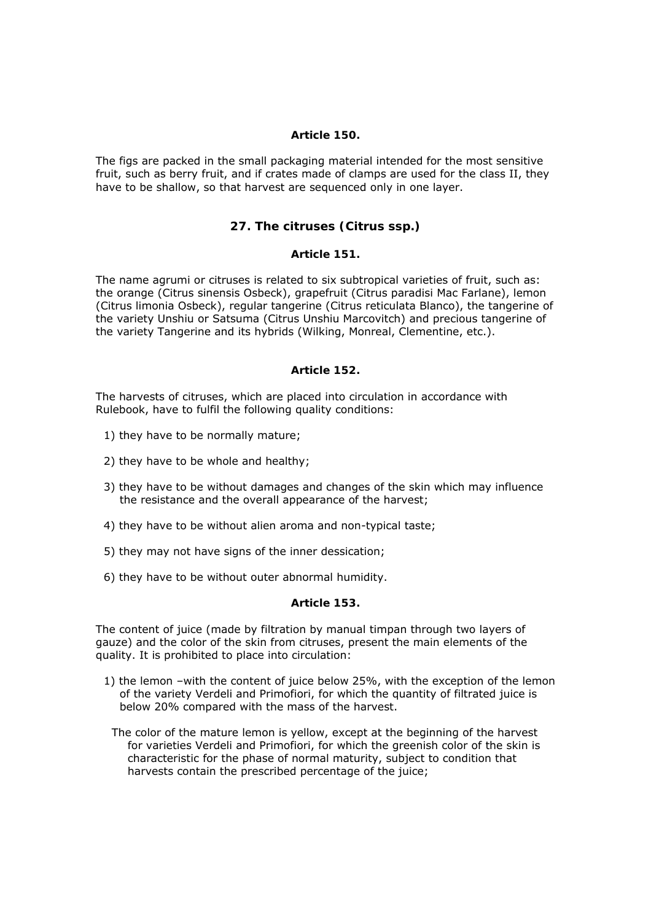#### *Article 150.*

The figs are packed in the small packaging material intended for the most sensitive fruit, such as berry fruit, and if crates made of clamps are used for the class II, they have to be shallow, so that harvest are sequenced only in one layer.

# **27. The citruses (Citrus ssp.)**

## *Article 151.*

The name agrumi or citruses is related to six subtropical varieties of fruit, such as: the orange (Citrus sinensis Osbeck), grapefruit (Citrus paradisi Mac Farlane), lemon (Citrus limonia Osbeck), regular tangerine (Citrus reticulata Blanco), the tangerine of the variety Unshiu or Satsuma (Citrus Unshiu Marcovitch) and precious tangerine of the variety Tangerine and its hybrids (Wilking, Monreal, Clementine, etc.).

## *Article 152.*

The harvests of citruses, which are placed into circulation in accordance with Rulebook, have to fulfil the following quality conditions:

- 1) they have to be normally mature;
- 2) they have to be whole and healthy;
- 3) they have to be without damages and changes of the skin which may influence the resistance and the overall appearance of the harvest;
- 4) they have to be without alien aroma and non-typical taste;
- 5) they may not have signs of the inner dessication;
- 6) they have to be without outer abnormal humidity.

# *Article 153.*

The content of juice (made by filtration by manual timpan through two layers of gauze) and the color of the skin from citruses, present the main elements of the quality. It is prohibited to place into circulation:

- 1) the lemon –with the content of juice below 25%, with the exception of the lemon of the variety Verdeli and Primofiori, for which the quantity of filtrated juice is below 20% compared with the mass of the harvest.
	- The color of the mature lemon is yellow, except at the beginning of the harvest for varieties Verdeli and Primofiori, for which the greenish color of the skin is characteristic for the phase of normal maturity, subject to condition that harvests contain the prescribed percentage of the juice;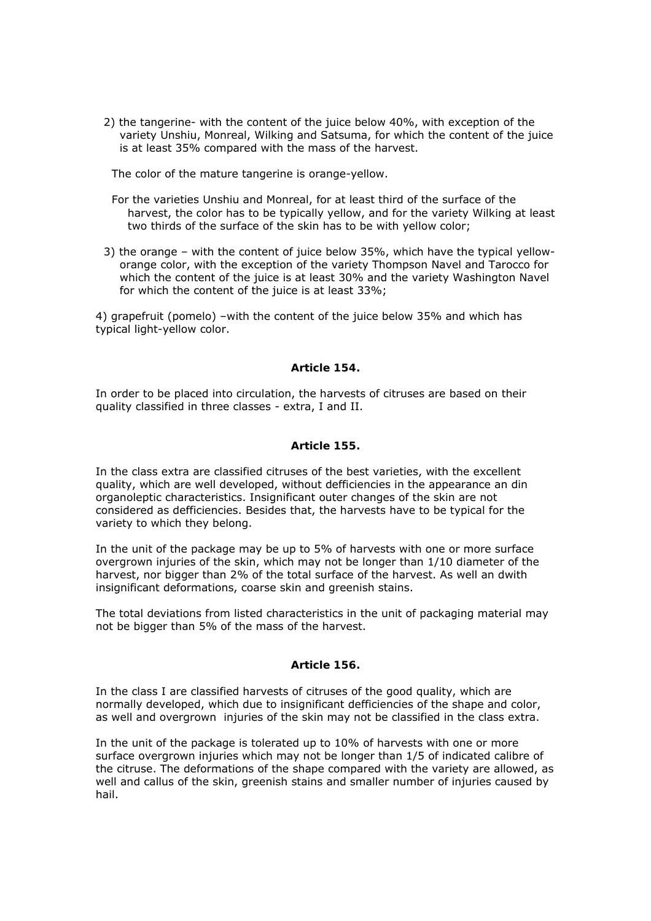2) the tangerine- with the content of the juice below 40%, with exception of the variety Unshiu, Monreal, Wilking and Satsuma, for which the content of the juice is at least 35% compared with the mass of the harvest.

The color of the mature tangerine is orange-yellow.

- For the varieties Unshiu and Monreal, for at least third of the surface of the harvest, the color has to be typically yellow, and for the variety Wilking at least two thirds of the surface of the skin has to be with yellow color;
- 3) the orange with the content of juice below 35%, which have the typical yelloworange color, with the exception of the variety Thompson Navel and Tarocco for which the content of the juice is at least 30% and the variety Washington Navel for which the content of the juice is at least 33%;

4) grapefruit (pomelo) –with the content of the juice below 35% and which has typical light-yellow color.

## *Article 154.*

In order to be placed into circulation, the harvests of citruses are based on their quality classified in three classes - extra, I and II.

#### *Article 155.*

In the class extra are classified citruses of the best varieties, with the excellent quality, which are well developed, without defficiencies in the appearance an din organoleptic characteristics. Insignificant outer changes of the skin are not considered as defficiencies. Besides that, the harvests have to be typical for the variety to which they belong.

In the unit of the package may be up to 5% of harvests with one or more surface overgrown injuries of the skin, which may not be longer than 1/10 diameter of the harvest, nor bigger than 2% of the total surface of the harvest. As well an dwith insignificant deformations, coarse skin and greenish stains.

The total deviations from listed characteristics in the unit of packaging material may not be bigger than 5% of the mass of the harvest.

#### *Article 156.*

In the class I are classified harvests of citruses of the good quality, which are normally developed, which due to insignificant defficiencies of the shape and color, as well and overgrown injuries of the skin may not be classified in the class extra.

In the unit of the package is tolerated up to 10% of harvests with one or more surface overgrown injuries which may not be longer than 1/5 of indicated calibre of the citruse. The deformations of the shape compared with the variety are allowed, as well and callus of the skin, greenish stains and smaller number of injuries caused by hail.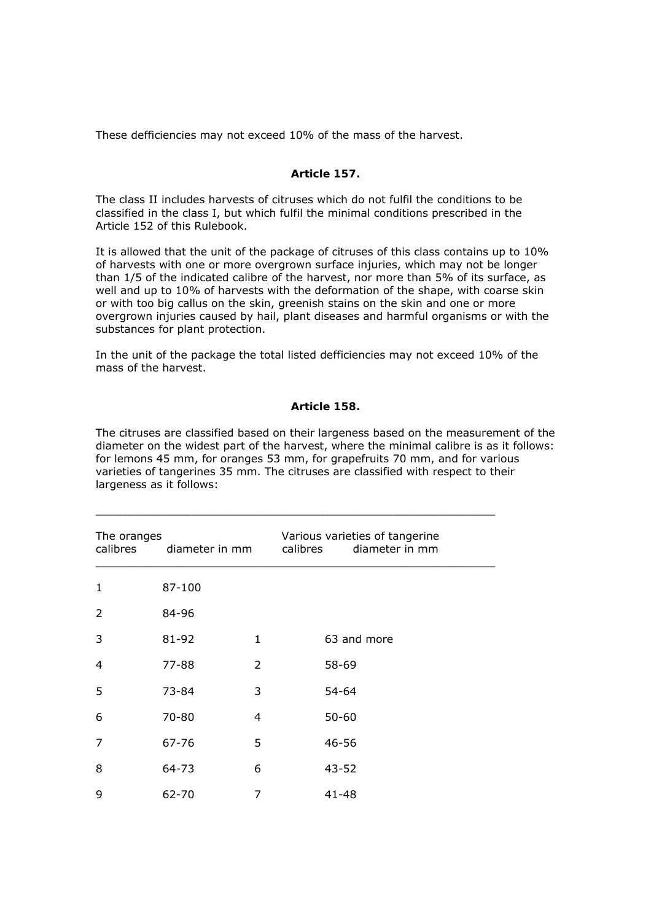These defficiencies may not exceed 10% of the mass of the harvest.

## *Article 157.*

The class II includes harvests of citruses which do not fulfil the conditions to be classified in the class I, but which fulfil the minimal conditions prescribed in the Article 152 of this Rulebook.

It is allowed that the unit of the package of citruses of this class contains up to 10% of harvests with one or more overgrown surface injuries, which may not be longer than 1/5 of the indicated calibre of the harvest, nor more than 5% of its surface, as well and up to 10% of harvests with the deformation of the shape, with coarse skin or with too big callus on the skin, greenish stains on the skin and one or more overgrown injuries caused by hail, plant diseases and harmful organisms or with the substances for plant protection.

In the unit of the package the total listed defficiencies may not exceed 10% of the mass of the harvest.

#### *Article 158.*

The citruses are classified based on their largeness based on the measurement of the diameter on the widest part of the harvest, where the minimal calibre is as it follows: for lemons 45 mm, for oranges 53 mm, for grapefruits 70 mm, and for various varieties of tangerines 35 mm. The citruses are classified with respect to their largeness as it follows:

| The oranges<br>calibres<br>diameter in mm |        |              | Various varieties of tangerine<br>diameter in mm<br>calibres |
|-------------------------------------------|--------|--------------|--------------------------------------------------------------|
| 1                                         | 87-100 |              |                                                              |
| 2                                         | 84-96  |              |                                                              |
| 3                                         | 81-92  | $\mathbf{1}$ | 63 and more                                                  |
| 4                                         | 77-88  | 2            | 58-69                                                        |
| 5                                         | 73-84  | 3            | 54-64                                                        |
| 6                                         | 70-80  | 4            | $50 - 60$                                                    |
| 7                                         | 67-76  | 5            | 46-56                                                        |
| 8                                         | 64-73  | 6            | $43 - 52$                                                    |
| 9                                         | 62-70  | 7            | 41-48                                                        |

 $\_$  , and the state of the state of the state of the state of the state of the state of the state of the state of the state of the state of the state of the state of the state of the state of the state of the state of the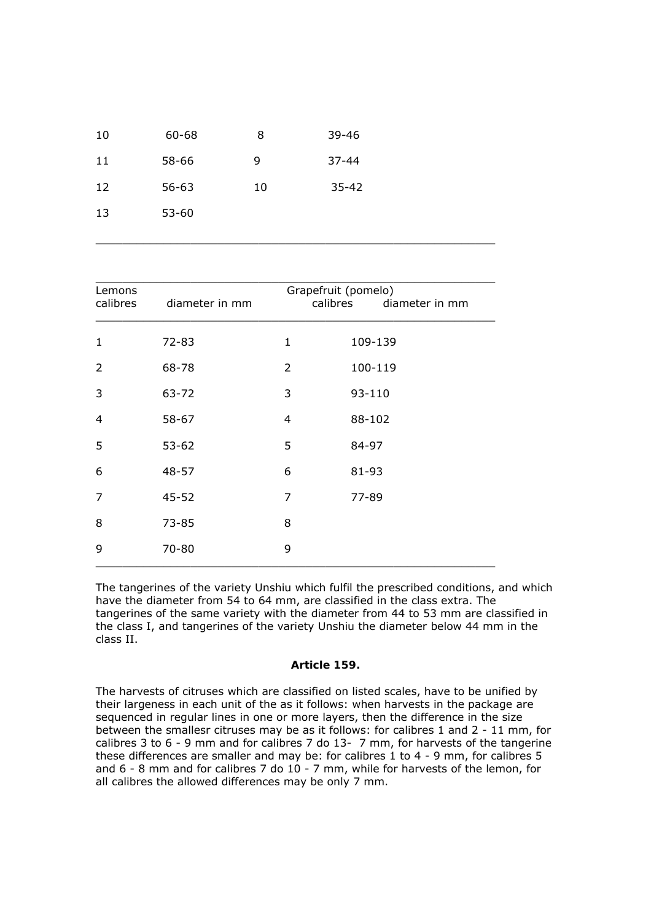| 10 | 60-68     | 8  | 39-46     |
|----|-----------|----|-----------|
| 11 | 58-66     | 9  | $37 - 44$ |
| 12 | $56 - 63$ | 10 | $35 - 42$ |
| 13 | $53 - 60$ |    |           |

| Lemons<br>calibres | diameter in mm | Grapefruit (pomelo)<br>calibres | diameter in mm |
|--------------------|----------------|---------------------------------|----------------|
| 1                  | $72 - 83$      | $\mathbf{1}$                    | 109-139        |
| 2                  | 68-78          | $\overline{2}$                  | 100-119        |
| 3                  | 63-72          | 3                               | 93-110         |
| 4                  | 58-67          | 4                               | 88-102         |
| 5                  | $53 - 62$      | 5                               | 84-97          |
| 6                  | 48-57          | 6                               | 81-93          |
| 7                  | $45 - 52$      | 7                               | 77-89          |
| 8                  | $73 - 85$      | 8                               |                |
| 9                  | 70-80          | 9                               |                |

 $\_$  , and the state of the state of the state of the state of the state of the state of the state of the state of the state of the state of the state of the state of the state of the state of the state of the state of the

The tangerines of the variety Unshiu which fulfil the prescribed conditions, and which have the diameter from 54 to 64 mm, are classified in the class extra. The tangerines of the same variety with the diameter from 44 to 53 mm are classified in the class I, and tangerines of the variety Unshiu the diameter below 44 mm in the class II.

### *Article 159.*

The harvests of citruses which are classified on listed scales, have to be unified by their largeness in each unit of the as it follows: when harvests in the package are sequenced in regular lines in one or more layers, then the difference in the size between the smallesr citruses may be as it follows: for calibres 1 and 2 - 11 mm, for calibres 3 to 6 - 9 mm and for calibres 7 do 13- 7 mm, for harvests of the tangerine these differences are smaller and may be: for calibres 1 to 4 - 9 mm, for calibres 5 and 6 - 8 mm and for calibres 7 do 10 - 7 mm, while for harvests of the lemon, for all calibres the allowed differences may be only 7 mm.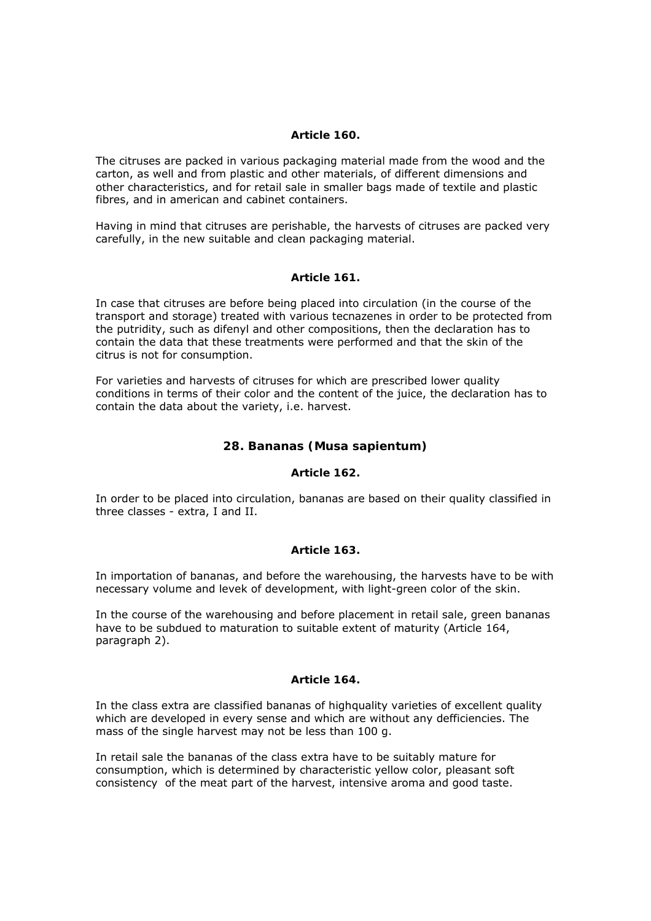### *Article 160.*

The citruses are packed in various packaging material made from the wood and the carton, as well and from plastic and other materials, of different dimensions and other characteristics, and for retail sale in smaller bags made of textile and plastic fibres, and in american and cabinet containers.

Having in mind that citruses are perishable, the harvests of citruses are packed very carefully, in the new suitable and clean packaging material.

## *Article 161.*

In case that citruses are before being placed into circulation (in the course of the transport and storage) treated with various tecnazenes in order to be protected from the putridity, such as difenyl and other compositions, then the declaration has to contain the data that these treatments were performed and that the skin of the citrus is not for consumption.

For varieties and harvests of citruses for which are prescribed lower quality conditions in terms of their color and the content of the juice, the declaration has to contain the data about the variety, i.e. harvest.

# **28. Bananas (Musa sapientum)**

## *Article 162.*

In order to be placed into circulation, bananas are based on their quality classified in three classes - extra, I and II.

#### *Article 163.*

In importation of bananas, and before the warehousing, the harvests have to be with necessary volume and levek of development, with light-green color of the skin.

In the course of the warehousing and before placement in retail sale, green bananas have to be subdued to maturation to suitable extent of maturity (Article 164, paragraph 2).

#### *Article 164.*

In the class extra are classified bananas of highquality varieties of excellent quality which are developed in every sense and which are without any defficiencies. The mass of the single harvest may not be less than 100 g.

In retail sale the bananas of the class extra have to be suitably mature for consumption, which is determined by characteristic yellow color, pleasant soft consistency of the meat part of the harvest, intensive aroma and good taste.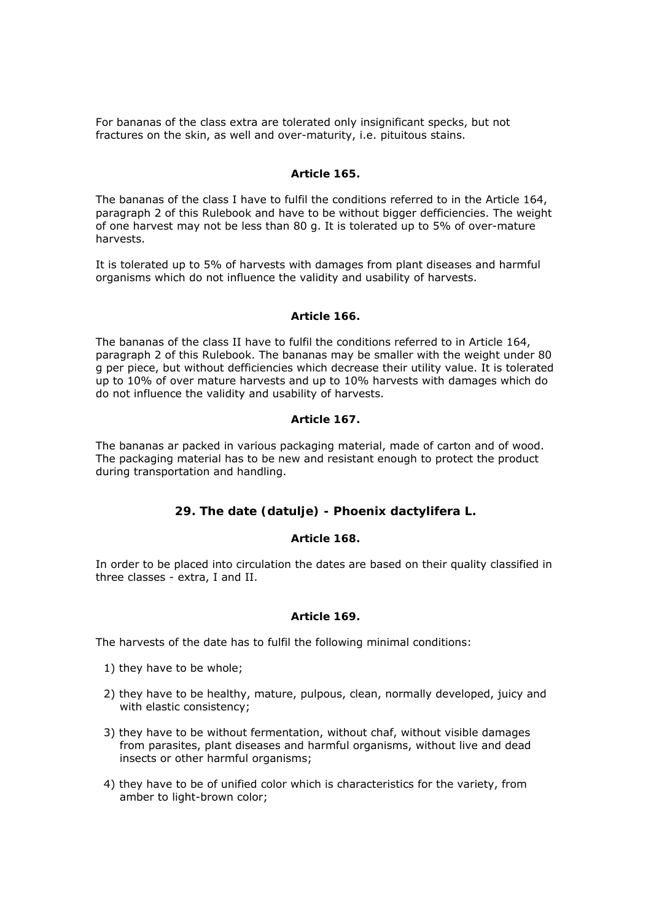For bananas of the class extra are tolerated only insignificant specks, but not fractures on the skin, as well and over-maturity, i.e. pituitous stains.

### *Article 165.*

The bananas of the class I have to fulfil the conditions referred to in the Article 164, paragraph 2 of this Rulebook and have to be without bigger defficiencies. The weight of one harvest may not be less than 80 g. It is tolerated up to 5% of over-mature harvests.

It is tolerated up to 5% of harvests with damages from plant diseases and harmful organisms which do not influence the validity and usability of harvests.

#### *Article 166.*

The bananas of the class II have to fulfil the conditions referred to in Article 164, paragraph 2 of this Rulebook. The bananas may be smaller with the weight under 80 g per piece, but without defficiencies which decrease their utility value. It is tolerated up to 10% of over mature harvests and up to 10% harvests with damages which do do not influence the validity and usability of harvests.

## *Article 167.*

The bananas ar packed in various packaging material, made of carton and of wood. The packaging material has to be new and resistant enough to protect the product during transportation and handling.

# **29. The date (datulje) - Phoenix dactylifera L.**

# *Article 168.*

In order to be placed into circulation the dates are based on their quality classified in three classes - extra, I and II.

## *Article 169.*

The harvests of the date has to fulfil the following minimal conditions:

- 1) they have to be whole;
- 2) they have to be healthy, mature, pulpous, clean, normally developed, juicy and with elastic consistency;
- 3) they have to be without fermentation, without chaf, without visible damages from parasites, plant diseases and harmful organisms, without live and dead insects or other harmful organisms;
- 4) they have to be of unified color which is characteristics for the variety, from amber to light-brown color;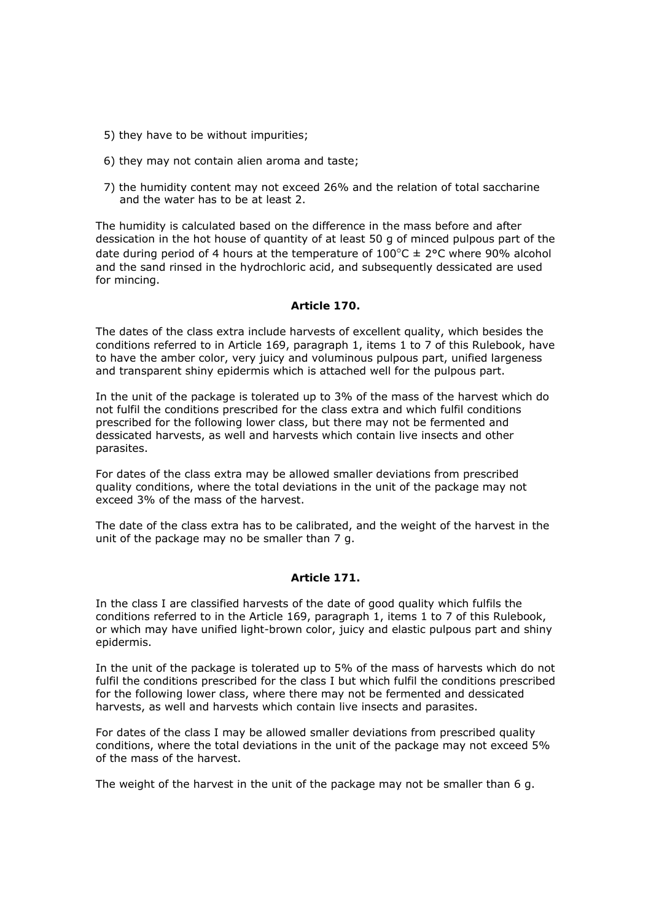- 5) they have to be without impurities;
- 6) they may not contain alien aroma and taste;
- 7) the humidity content may not exceed 26% and the relation of total saccharine and the water has to be at least 2.

The humidity is calculated based on the difference in the mass before and after dessication in the hot house of quantity of at least 50 g of minced pulpous part of the date during period of 4 hours at the temperature of  $100^{\circ}$ C  $\pm$  2°C where 90% alcohol and the sand rinsed in the hydrochloric acid, and subsequently dessicated are used for mincing.

# *Article 170.*

The dates of the class extra include harvests of excellent quality, which besides the conditions referred to in Article 169, paragraph 1, items 1 to 7 of this Rulebook, have to have the amber color, very juicy and voluminous pulpous part, unified largeness and transparent shiny epidermis which is attached well for the pulpous part.

In the unit of the package is tolerated up to 3% of the mass of the harvest which do not fulfil the conditions prescribed for the class extra and which fulfil conditions prescribed for the following lower class, but there may not be fermented and dessicated harvests, as well and harvests which contain live insects and other parasites.

For dates of the class extra may be allowed smaller deviations from prescribed quality conditions, where the total deviations in the unit of the package may not exceed 3% of the mass of the harvest.

The date of the class extra has to be calibrated, and the weight of the harvest in the unit of the package may no be smaller than 7 g.

# *Article 171.*

In the class I are classified harvests of the date of good quality which fulfils the conditions referred to in the Article 169, paragraph 1, items 1 to 7 of this Rulebook, or which may have unified light-brown color, juicy and elastic pulpous part and shiny epidermis.

In the unit of the package is tolerated up to 5% of the mass of harvests which do not fulfil the conditions prescribed for the class I but which fulfil the conditions prescribed for the following lower class, where there may not be fermented and dessicated harvests, as well and harvests which contain live insects and parasites.

For dates of the class I may be allowed smaller deviations from prescribed quality conditions, where the total deviations in the unit of the package may not exceed 5% of the mass of the harvest.

The weight of the harvest in the unit of the package may not be smaller than 6 g.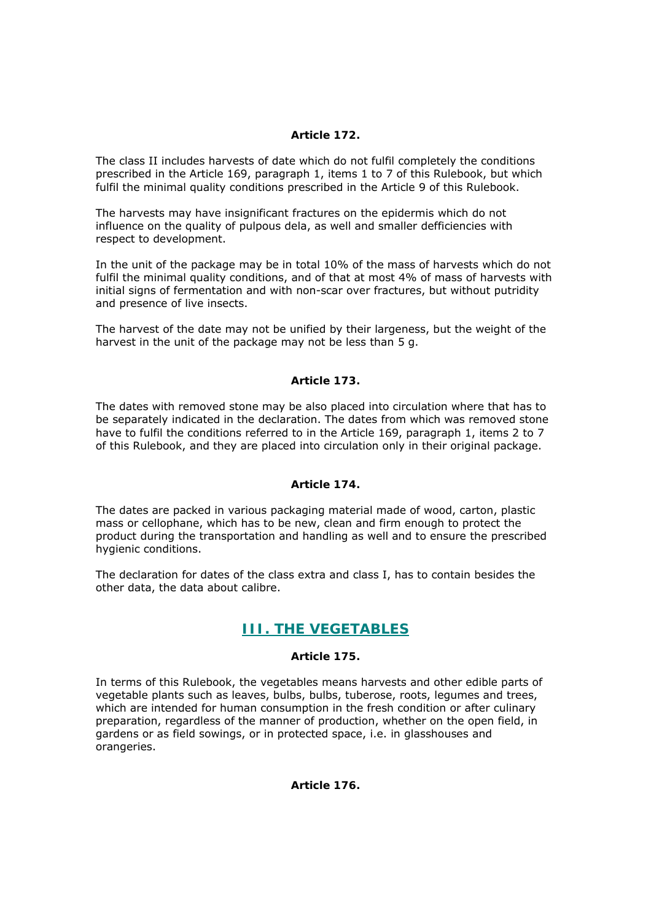# *Article 172.*

The class II includes harvests of date which do not fulfil completely the conditions prescribed in the Article 169, paragraph 1, items 1 to 7 of this Rulebook, but which fulfil the minimal quality conditions prescribed in the Article 9 of this Rulebook.

The harvests may have insignificant fractures on the epidermis which do not influence on the quality of pulpous dela, as well and smaller defficiencies with respect to development.

In the unit of the package may be in total 10% of the mass of harvests which do not fulfil the minimal quality conditions, and of that at most 4% of mass of harvests with initial signs of fermentation and with non-scar over fractures, but without putridity and presence of live insects.

The harvest of the date may not be unified by their largeness, but the weight of the harvest in the unit of the package may not be less than 5 g.

## *Article 173.*

The dates with removed stone may be also placed into circulation where that has to be separately indicated in the declaration. The dates from which was removed stone have to fulfil the conditions referred to in the Article 169, paragraph 1, items 2 to 7 of this Rulebook, and they are placed into circulation only in their original package.

## *Article 174.*

The dates are packed in various packaging material made of wood, carton, plastic mass or cellophane, which has to be new, clean and firm enough to protect the product during the transportation and handling as well and to ensure the prescribed hygienic conditions.

The declaration for dates of the class extra and class I, has to contain besides the other data, the data about calibre.

# **III. THE VEGETABLES**

#### *Article 175.*

In terms of this Rulebook, the vegetables means harvests and other edible parts of vegetable plants such as leaves, bulbs, bulbs, tuberose, roots, legumes and trees, which are intended for human consumption in the fresh condition or after culinary preparation, regardless of the manner of production, whether on the open field, in gardens or as field sowings, or in protected space, i.e. in glasshouses and orangeries.

#### *Article 176.*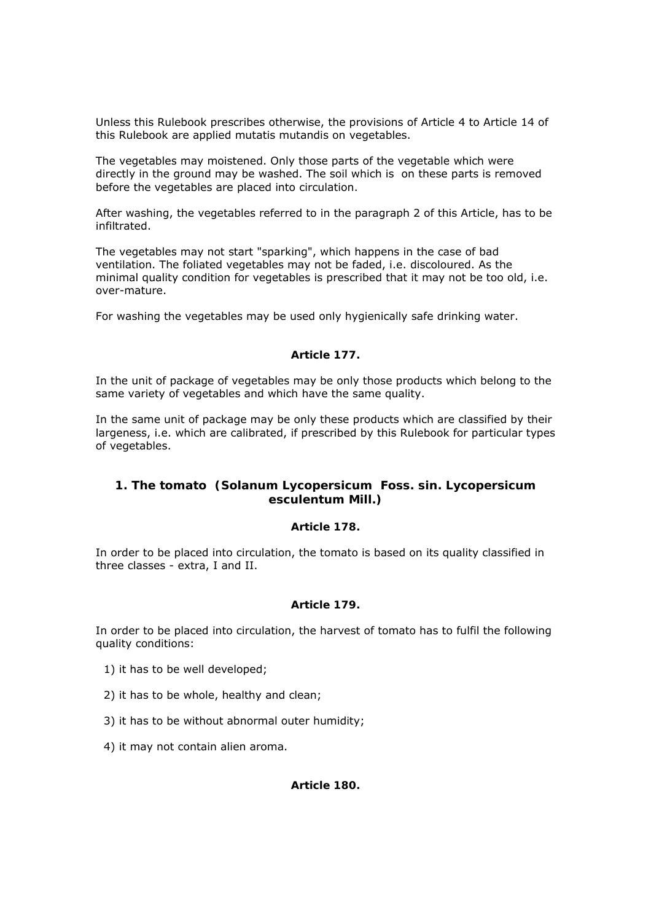Unless this Rulebook prescribes otherwise, the provisions of Article 4 to Article 14 of this Rulebook are applied mutatis mutandis on vegetables.

The vegetables may moistened. Only those parts of the vegetable which were directly in the ground may be washed. The soil which is on these parts is removed before the vegetables are placed into circulation.

After washing, the vegetables referred to in the paragraph 2 of this Article, has to be infiltrated.

The vegetables may not start "sparking", which happens in the case of bad ventilation. The foliated vegetables may not be faded, i.e. discoloured. As the minimal quality condition for vegetables is prescribed that it may not be too old, i.e. over-mature.

For washing the vegetables may be used only hygienically safe drinking water.

# *Article 177.*

In the unit of package of vegetables may be only those products which belong to the same variety of vegetables and which have the same quality.

In the same unit of package may be only these products which are classified by their largeness, i.e. which are calibrated, if prescribed by this Rulebook for particular types of vegetables.

# **1. The tomato (Solanum Lycopersicum Foss. sin. Lycopersicum esculentum Mill.)**

# *Article 178.*

In order to be placed into circulation, the tomato is based on its quality classified in three classes - extra, I and II.

# *Article 179.*

In order to be placed into circulation, the harvest of tomato has to fulfil the following quality conditions:

- 1) it has to be well developed;
- 2) it has to be whole, healthy and clean;
- 3) it has to be without abnormal outer humidity;
- 4) it may not contain alien aroma.

#### *Article 180.*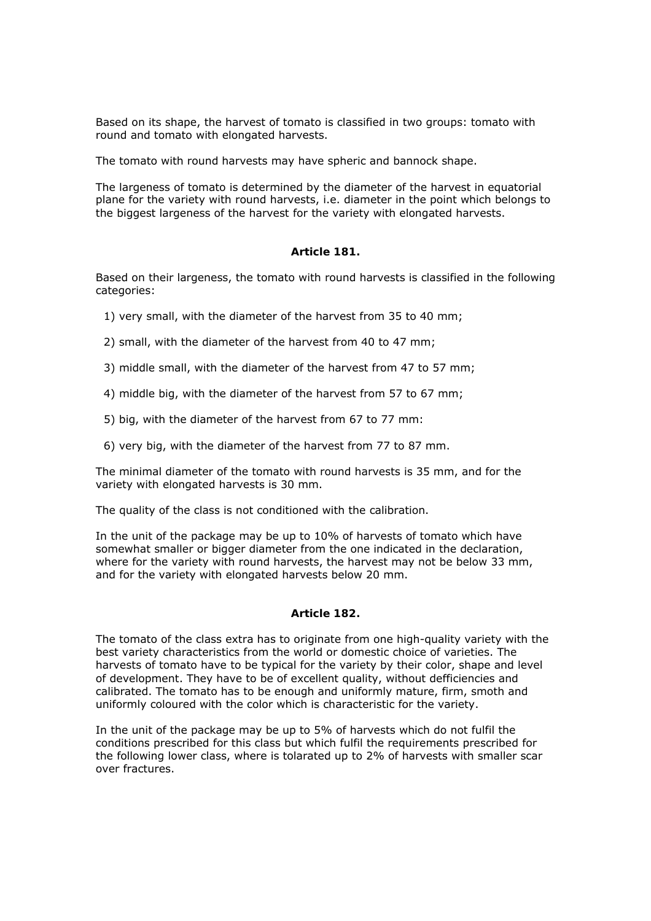Based on its shape, the harvest of tomato is classified in two groups: tomato with round and tomato with elongated harvests.

The tomato with round harvests may have spheric and bannock shape.

The largeness of tomato is determined by the diameter of the harvest in equatorial plane for the variety with round harvests, i.e. diameter in the point which belongs to the biggest largeness of the harvest for the variety with elongated harvests.

## *Article 181.*

Based on their largeness, the tomato with round harvests is classified in the following categories:

- 1) very small, with the diameter of the harvest from 35 to 40 mm;
- 2) small, with the diameter of the harvest from 40 to 47 mm;
- 3) middle small, with the diameter of the harvest from 47 to 57 mm;
- 4) middle big, with the diameter of the harvest from 57 to 67 mm;
- 5) big, with the diameter of the harvest from 67 to 77 mm:
- 6) very big, with the diameter of the harvest from 77 to 87 mm.

The minimal diameter of the tomato with round harvests is 35 mm, and for the variety with elongated harvests is 30 mm.

The quality of the class is not conditioned with the calibration.

In the unit of the package may be up to 10% of harvests of tomato which have somewhat smaller or bigger diameter from the one indicated in the declaration, where for the variety with round harvests, the harvest may not be below 33 mm, and for the variety with elongated harvests below 20 mm.

#### *Article 182.*

The tomato of the class extra has to originate from one high-quality variety with the best variety characteristics from the world or domestic choice of varieties. The harvests of tomato have to be typical for the variety by their color, shape and level of development. They have to be of excellent quality, without defficiencies and calibrated. The tomato has to be enough and uniformly mature, firm, smoth and uniformly coloured with the color which is characteristic for the variety.

In the unit of the package may be up to 5% of harvests which do not fulfil the conditions prescribed for this class but which fulfil the requirements prescribed for the following lower class, where is tolarated up to 2% of harvests with smaller scar over fractures.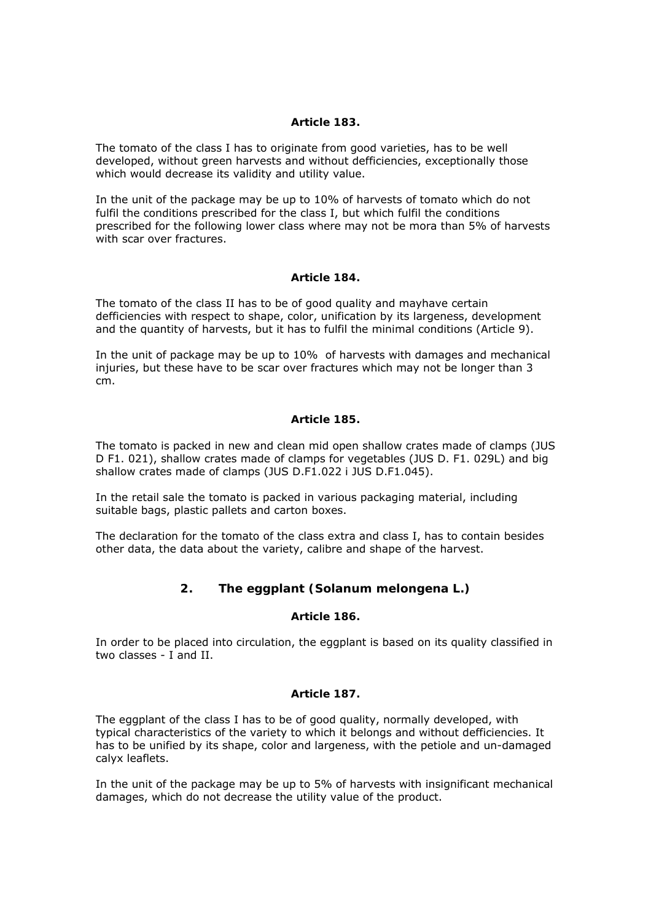### *Article 183.*

The tomato of the class I has to originate from good varieties, has to be well developed, without green harvests and without defficiencies, exceptionally those which would decrease its validity and utility value.

In the unit of the package may be up to 10% of harvests of tomato which do not fulfil the conditions prescribed for the class I, but which fulfil the conditions prescribed for the following lower class where may not be mora than 5% of harvests with scar over fractures.

# *Article 184.*

The tomato of the class II has to be of good quality and mayhave certain defficiencies with respect to shape, color, unification by its largeness, development and the quantity of harvests, but it has to fulfil the minimal conditions (Article 9).

In the unit of package may be up to 10% of harvests with damages and mechanical injuries, but these have to be scar over fractures which may not be longer than 3 cm.

## *Article 185.*

The tomato is packed in new and clean mid open shallow crates made of clamps (JUS D F1. 021), shallow crates made of clamps for vegetables (JUS D. F1. 029L) and big shallow crates made of clamps (JUS D.F1.022 i JUS D.F1.045).

In the retail sale the tomato is packed in various packaging material, including suitable bags, plastic pallets and carton boxes.

The declaration for the tomato of the class extra and class I, has to contain besides other data, the data about the variety, calibre and shape of the harvest.

# **2. The eggplant (Solanum melongena L.)**

# *Article 186.*

In order to be placed into circulation, the eggplant is based on its quality classified in two classes - I and II.

#### *Article 187.*

The eggplant of the class I has to be of good quality, normally developed, with typical characteristics of the variety to which it belongs and without defficiencies. It has to be unified by its shape, color and largeness, with the petiole and un-damaged calyx leaflets.

In the unit of the package may be up to 5% of harvests with insignificant mechanical damages, which do not decrease the utility value of the product.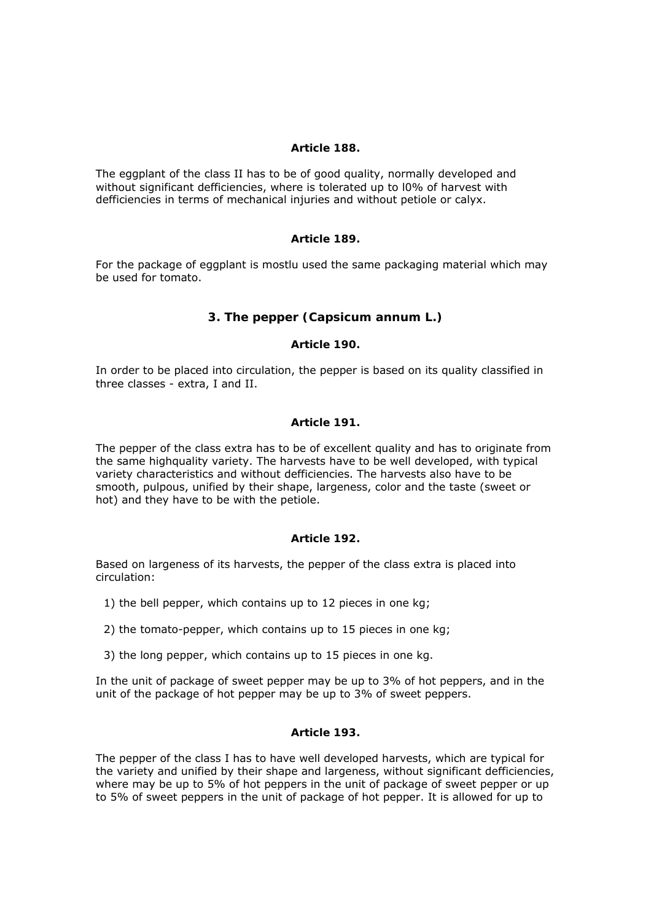## *Article 188.*

The eggplant of the class II has to be of good quality, normally developed and without significant defficiencies, where is tolerated up to l0% of harvest with defficiencies in terms of mechanical injuries and without petiole or calyx.

## *Article 189.*

For the package of eggplant is mostlu used the same packaging material which may be used for tomato.

# **3. The pepper (Capsicum annum L.)**

#### *Article 190.*

In order to be placed into circulation, the pepper is based on its quality classified in three classes - extra, I and II.

#### *Article 191.*

The pepper of the class extra has to be of excellent quality and has to originate from the same highquality variety. The harvests have to be well developed, with typical variety characteristics and without defficiencies. The harvests also have to be smooth, pulpous, unified by their shape, largeness, color and the taste (sweet or hot) and they have to be with the petiole.

## *Article 192.*

Based on largeness of its harvests, the pepper of the class extra is placed into circulation:

- 1) the bell pepper, which contains up to 12 pieces in one kg;
- 2) the tomato-pepper, which contains up to 15 pieces in one kg;
- 3) the long pepper, which contains up to 15 pieces in one kg.

In the unit of package of sweet pepper may be up to 3% of hot peppers, and in the unit of the package of hot pepper may be up to 3% of sweet peppers.

#### *Article 193.*

The pepper of the class I has to have well developed harvests, which are typical for the variety and unified by their shape and largeness, without significant defficiencies, where may be up to 5% of hot peppers in the unit of package of sweet pepper or up to 5% of sweet peppers in the unit of package of hot pepper. It is allowed for up to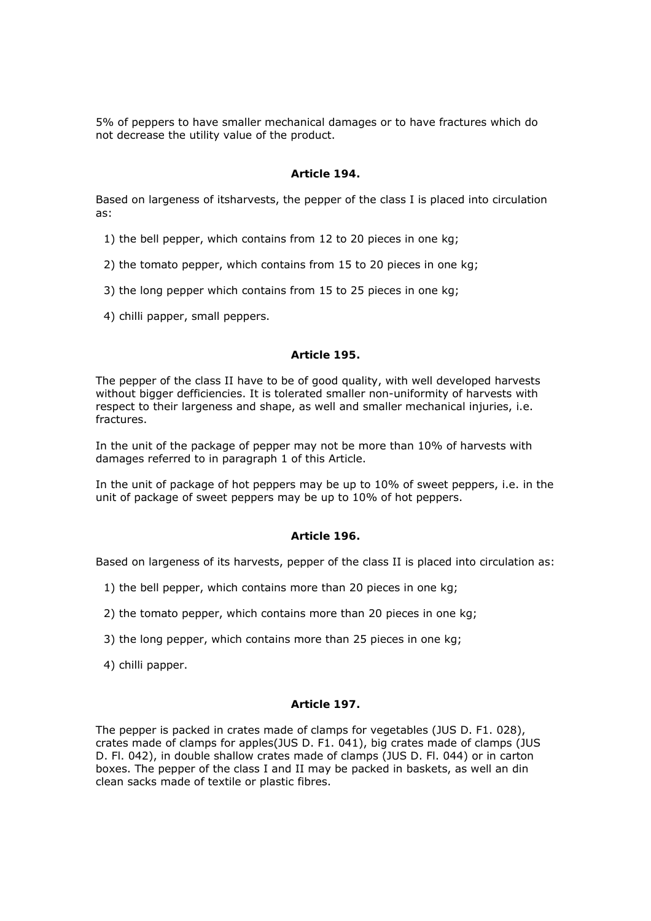5% of peppers to have smaller mechanical damages or to have fractures which do not decrease the utility value of the product.

# *Article 194.*

Based on largeness of itsharvests, the pepper of the class I is placed into circulation as:

- 1) the bell pepper, which contains from 12 to 20 pieces in one kg;
- 2) the tomato pepper, which contains from 15 to 20 pieces in one kg;
- 3) the long pepper which contains from 15 to 25 pieces in one kg;
- 4) chilli papper, small peppers.

# *Article 195.*

The pepper of the class II have to be of good quality, with well developed harvests without bigger defficiencies. It is tolerated smaller non-uniformity of harvests with respect to their largeness and shape, as well and smaller mechanical injuries, i.e. fractures.

In the unit of the package of pepper may not be more than 10% of harvests with damages referred to in paragraph 1 of this Article.

In the unit of package of hot peppers may be up to 10% of sweet peppers, i.e. in the unit of package of sweet peppers may be up to 10% of hot peppers.

# *Article 196.*

Based on largeness of its harvests, pepper of the class II is placed into circulation as:

- 1) the bell pepper, which contains more than 20 pieces in one kg;
- 2) the tomato pepper, which contains more than 20 pieces in one kg;
- 3) the long pepper, which contains more than 25 pieces in one kg;
- 4) chilli papper.

# *Article 197.*

The pepper is packed in crates made of clamps for vegetables (JUS D. F1. 028), crates made of clamps for apples(JUS D. F1. 041), big crates made of clamps (JUS D. Fl. 042), in double shallow crates made of clamps (JUS D. Fl. 044) or in carton boxes. The pepper of the class I and II may be packed in baskets, as well an din clean sacks made of textile or plastic fibres.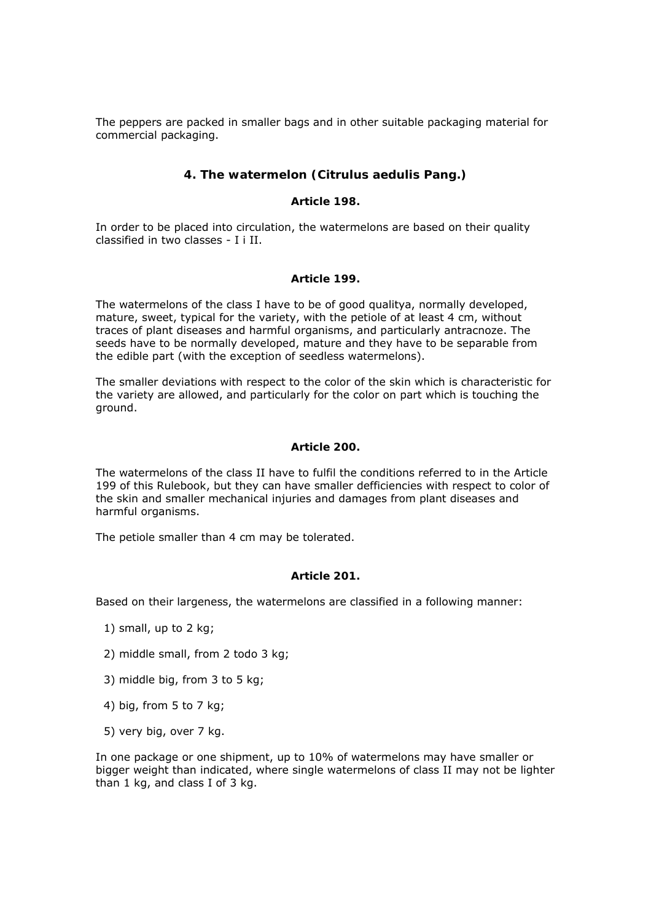The peppers are packed in smaller bags and in other suitable packaging material for commercial packaging.

# **4. The watermelon (Citrulus aedulis Pang.)**

### *Article 198.*

In order to be placed into circulation, the watermelons are based on their quality classified in two classes - I i II.

## *Article 199.*

The watermelons of the class I have to be of good qualitya, normally developed, mature, sweet, typical for the variety, with the petiole of at least 4 cm, without traces of plant diseases and harmful organisms, and particularly antracnoze. The seeds have to be normally developed, mature and they have to be separable from the edible part (with the exception of seedless watermelons).

The smaller deviations with respect to the color of the skin which is characteristic for the variety are allowed, and particularly for the color on part which is touching the ground.

#### *Article 200.*

The watermelons of the class II have to fulfil the conditions referred to in the Article 199 of this Rulebook, but they can have smaller defficiencies with respect to color of the skin and smaller mechanical injuries and damages from plant diseases and harmful organisms.

The petiole smaller than 4 cm may be tolerated.

# *Article 201.*

Based on their largeness, the watermelons are classified in a following manner:

- 1) small, up to 2 kg;
- 2) middle small, from 2 todo 3 kg;
- 3) middle big, from 3 to 5 kg;
- 4) big, from 5 to 7 kg;
- 5) very big, over 7 kg.

In one package or one shipment, up to 10% of watermelons may have smaller or bigger weight than indicated, where single watermelons of class II may not be lighter than 1 kg, and class I of 3 kg.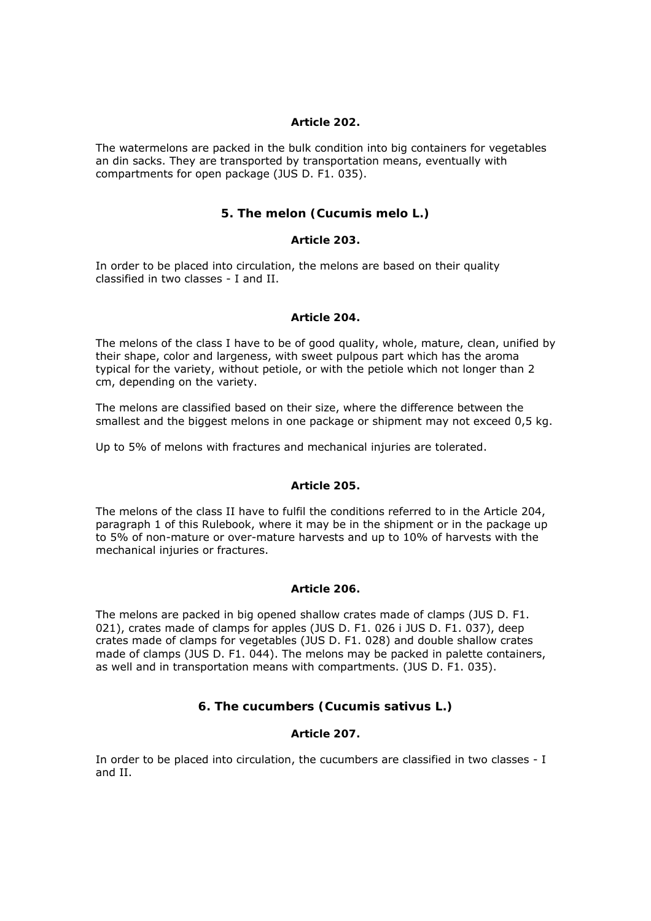## *Article 202.*

The watermelons are packed in the bulk condition into big containers for vegetables an din sacks. They are transported by transportation means, eventually with compartments for open package (JUS D. F1. 035).

# **5. The melon (Cucumis melo L.)**

## *Article 203.*

In order to be placed into circulation, the melons are based on their quality classified in two classes - I and II.

## *Article 204.*

The melons of the class I have to be of good quality, whole, mature, clean, unified by their shape, color and largeness, with sweet pulpous part which has the aroma typical for the variety, without petiole, or with the petiole which not longer than 2 cm, depending on the variety.

The melons are classified based on their size, where the difference between the smallest and the biggest melons in one package or shipment may not exceed 0,5 kg.

Up to 5% of melons with fractures and mechanical injuries are tolerated.

# *Article 205.*

The melons of the class II have to fulfil the conditions referred to in the Article 204, paragraph 1 of this Rulebook, where it may be in the shipment or in the package up to 5% of non-mature or over-mature harvests and up to 10% of harvests with the mechanical injuries or fractures.

# *Article 206.*

The melons are packed in big opened shallow crates made of clamps (JUS D. F1. 021), crates made of clamps for apples (JUS D. F1. 026 i JUS D. F1. 037), deep crates made of clamps for vegetables (JUS D. F1. 028) and double shallow crates made of clamps (JUS D. F1. 044). The melons may be packed in palette containers, as well and in transportation means with compartments. (JUS D. F1. 035).

# **6. The cucumbers (Cucumis sativus L.)**

# *Article 207.*

In order to be placed into circulation, the cucumbers are classified in two classes - I and II.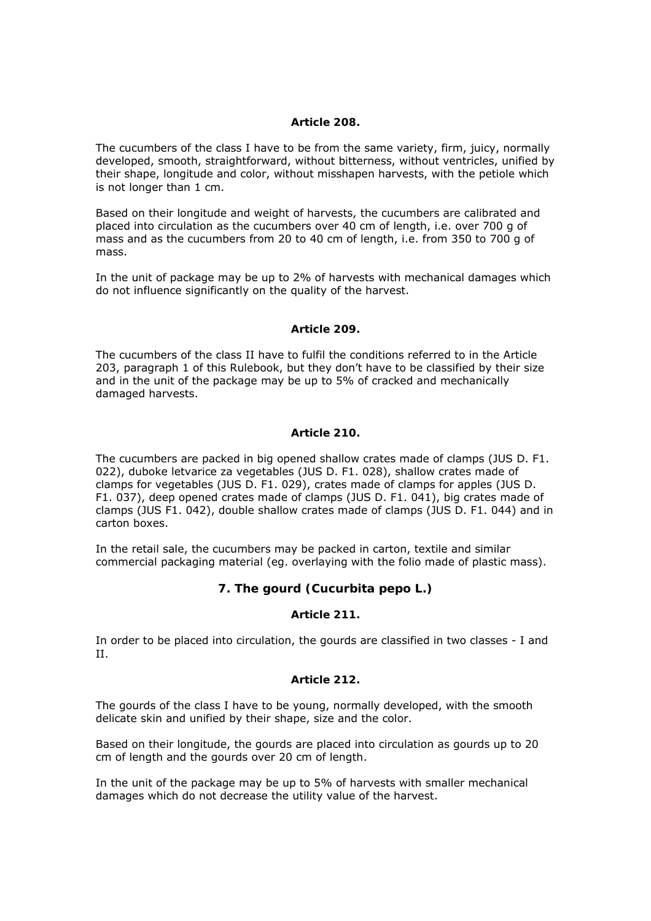## *Article 208.*

The cucumbers of the class I have to be from the same variety, firm, juicy, normally developed, smooth, straightforward, without bitterness, without ventricles, unified by their shape, longitude and color, without misshapen harvests, with the petiole which is not longer than 1 cm.

Based on their longitude and weight of harvests, the cucumbers are calibrated and placed into circulation as the cucumbers over 40 cm of length, i.e. over 700 g of mass and as the cucumbers from 20 to 40 cm of length, i.e. from 350 to 700 g of mass.

In the unit of package may be up to 2% of harvests with mechanical damages which do not influence significantly on the quality of the harvest.

## *Article 209.*

The cucumbers of the class II have to fulfil the conditions referred to in the Article 203, paragraph 1 of this Rulebook, but they don't have to be classified by their size and in the unit of the package may be up to 5% of cracked and mechanically damaged harvests.

#### *Article 210.*

The cucumbers are packed in big opened shallow crates made of clamps (JUS D. F1. 022), duboke letvarice za vegetables (JUS D. F1. 028), shallow crates made of clamps for vegetables (JUS D. F1. 029), crates made of clamps for apples (JUS D. F1. 037), deep opened crates made of clamps (JUS D. F1. 041), big crates made of clamps (JUS F1. 042), double shallow crates made of clamps (JUS D. F1. 044) and in carton boxes.

In the retail sale, the cucumbers may be packed in carton, textile and similar commercial packaging material (eg. overlaying with the folio made of plastic mass).

# **7. The gourd (Cucurbita pepo L.)**

## *Article 211.*

In order to be placed into circulation, the gourds are classified in two classes - I and II.

#### *Article 212.*

The gourds of the class I have to be young, normally developed, with the smooth delicate skin and unified by their shape, size and the color.

Based on their longitude, the gourds are placed into circulation as gourds up to 20 cm of length and the gourds over 20 cm of length.

In the unit of the package may be up to 5% of harvests with smaller mechanical damages which do not decrease the utility value of the harvest.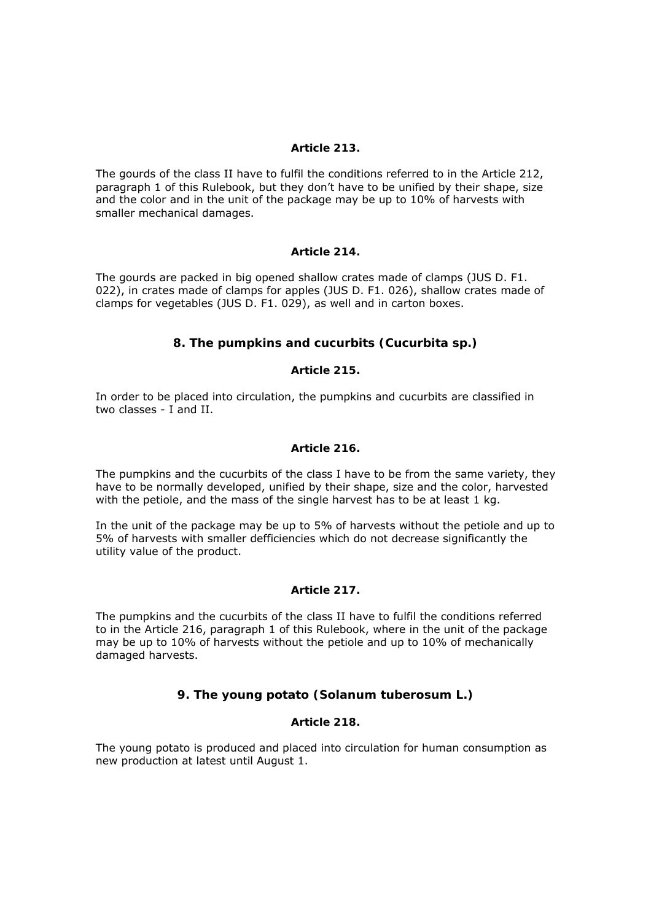## *Article 213.*

The gourds of the class II have to fulfil the conditions referred to in the Article 212, paragraph 1 of this Rulebook, but they don't have to be unified by their shape, size and the color and in the unit of the package may be up to 10% of harvests with smaller mechanical damages.

## *Article 214.*

The gourds are packed in big opened shallow crates made of clamps (JUS D. F1. 022), in crates made of clamps for apples (JUS D. F1. 026), shallow crates made of clamps for vegetables (JUS D. F1. 029), as well and in carton boxes.

# **8. The pumpkins and cucurbits (Cucurbita sp.)**

## *Article 215.*

In order to be placed into circulation, the pumpkins and cucurbits are classified in two classes - I and II.

#### *Article 216.*

The pumpkins and the cucurbits of the class I have to be from the same variety, they have to be normally developed, unified by their shape, size and the color, harvested with the petiole, and the mass of the single harvest has to be at least 1 kg.

In the unit of the package may be up to 5% of harvests without the petiole and up to 5% of harvests with smaller defficiencies which do not decrease significantly the utility value of the product.

# *Article 217.*

The pumpkins and the cucurbits of the class II have to fulfil the conditions referred to in the Article 216, paragraph 1 of this Rulebook, where in the unit of the package may be up to 10% of harvests without the petiole and up to 10% of mechanically damaged harvests.

# **9. The young potato (Solanum tuberosum L.)**

# *Article 218.*

The young potato is produced and placed into circulation for human consumption as new production at latest until August 1.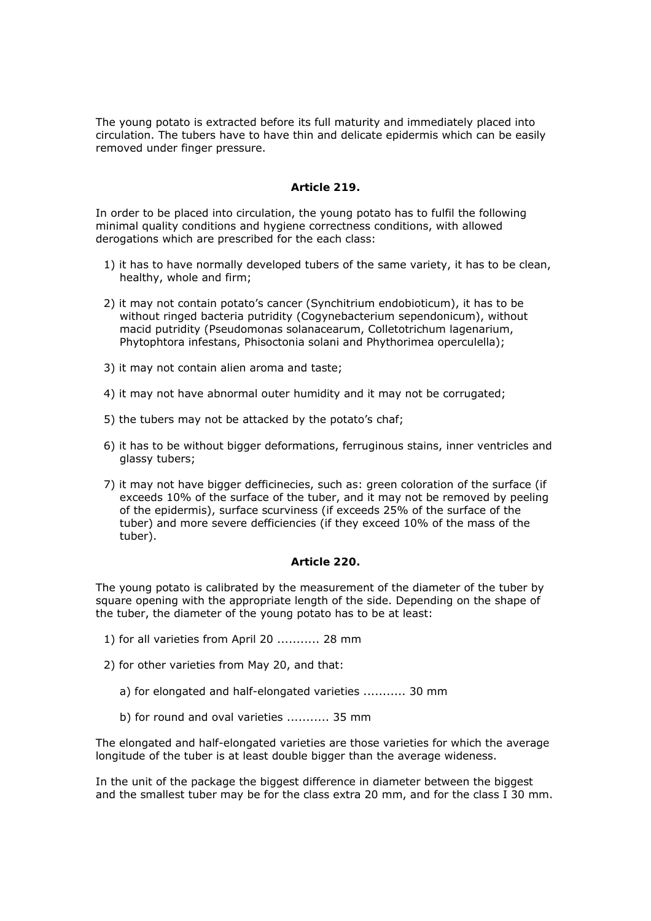The young potato is extracted before its full maturity and immediately placed into circulation. The tubers have to have thin and delicate epidermis which can be easily removed under finger pressure.

## *Article 219.*

In order to be placed into circulation, the young potato has to fulfil the following minimal quality conditions and hygiene correctness conditions, with allowed derogations which are prescribed for the each class:

- 1) it has to have normally developed tubers of the same variety, it has to be clean, healthy, whole and firm;
- 2) it may not contain potato's cancer (Synchitrium endobioticum), it has to be without ringed bacteria putridity (Cogynebacterium sependonicum), without macid putridity (Pseudomonas solanacearum, Colletotrichum lagenarium, Phytophtora infestans, Phisoctonia solani and Phythorimea operculella);
- 3) it may not contain alien aroma and taste;
- 4) it may not have abnormal outer humidity and it may not be corrugated;
- 5) the tubers may not be attacked by the potato's chaf;
- 6) it has to be without bigger deformations, ferruginous stains, inner ventricles and glassy tubers;
- 7) it may not have bigger defficinecies, such as: green coloration of the surface (if exceeds 10% of the surface of the tuber, and it may not be removed by peeling of the epidermis), surface scurviness (if exceeds 25% of the surface of the tuber) and more severe defficiencies (if they exceed 10% of the mass of the tuber).

#### *Article 220.*

The young potato is calibrated by the measurement of the diameter of the tuber by square opening with the appropriate length of the side. Depending on the shape of the tuber, the diameter of the young potato has to be at least:

- 1) for all varieties from April 20 ........... 28 mm
- 2) for other varieties from May 20, and that:
	- a) for elongated and half-elongated varieties ........... 30 mm
	- b) for round and oval varieties ........... 35 mm

The elongated and half-elongated varieties are those varieties for which the average longitude of the tuber is at least double bigger than the average wideness.

In the unit of the package the biggest difference in diameter between the biggest and the smallest tuber may be for the class extra 20 mm, and for the class I 30 mm.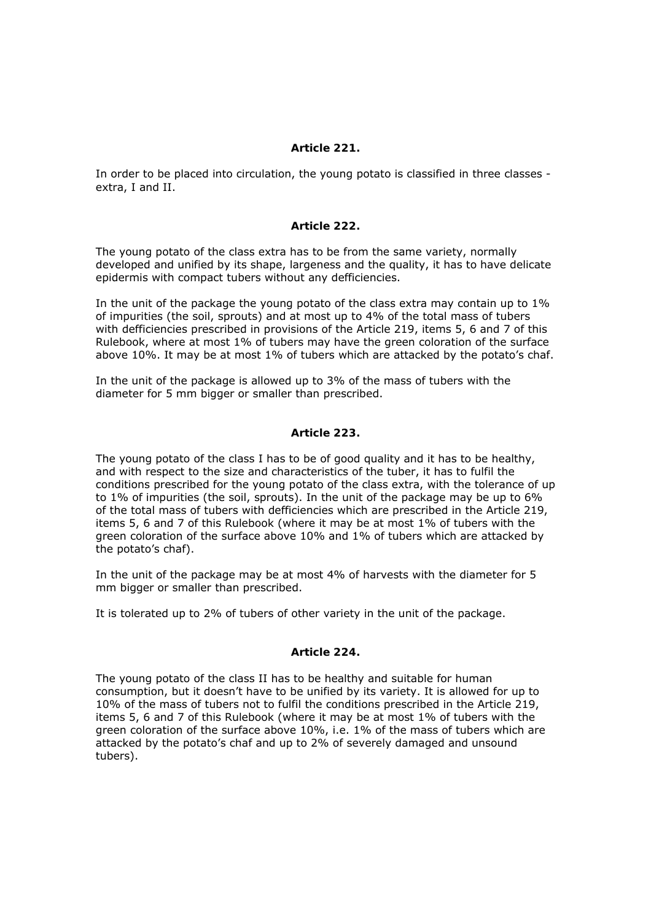## *Article 221.*

In order to be placed into circulation, the young potato is classified in three classes extra, I and II.

### *Article 222.*

The young potato of the class extra has to be from the same variety, normally developed and unified by its shape, largeness and the quality, it has to have delicate epidermis with compact tubers without any defficiencies.

In the unit of the package the young potato of the class extra may contain up to 1% of impurities (the soil, sprouts) and at most up to 4% of the total mass of tubers with defficiencies prescribed in provisions of the Article 219, items 5, 6 and 7 of this Rulebook, where at most 1% of tubers may have the green coloration of the surface above 10%. It may be at most 1% of tubers which are attacked by the potato's chaf.

In the unit of the package is allowed up to 3% of the mass of tubers with the diameter for 5 mm bigger or smaller than prescribed.

## *Article 223.*

The young potato of the class I has to be of good quality and it has to be healthy, and with respect to the size and characteristics of the tuber, it has to fulfil the conditions prescribed for the young potato of the class extra, with the tolerance of up to 1% of impurities (the soil, sprouts). In the unit of the package may be up to 6% of the total mass of tubers with defficiencies which are prescribed in the Article 219, items 5, 6 and 7 of this Rulebook (where it may be at most 1% of tubers with the green coloration of the surface above 10% and 1% of tubers which are attacked by the potato's chaf).

In the unit of the package may be at most 4% of harvests with the diameter for 5 mm bigger or smaller than prescribed.

It is tolerated up to 2% of tubers of other variety in the unit of the package.

#### *Article 224.*

The young potato of the class II has to be healthy and suitable for human consumption, but it doesn't have to be unified by its variety. It is allowed for up to 10% of the mass of tubers not to fulfil the conditions prescribed in the Article 219, items 5, 6 and 7 of this Rulebook (where it may be at most 1% of tubers with the green coloration of the surface above 10%, i.e. 1% of the mass of tubers which are attacked by the potato's chaf and up to 2% of severely damaged and unsound tubers).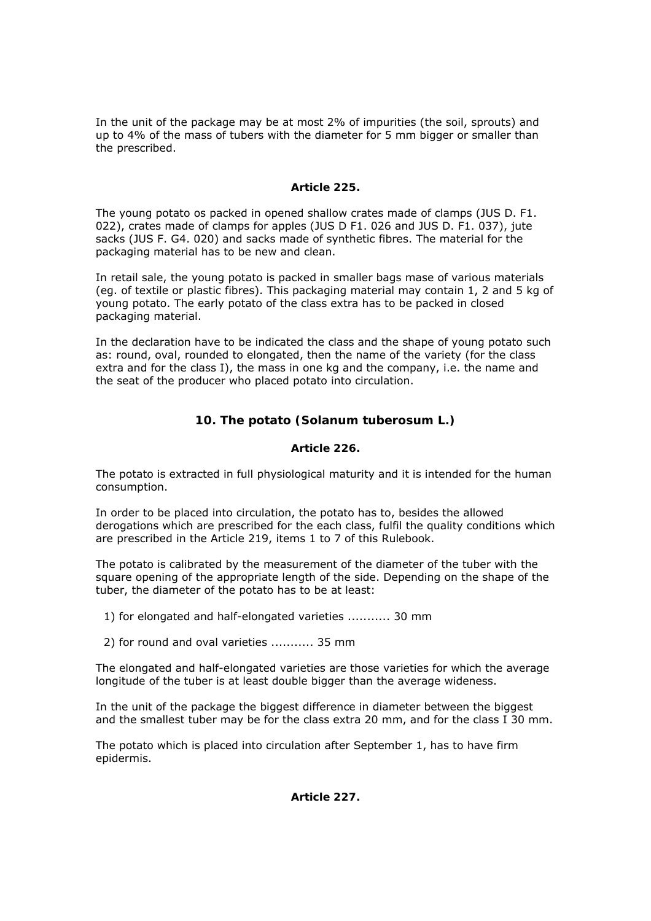In the unit of the package may be at most 2% of impurities (the soil, sprouts) and up to 4% of the mass of tubers with the diameter for 5 mm bigger or smaller than the prescribed.

## *Article 225.*

The young potato os packed in opened shallow crates made of clamps (JUS D. F1. 022), crates made of clamps for apples (JUS D F1. 026 and JUS D. F1. 037), jute sacks (JUS F. G4. 020) and sacks made of synthetic fibres. The material for the packaging material has to be new and clean.

In retail sale, the young potato is packed in smaller bags mase of various materials (eg. of textile or plastic fibres). This packaging material may contain 1, 2 and 5 kg of young potato. The early potato of the class extra has to be packed in closed packaging material.

In the declaration have to be indicated the class and the shape of young potato such as: round, oval, rounded to elongated, then the name of the variety (for the class extra and for the class I), the mass in one kg and the company, i.e. the name and the seat of the producer who placed potato into circulation.

# **10. The potato (Solanum tuberosum L.)**

# *Article 226.*

The potato is extracted in full physiological maturity and it is intended for the human consumption.

In order to be placed into circulation, the potato has to, besides the allowed derogations which are prescribed for the each class, fulfil the quality conditions which are prescribed in the Article 219, items 1 to 7 of this Rulebook.

The potato is calibrated by the measurement of the diameter of the tuber with the square opening of the appropriate length of the side. Depending on the shape of the tuber, the diameter of the potato has to be at least:

1) for elongated and half-elongated varieties ........... 30 mm

2) for round and oval varieties ........... 35 mm

The elongated and half-elongated varieties are those varieties for which the average longitude of the tuber is at least double bigger than the average wideness.

In the unit of the package the biggest difference in diameter between the biggest and the smallest tuber may be for the class extra 20 mm, and for the class I 30 mm.

The potato which is placed into circulation after September 1, has to have firm epidermis.

*Article 227.*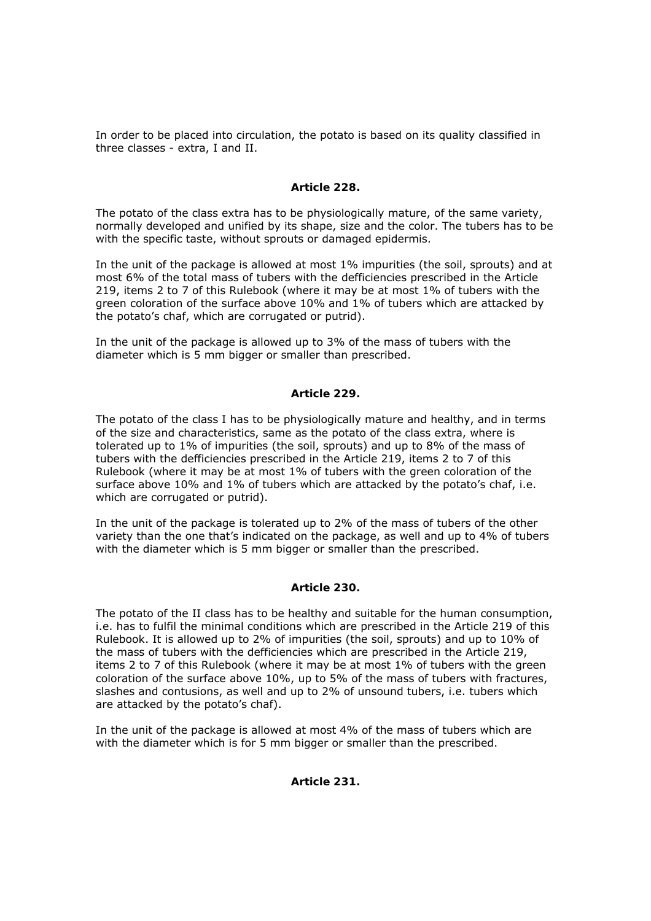In order to be placed into circulation, the potato is based on its quality classified in three classes - extra, I and II.

# *Article 228.*

The potato of the class extra has to be physiologically mature, of the same variety, normally developed and unified by its shape, size and the color. The tubers has to be with the specific taste, without sprouts or damaged epidermis.

In the unit of the package is allowed at most 1% impurities (the soil, sprouts) and at most 6% of the total mass of tubers with the defficiencies prescribed in the Article 219, items 2 to 7 of this Rulebook (where it may be at most 1% of tubers with the green coloration of the surface above 10% and 1% of tubers which are attacked by the potato's chaf, which are corrugated or putrid).

In the unit of the package is allowed up to 3% of the mass of tubers with the diameter which is 5 mm bigger or smaller than prescribed.

#### *Article 229.*

The potato of the class I has to be physiologically mature and healthy, and in terms of the size and characteristics, same as the potato of the class extra, where is tolerated up to 1% of impurities (the soil, sprouts) and up to 8% of the mass of tubers with the defficiencies prescribed in the Article 219, items 2 to 7 of this Rulebook (where it may be at most 1% of tubers with the green coloration of the surface above 10% and 1% of tubers which are attacked by the potato's chaf, i.e. which are corrugated or putrid).

In the unit of the package is tolerated up to 2% of the mass of tubers of the other variety than the one that's indicated on the package, as well and up to 4% of tubers with the diameter which is 5 mm bigger or smaller than the prescribed.

#### *Article 230.*

The potato of the II class has to be healthy and suitable for the human consumption, i.e. has to fulfil the minimal conditions which are prescribed in the Article 219 of this Rulebook. It is allowed up to 2% of impurities (the soil, sprouts) and up to 10% of the mass of tubers with the defficiencies which are prescribed in the Article 219, items 2 to 7 of this Rulebook (where it may be at most 1% of tubers with the green coloration of the surface above 10%, up to 5% of the mass of tubers with fractures, slashes and contusions, as well and up to 2% of unsound tubers, i.e. tubers which are attacked by the potato's chaf).

In the unit of the package is allowed at most 4% of the mass of tubers which are with the diameter which is for 5 mm bigger or smaller than the prescribed.

#### *Article 231.*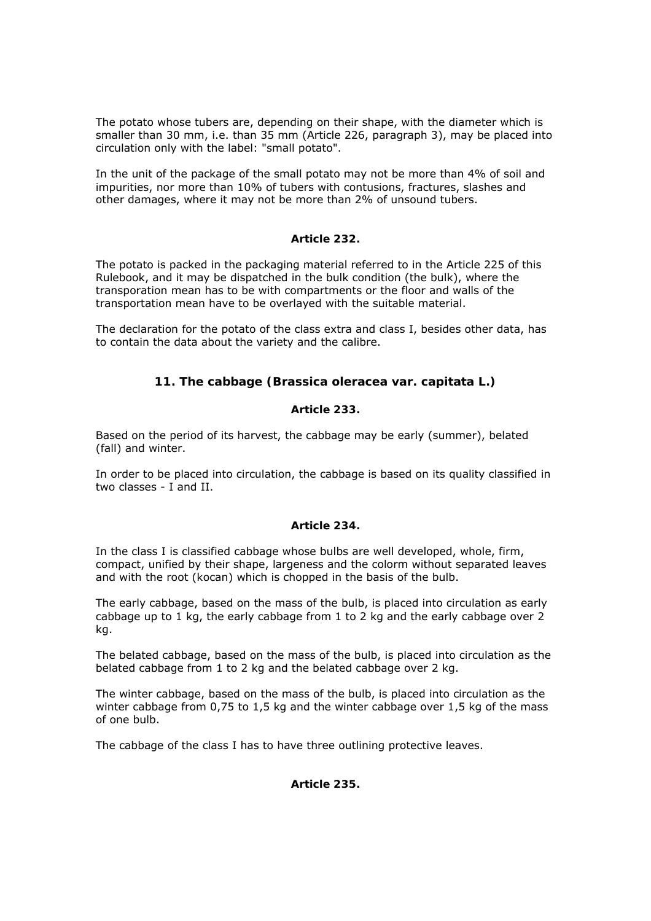The potato whose tubers are, depending on their shape, with the diameter which is smaller than 30 mm, i.e. than 35 mm (Article 226, paragraph 3), may be placed into circulation only with the label: "small potato".

In the unit of the package of the small potato may not be more than 4% of soil and impurities, nor more than 10% of tubers with contusions, fractures, slashes and other damages, where it may not be more than 2% of unsound tubers.

# *Article 232.*

The potato is packed in the packaging material referred to in the Article 225 of this Rulebook, and it may be dispatched in the bulk condition (the bulk), where the transporation mean has to be with compartments or the floor and walls of the transportation mean have to be overlayed with the suitable material.

The declaration for the potato of the class extra and class I, besides other data, has to contain the data about the variety and the calibre.

# **11. The cabbage (Brassica oleracea var. capitata L.)**

# *Article 233.*

Based on the period of its harvest, the cabbage may be early (summer), belated (fall) and winter.

In order to be placed into circulation, the cabbage is based on its quality classified in two classes - I and II.

# *Article 234.*

In the class I is classified cabbage whose bulbs are well developed, whole, firm, compact, unified by their shape, largeness and the colorm without separated leaves and with the root (kocan) which is chopped in the basis of the bulb.

The early cabbage, based on the mass of the bulb, is placed into circulation as early cabbage up to 1 kg, the early cabbage from 1 to 2 kg and the early cabbage over 2 kg.

The belated cabbage, based on the mass of the bulb, is placed into circulation as the belated cabbage from 1 to 2 kg and the belated cabbage over 2 kg.

The winter cabbage, based on the mass of the bulb, is placed into circulation as the winter cabbage from 0,75 to 1,5 kg and the winter cabbage over 1,5 kg of the mass of one bulb.

The cabbage of the class I has to have three outlining protective leaves.

# *Article 235.*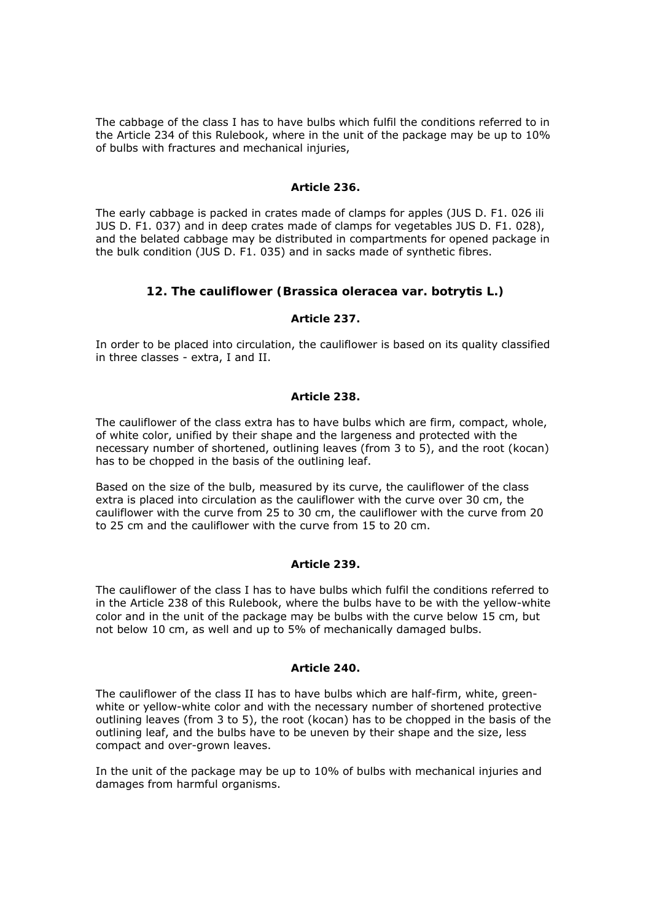The cabbage of the class I has to have bulbs which fulfil the conditions referred to in the Article 234 of this Rulebook, where in the unit of the package may be up to 10% of bulbs with fractures and mechanical injuries,

## *Article 236.*

The early cabbage is packed in crates made of clamps for apples (JUS D. F1. 026 ili JUS D. F1. 037) and in deep crates made of clamps for vegetables JUS D. F1. 028), and the belated cabbage may be distributed in compartments for opened package in the bulk condition (JUS D. F1. 035) and in sacks made of synthetic fibres.

# **12. The cauliflower (Brassica oleracea var. botrytis L.)**

# *Article 237.*

In order to be placed into circulation, the cauliflower is based on its quality classified in three classes - extra, I and II.

## *Article 238.*

The cauliflower of the class extra has to have bulbs which are firm, compact, whole, of white color, unified by their shape and the largeness and protected with the necessary number of shortened, outlining leaves (from 3 to 5), and the root (kocan) has to be chopped in the basis of the outlining leaf.

Based on the size of the bulb, measured by its curve, the cauliflower of the class extra is placed into circulation as the cauliflower with the curve over 30 cm, the cauliflower with the curve from 25 to 30 cm, the cauliflower with the curve from 20 to 25 cm and the cauliflower with the curve from 15 to 20 cm.

#### *Article 239.*

The cauliflower of the class I has to have bulbs which fulfil the conditions referred to in the Article 238 of this Rulebook, where the bulbs have to be with the yellow-white color and in the unit of the package may be bulbs with the curve below 15 cm, but not below 10 cm, as well and up to 5% of mechanically damaged bulbs.

#### *Article 240.*

The cauliflower of the class II has to have bulbs which are half-firm, white, greenwhite or yellow-white color and with the necessary number of shortened protective outlining leaves (from 3 to 5), the root (kocan) has to be chopped in the basis of the outlining leaf, and the bulbs have to be uneven by their shape and the size, less compact and over-grown leaves.

In the unit of the package may be up to 10% of bulbs with mechanical injuries and damages from harmful organisms.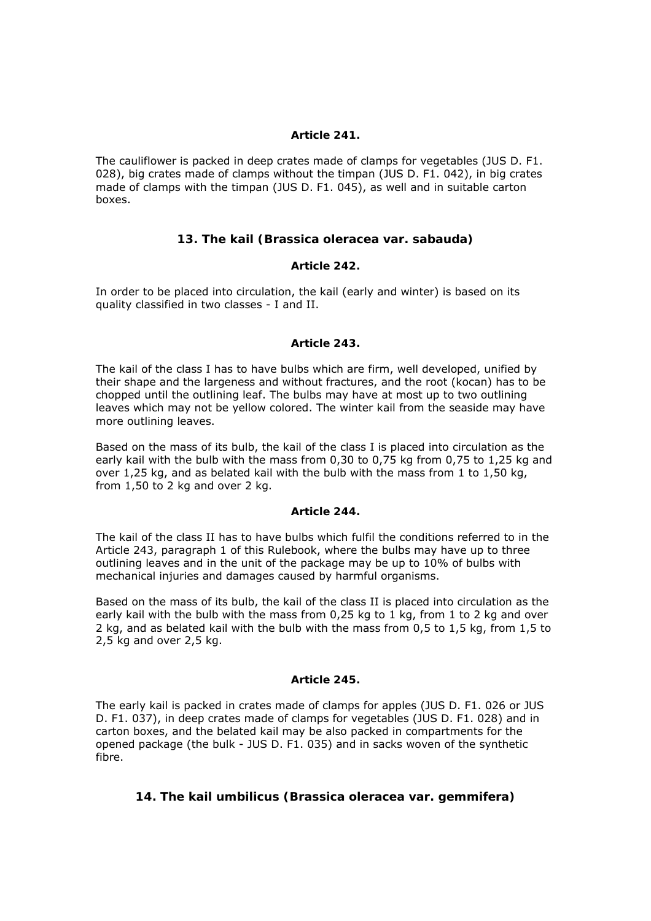## *Article 241.*

The cauliflower is packed in deep crates made of clamps for vegetables (JUS D. F1. 028), big crates made of clamps without the timpan (JUS D. F1. 042), in big crates made of clamps with the timpan (JUS D. F1. 045), as well and in suitable carton boxes.

# **13. The kail (Brassica oleracea var. sabauda)**

#### *Article 242.*

In order to be placed into circulation, the kail (early and winter) is based on its quality classified in two classes - I and II.

#### *Article 243.*

The kail of the class I has to have bulbs which are firm, well developed, unified by their shape and the largeness and without fractures, and the root (kocan) has to be chopped until the outlining leaf. The bulbs may have at most up to two outlining leaves which may not be yellow colored. The winter kail from the seaside may have more outlining leaves.

Based on the mass of its bulb, the kail of the class I is placed into circulation as the early kail with the bulb with the mass from 0,30 to 0,75 kg from 0,75 to 1,25 kg and over 1,25 kg, and as belated kail with the bulb with the mass from 1 to 1,50 kg, from 1,50 to 2 kg and over 2 kg.

#### *Article 244.*

The kail of the class II has to have bulbs which fulfil the conditions referred to in the Article 243, paragraph 1 of this Rulebook, where the bulbs may have up to three outlining leaves and in the unit of the package may be up to 10% of bulbs with mechanical injuries and damages caused by harmful organisms.

Based on the mass of its bulb, the kail of the class II is placed into circulation as the early kail with the bulb with the mass from 0,25 kg to 1 kg, from 1 to 2 kg and over 2 kg, and as belated kail with the bulb with the mass from 0,5 to 1,5 kg, from 1,5 to 2,5 kg and over 2,5 kg.

#### *Article 245.*

The early kail is packed in crates made of clamps for apples (JUS D. F1. 026 or JUS D. F1. 037), in deep crates made of clamps for vegetables (JUS D. F1. 028) and in carton boxes, and the belated kail may be also packed in compartments for the opened package (the bulk - JUS D. F1. 035) and in sacks woven of the synthetic fibre.

# **14. The kail umbilicus (Brassica oleracea var. gemmifera)**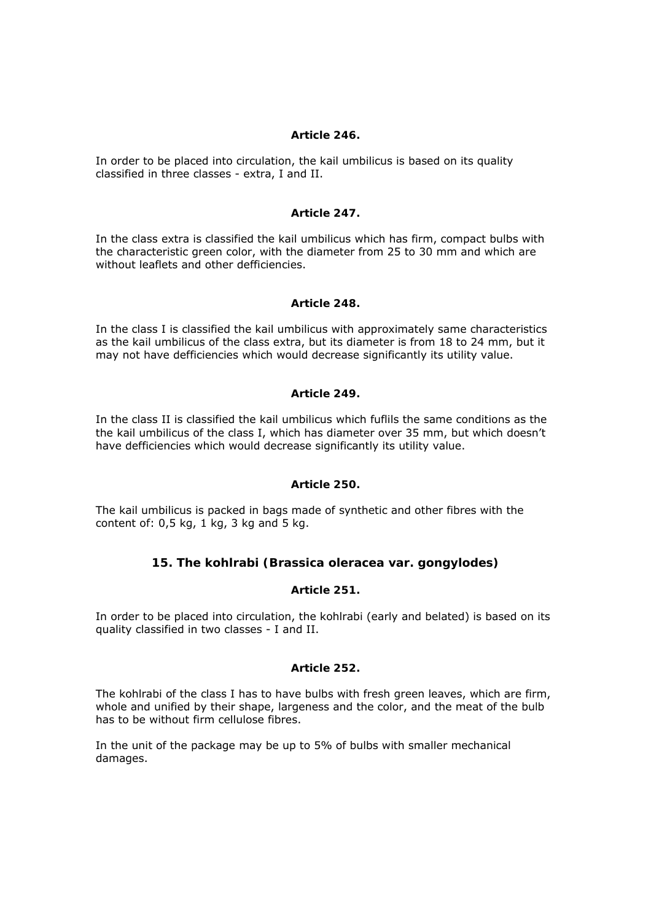## *Article 246.*

In order to be placed into circulation, the kail umbilicus is based on its quality classified in three classes - extra, I and II.

### *Article 247.*

In the class extra is classified the kail umbilicus which has firm, compact bulbs with the characteristic green color, with the diameter from 25 to 30 mm and which are without leaflets and other defficiencies.

## *Article 248.*

In the class I is classified the kail umbilicus with approximately same characteristics as the kail umbilicus of the class extra, but its diameter is from 18 to 24 mm, but it may not have defficiencies which would decrease significantly its utility value.

## *Article 249.*

In the class II is classified the kail umbilicus which fuflils the same conditions as the the kail umbilicus of the class I, which has diameter over 35 mm, but which doesn't have defficiencies which would decrease significantly its utility value.

### *Article 250.*

The kail umbilicus is packed in bags made of synthetic and other fibres with the content of:  $0.5$  kg,  $1$  kg,  $3$  kg and  $5$  kg.

# **15. The kohlrabi (Brassica oleracea var. gongylodes)**

# *Article 251.*

In order to be placed into circulation, the kohlrabi (early and belated) is based on its quality classified in two classes - I and II.

# *Article 252.*

The kohlrabi of the class I has to have bulbs with fresh green leaves, which are firm, whole and unified by their shape, largeness and the color, and the meat of the bulb has to be without firm cellulose fibres.

In the unit of the package may be up to 5% of bulbs with smaller mechanical damages.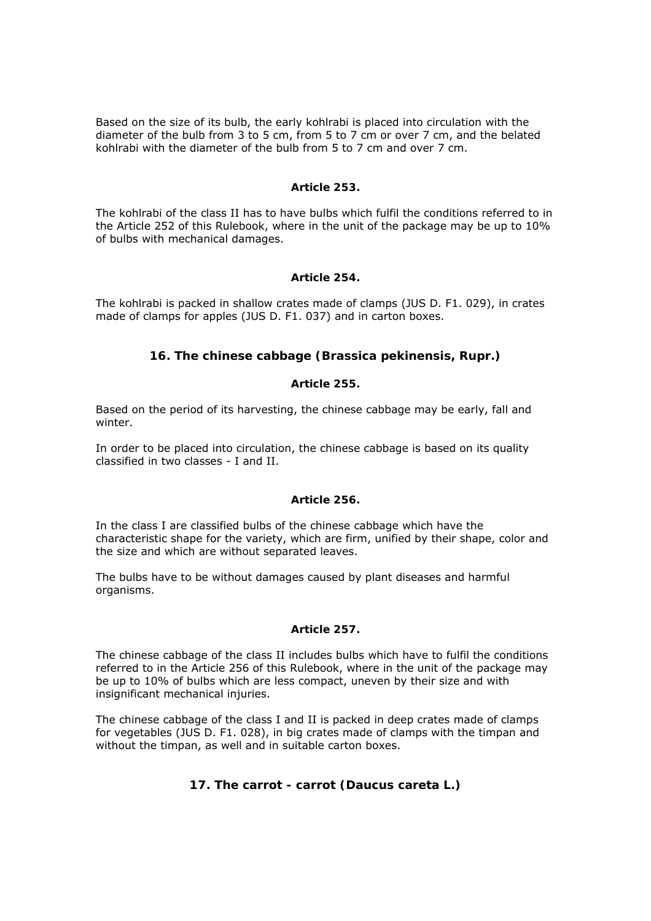Based on the size of its bulb, the early kohlrabi is placed into circulation with the diameter of the bulb from 3 to 5 cm, from 5 to 7 cm or over 7 cm, and the belated kohlrabi with the diameter of the bulb from 5 to 7 cm and over 7 cm.

## *Article 253.*

The kohlrabi of the class II has to have bulbs which fulfil the conditions referred to in the Article 252 of this Rulebook, where in the unit of the package may be up to 10% of bulbs with mechanical damages.

# *Article 254.*

The kohlrabi is packed in shallow crates made of clamps (JUS D. F1. 029), in crates made of clamps for apples (JUS D. F1. 037) and in carton boxes.

# **16. The chinese cabbage (Brassica pekinensis, Rupr.)**

# *Article 255.*

Based on the period of its harvesting, the chinese cabbage may be early, fall and winter.

In order to be placed into circulation, the chinese cabbage is based on its quality classified in two classes - I and II.

# *Article 256.*

In the class I are classified bulbs of the chinese cabbage which have the characteristic shape for the variety, which are firm, unified by their shape, color and the size and which are without separated leaves.

The bulbs have to be without damages caused by plant diseases and harmful organisms.

# *Article 257.*

The chinese cabbage of the class II includes bulbs which have to fulfil the conditions referred to in the Article 256 of this Rulebook, where in the unit of the package may be up to 10% of bulbs which are less compact, uneven by their size and with insignificant mechanical injuries.

The chinese cabbage of the class I and II is packed in deep crates made of clamps for vegetables (JUS D. F1. 028), in big crates made of clamps with the timpan and without the timpan, as well and in suitable carton boxes.

# **17. The carrot - carrot (Daucus careta L.)**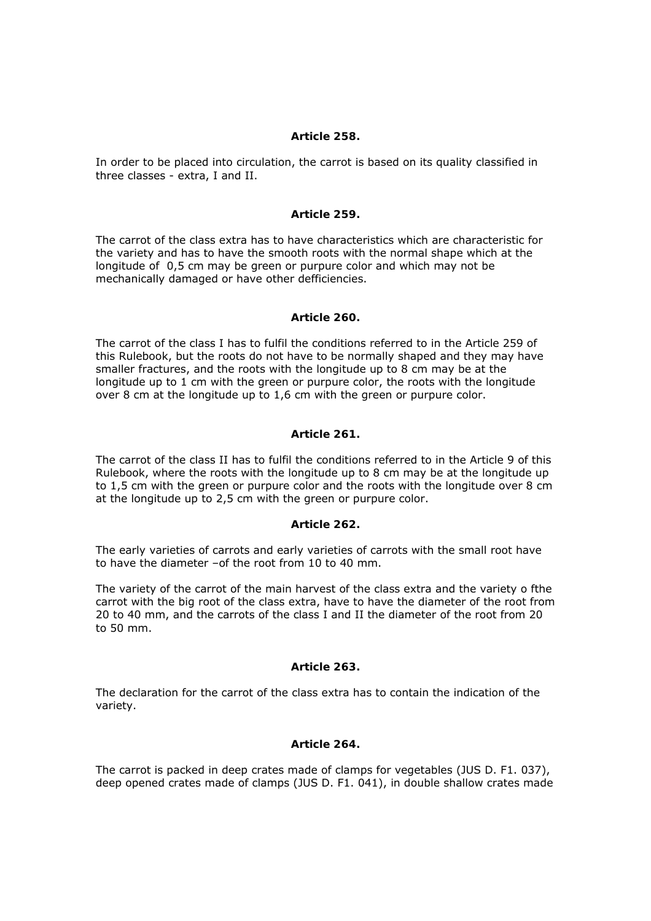### *Article 258.*

In order to be placed into circulation, the carrot is based on its quality classified in three classes - extra, I and II.

#### *Article 259.*

The carrot of the class extra has to have characteristics which are characteristic for the variety and has to have the smooth roots with the normal shape which at the longitude of 0,5 cm may be green or purpure color and which may not be mechanically damaged or have other defficiencies.

### *Article 260.*

The carrot of the class I has to fulfil the conditions referred to in the Article 259 of this Rulebook, but the roots do not have to be normally shaped and they may have smaller fractures, and the roots with the longitude up to 8 cm may be at the longitude up to 1 cm with the green or purpure color, the roots with the longitude over 8 cm at the longitude up to 1,6 cm with the green or purpure color.

#### *Article 261.*

The carrot of the class II has to fulfil the conditions referred to in the Article 9 of this Rulebook, where the roots with the longitude up to 8 cm may be at the longitude up to 1,5 cm with the green or purpure color and the roots with the longitude over 8 cm at the longitude up to 2,5 cm with the green or purpure color.

#### *Article 262.*

The early varieties of carrots and early varieties of carrots with the small root have to have the diameter –of the root from 10 to 40 mm.

The variety of the carrot of the main harvest of the class extra and the variety o fthe carrot with the big root of the class extra, have to have the diameter of the root from 20 to 40 mm, and the carrots of the class I and II the diameter of the root from 20 to 50 mm.

#### *Article 263.*

The declaration for the carrot of the class extra has to contain the indication of the variety.

#### *Article 264.*

The carrot is packed in deep crates made of clamps for vegetables (JUS D. F1. 037), deep opened crates made of clamps (JUS D. F1. 041), in double shallow crates made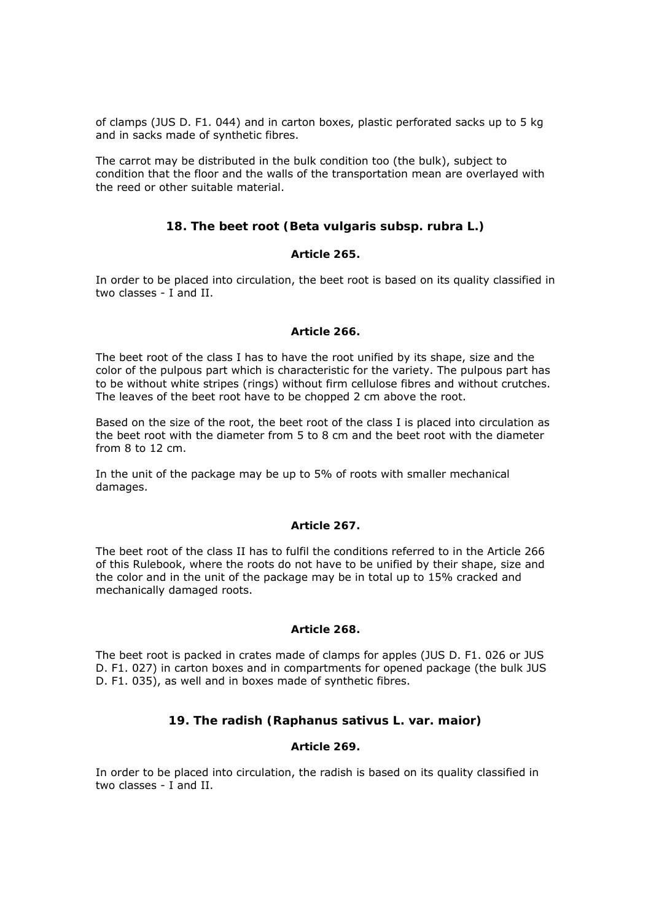of clamps (JUS D. F1. 044) and in carton boxes, plastic perforated sacks up to 5 kg and in sacks made of synthetic fibres.

The carrot may be distributed in the bulk condition too (the bulk), subject to condition that the floor and the walls of the transportation mean are overlayed with the reed or other suitable material.

# **18. The beet root (Beta vulgaris subsp. rubra L.)**

## *Article 265.*

In order to be placed into circulation, the beet root is based on its quality classified in two classes - I and II.

#### *Article 266.*

The beet root of the class I has to have the root unified by its shape, size and the color of the pulpous part which is characteristic for the variety. The pulpous part has to be without white stripes (rings) without firm cellulose fibres and without crutches. The leaves of the beet root have to be chopped 2 cm above the root.

Based on the size of the root, the beet root of the class I is placed into circulation as the beet root with the diameter from 5 to 8 cm and the beet root with the diameter from 8 to 12 cm.

In the unit of the package may be up to 5% of roots with smaller mechanical damages.

#### *Article 267.*

The beet root of the class II has to fulfil the conditions referred to in the Article 266 of this Rulebook, where the roots do not have to be unified by their shape, size and the color and in the unit of the package may be in total up to 15% cracked and mechanically damaged roots.

#### *Article 268.*

The beet root is packed in crates made of clamps for apples (JUS D. F1. 026 or JUS D. F1. 027) in carton boxes and in compartments for opened package (the bulk JUS D. F1. 035), as well and in boxes made of synthetic fibres.

# **19. The radish (Raphanus sativus L. var. maior)**

# *Article 269.*

In order to be placed into circulation, the radish is based on its quality classified in two classes - I and II.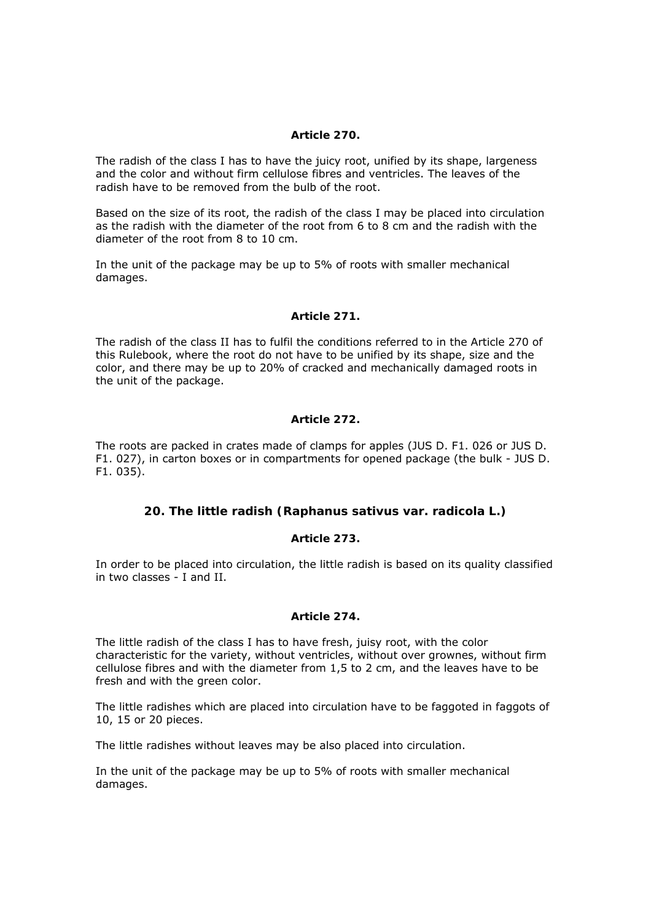## *Article 270.*

The radish of the class I has to have the juicy root, unified by its shape, largeness and the color and without firm cellulose fibres and ventricles. The leaves of the radish have to be removed from the bulb of the root.

Based on the size of its root, the radish of the class I may be placed into circulation as the radish with the diameter of the root from 6 to 8 cm and the radish with the diameter of the root from 8 to 10 cm.

In the unit of the package may be up to 5% of roots with smaller mechanical damages.

## *Article 271.*

The radish of the class II has to fulfil the conditions referred to in the Article 270 of this Rulebook, where the root do not have to be unified by its shape, size and the color, and there may be up to 20% of cracked and mechanically damaged roots in the unit of the package.

## *Article 272.*

The roots are packed in crates made of clamps for apples (JUS D. F1. 026 or JUS D. F1. 027), in carton boxes or in compartments for opened package (the bulk - JUS D. F1. 035).

# **20. The little radish (Raphanus sativus var. radicola L.)**

# *Article 273.*

In order to be placed into circulation, the little radish is based on its quality classified in two classes - I and II.

#### *Article 274.*

The little radish of the class I has to have fresh, juisy root, with the color characteristic for the variety, without ventricles, without over grownes, without firm cellulose fibres and with the diameter from 1,5 to 2 cm, and the leaves have to be fresh and with the green color.

The little radishes which are placed into circulation have to be faggoted in faggots of 10, 15 or 20 pieces.

The little radishes without leaves may be also placed into circulation.

In the unit of the package may be up to 5% of roots with smaller mechanical damages.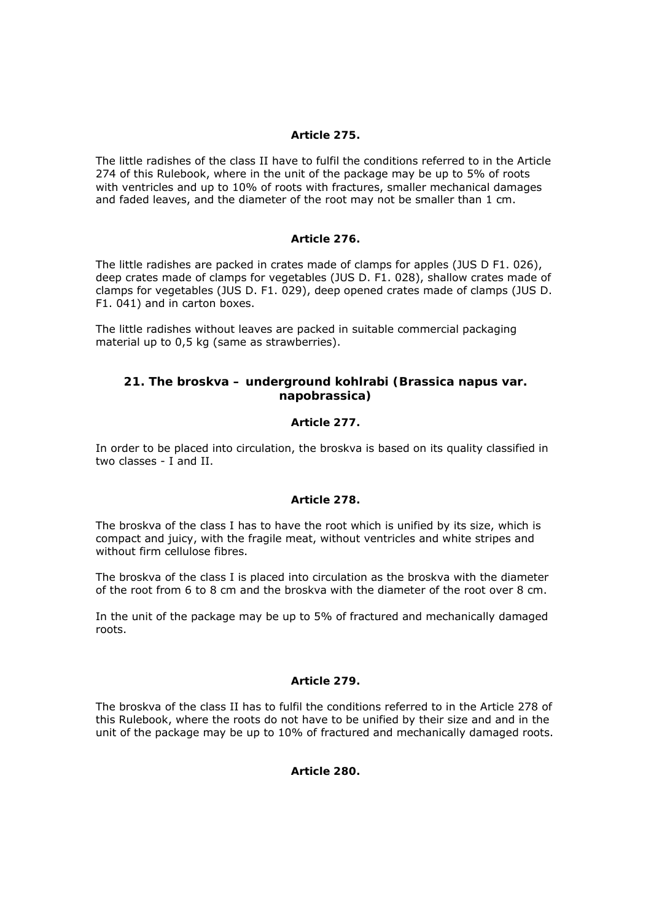## *Article 275.*

The little radishes of the class II have to fulfil the conditions referred to in the Article 274 of this Rulebook, where in the unit of the package may be up to 5% of roots with ventricles and up to 10% of roots with fractures, smaller mechanical damages and faded leaves, and the diameter of the root may not be smaller than 1 cm.

## *Article 276.*

The little radishes are packed in crates made of clamps for apples (JUS D F1. 026), deep crates made of clamps for vegetables (JUS D. F1. 028), shallow crates made of clamps for vegetables (JUS D. F1. 029), deep opened crates made of clamps (JUS D. F1. 041) and in carton boxes.

The little radishes without leaves are packed in suitable commercial packaging material up to 0,5 kg (same as strawberries).

# **21. The broskva – underground kohlrabi (Brassica napus var. napobrassica)**

## *Article 277.*

In order to be placed into circulation, the broskva is based on its quality classified in two classes - I and II.

#### *Article 278.*

The broskva of the class I has to have the root which is unified by its size, which is compact and juicy, with the fragile meat, without ventricles and white stripes and without firm cellulose fibres.

The broskva of the class I is placed into circulation as the broskva with the diameter of the root from 6 to 8 cm and the broskva with the diameter of the root over 8 cm.

In the unit of the package may be up to 5% of fractured and mechanically damaged roots.

#### *Article 279.*

The broskva of the class II has to fulfil the conditions referred to in the Article 278 of this Rulebook, where the roots do not have to be unified by their size and and in the unit of the package may be up to 10% of fractured and mechanically damaged roots.

## *Article 280.*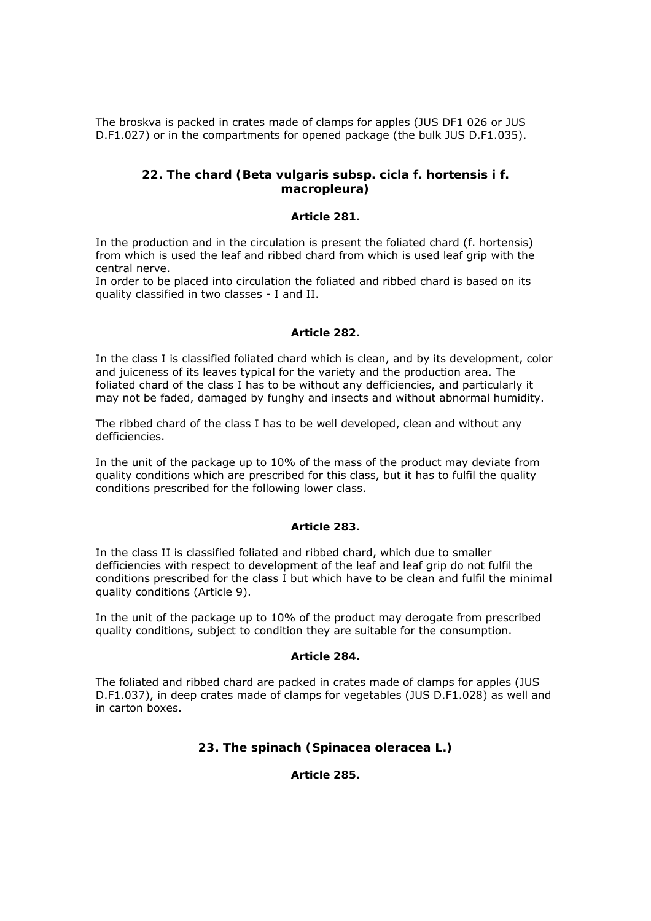The broskva is packed in crates made of clamps for apples (JUS DF1 026 or JUS D.F1.027) or in the compartments for opened package (the bulk JUS D.F1.035).

# **22. The chard (Beta vulgaris subsp. cicla f. hortensis i f. macropleura)**

#### *Article 281.*

In the production and in the circulation is present the foliated chard (f. hortensis) from which is used the leaf and ribbed chard from which is used leaf grip with the central nerve.

In order to be placed into circulation the foliated and ribbed chard is based on its quality classified in two classes - I and II.

## *Article 282.*

In the class I is classified foliated chard which is clean, and by its development, color and juiceness of its leaves typical for the variety and the production area. The foliated chard of the class I has to be without any defficiencies, and particularly it may not be faded, damaged by funghy and insects and without abnormal humidity.

The ribbed chard of the class I has to be well developed, clean and without any defficiencies.

In the unit of the package up to 10% of the mass of the product may deviate from quality conditions which are prescribed for this class, but it has to fulfil the quality conditions prescribed for the following lower class.

#### *Article 283.*

In the class II is classified foliated and ribbed chard, which due to smaller defficiencies with respect to development of the leaf and leaf grip do not fulfil the conditions prescribed for the class I but which have to be clean and fulfil the minimal quality conditions (Article 9).

In the unit of the package up to 10% of the product may derogate from prescribed quality conditions, subject to condition they are suitable for the consumption.

#### *Article 284.*

The foliated and ribbed chard are packed in crates made of clamps for apples (JUS D.F1.037), in deep crates made of clamps for vegetables (JUS D.F1.028) as well and in carton boxes.

# **23. The spinach (Spinacea oleracea L.)**

*Article 285.*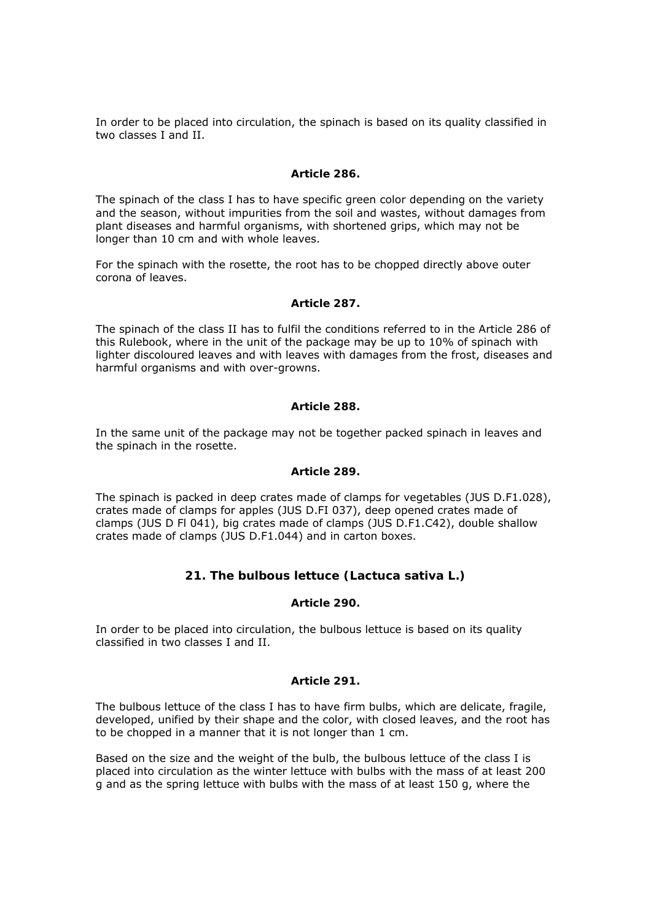In order to be placed into circulation, the spinach is based on its quality classified in two classes I and II.

### *Article 286.*

The spinach of the class I has to have specific green color depending on the variety and the season, without impurities from the soil and wastes, without damages from plant diseases and harmful organisms, with shortened grips, which may not be longer than 10 cm and with whole leaves.

For the spinach with the rosette, the root has to be chopped directly above outer corona of leaves.

## *Article 287.*

The spinach of the class II has to fulfil the conditions referred to in the Article 286 of this Rulebook, where in the unit of the package may be up to 10% of spinach with lighter discoloured leaves and with leaves with damages from the frost, diseases and harmful organisms and with over-growns.

## *Article 288.*

In the same unit of the package may not be together packed spinach in leaves and the spinach in the rosette.

## *Article 289.*

The spinach is packed in deep crates made of clamps for vegetables (JUS D.F1.028), crates made of clamps for apples (JUS D.FI 037), deep opened crates made of clamps (JUS D Fl 041), big crates made of clamps (JUS D.F1.C42), double shallow crates made of clamps (JUS D.F1.044) and in carton boxes.

# **21. The bulbous lettuce (Lactuca sativa L.)**

# *Article 290.*

In order to be placed into circulation, the bulbous lettuce is based on its quality classified in two classes I and II.

# *Article 291.*

The bulbous lettuce of the class I has to have firm bulbs, which are delicate, fragile, developed, unified by their shape and the color, with closed leaves, and the root has to be chopped in a manner that it is not longer than 1 cm.

Based on the size and the weight of the bulb, the bulbous lettuce of the class I is placed into circulation as the winter lettuce with bulbs with the mass of at least 200 g and as the spring lettuce with bulbs with the mass of at least 150 g, where the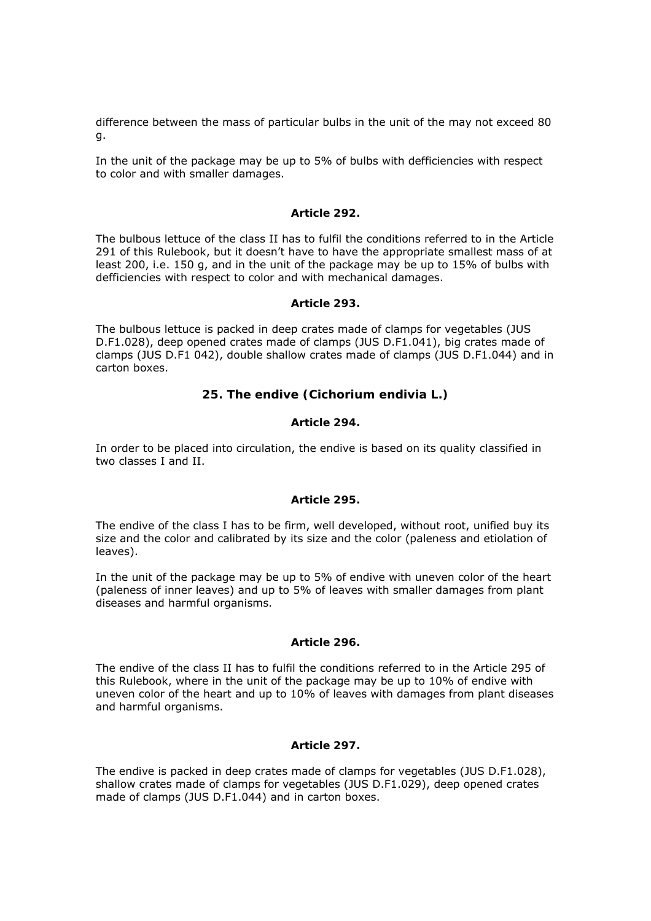difference between the mass of particular bulbs in the unit of the may not exceed 80 g.

In the unit of the package may be up to 5% of bulbs with defficiencies with respect to color and with smaller damages.

### *Article 292.*

The bulbous lettuce of the class II has to fulfil the conditions referred to in the Article 291 of this Rulebook, but it doesn't have to have the appropriate smallest mass of at least 200, i.e. 150 g, and in the unit of the package may be up to 15% of bulbs with defficiencies with respect to color and with mechanical damages.

### *Article 293.*

The bulbous lettuce is packed in deep crates made of clamps for vegetables (JUS D.F1.028), deep opened crates made of clamps (JUS D.F1.041), big crates made of clamps (JUS D.F1 042), double shallow crates made of clamps (JUS D.F1.044) and in carton boxes.

# **25. The endive (Cichorium endivia L.)**

# *Article 294.*

In order to be placed into circulation, the endive is based on its quality classified in two classes I and II.

#### *Article 295.*

The endive of the class I has to be firm, well developed, without root, unified buy its size and the color and calibrated by its size and the color (paleness and etiolation of leaves).

In the unit of the package may be up to 5% of endive with uneven color of the heart (paleness of inner leaves) and up to 5% of leaves with smaller damages from plant diseases and harmful organisms.

#### *Article 296.*

The endive of the class II has to fulfil the conditions referred to in the Article 295 of this Rulebook, where in the unit of the package may be up to 10% of endive with uneven color of the heart and up to 10% of leaves with damages from plant diseases and harmful organisms.

# *Article 297.*

The endive is packed in deep crates made of clamps for vegetables (JUS D.F1.028), shallow crates made of clamps for vegetables (JUS D.F1.029), deep opened crates made of clamps (JUS D.F1.044) and in carton boxes.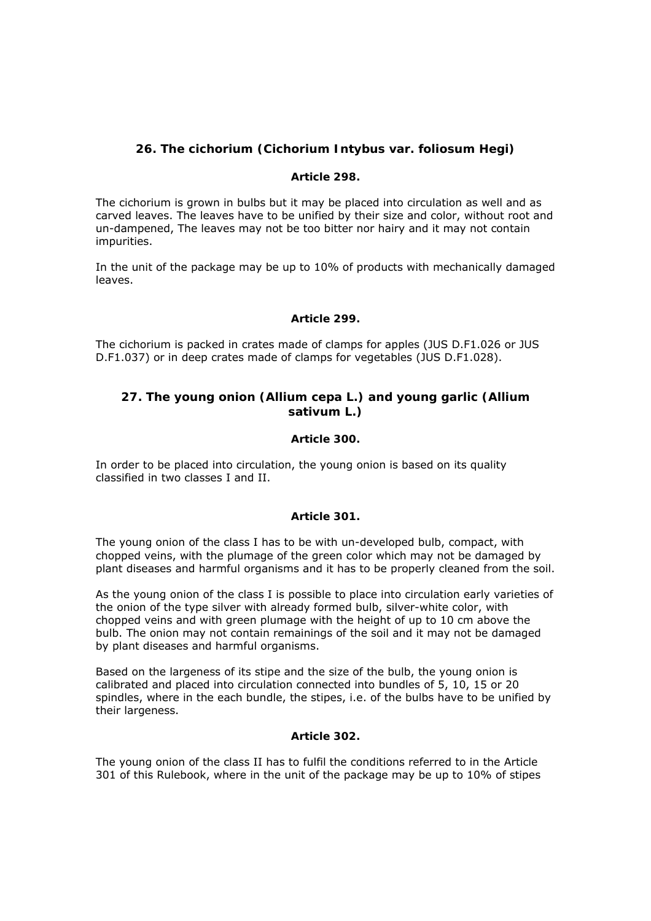# **26. The cichorium (Cichorium Intybus var. foliosum Hegi)**

## *Article 298.*

The cichorium is grown in bulbs but it may be placed into circulation as well and as carved leaves. The leaves have to be unified by their size and color, without root and un-dampened, The leaves may not be too bitter nor hairy and it may not contain impurities.

In the unit of the package may be up to 10% of products with mechanically damaged leaves.

# *Article 299.*

The cichorium is packed in crates made of clamps for apples (JUS D.F1.026 or JUS D.F1.037) or in deep crates made of clamps for vegetables (JUS D.F1.028).

# **27. The young onion (Allium cepa L.) and young garlic (Allium sativum L.)**

### *Article 300.*

In order to be placed into circulation, the young onion is based on its quality classified in two classes I and II.

#### *Article 301.*

The young onion of the class I has to be with un-developed bulb, compact, with chopped veins, with the plumage of the green color which may not be damaged by plant diseases and harmful organisms and it has to be properly cleaned from the soil.

As the young onion of the class I is possible to place into circulation early varieties of the onion of the type silver with already formed bulb, silver-white color, with chopped veins and with green plumage with the height of up to 10 cm above the bulb. The onion may not contain remainings of the soil and it may not be damaged by plant diseases and harmful organisms.

Based on the largeness of its stipe and the size of the bulb, the young onion is calibrated and placed into circulation connected into bundles of 5, 10, 15 or 20 spindles, where in the each bundle, the stipes, i.e. of the bulbs have to be unified by their largeness.

# *Article 302.*

The young onion of the class II has to fulfil the conditions referred to in the Article 301 of this Rulebook, where in the unit of the package may be up to 10% of stipes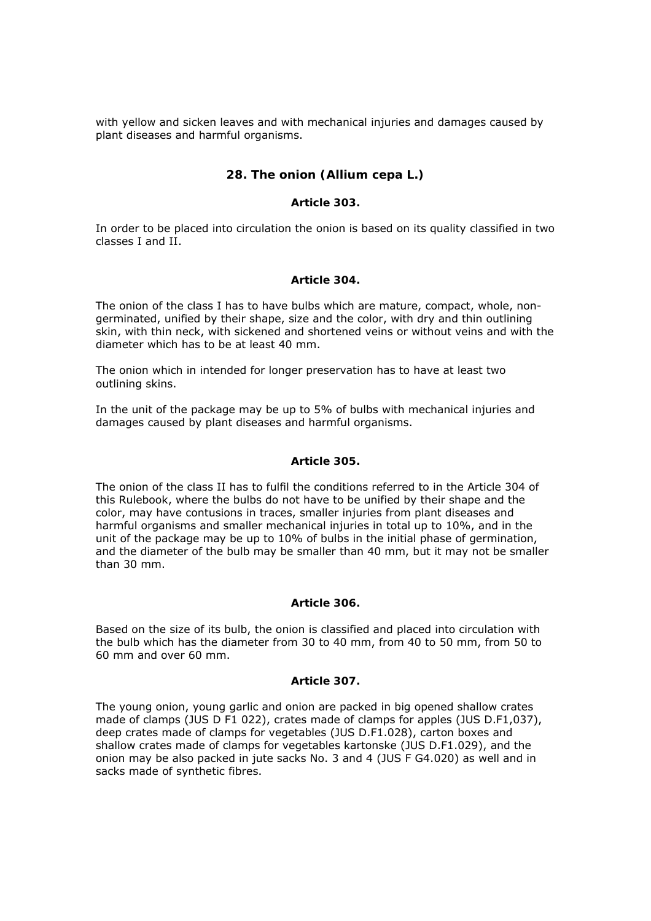with yellow and sicken leaves and with mechanical injuries and damages caused by plant diseases and harmful organisms.

# **28. The onion (Allium cepa L.)**

### *Article 303.*

In order to be placed into circulation the onion is based on its quality classified in two classes I and II.

# *Article 304.*

The onion of the class I has to have bulbs which are mature, compact, whole, nongerminated, unified by their shape, size and the color, with dry and thin outlining skin, with thin neck, with sickened and shortened veins or without veins and with the diameter which has to be at least 40 mm.

The onion which in intended for longer preservation has to have at least two outlining skins.

In the unit of the package may be up to 5% of bulbs with mechanical injuries and damages caused by plant diseases and harmful organisms.

### *Article 305.*

The onion of the class II has to fulfil the conditions referred to in the Article 304 of this Rulebook, where the bulbs do not have to be unified by their shape and the color, may have contusions in traces, smaller injuries from plant diseases and harmful organisms and smaller mechanical injuries in total up to 10%, and in the unit of the package may be up to 10% of bulbs in the initial phase of germination, and the diameter of the bulb may be smaller than 40 mm, but it may not be smaller than 30 mm.

#### *Article 306.*

Based on the size of its bulb, the onion is classified and placed into circulation with the bulb which has the diameter from 30 to 40 mm, from 40 to 50 mm, from 50 to 60 mm and over 60 mm.

#### *Article 307.*

The young onion, young garlic and onion are packed in big opened shallow crates made of clamps (JUS D F1 022), crates made of clamps for apples (JUS D.F1,037), deep crates made of clamps for vegetables (JUS D.F1.028), carton boxes and shallow crates made of clamps for vegetables kartonske (JUS D.F1.029), and the onion may be also packed in jute sacks No. 3 and 4 (JUS F G4.020) as well and in sacks made of synthetic fibres.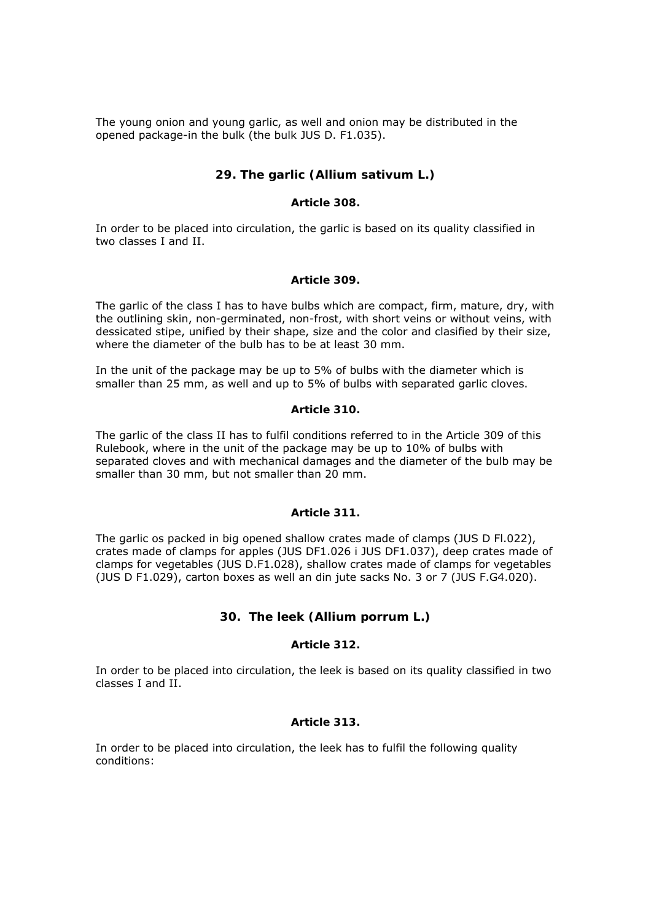The young onion and young garlic, as well and onion may be distributed in the opened package-in the bulk (the bulk JUS D. F1.035).

# **29. The garlic (Allium sativum L.)**

### *Article 308.*

In order to be placed into circulation, the garlic is based on its quality classified in two classes I and II.

### *Article 309.*

The garlic of the class I has to have bulbs which are compact, firm, mature, dry, with the outlining skin, non-germinated, non-frost, with short veins or without veins, with dessicated stipe, unified by their shape, size and the color and clasified by their size, where the diameter of the bulb has to be at least 30 mm.

In the unit of the package may be up to 5% of bulbs with the diameter which is smaller than 25 mm, as well and up to 5% of bulbs with separated garlic cloves.

### *Article 310.*

The garlic of the class II has to fulfil conditions referred to in the Article 309 of this Rulebook, where in the unit of the package may be up to 10% of bulbs with separated cloves and with mechanical damages and the diameter of the bulb may be smaller than 30 mm, but not smaller than 20 mm.

#### *Article 311.*

The garlic os packed in big opened shallow crates made of clamps (JUS D Fl.022), crates made of clamps for apples (JUS DF1.026 i JUS DF1.037), deep crates made of clamps for vegetables (JUS D.F1.028), shallow crates made of clamps for vegetables (JUS D F1.029), carton boxes as well an din jute sacks No. 3 or 7 (JUS F.G4.020).

# **30. The leek (Allium porrum L.)**

### *Article 312.*

In order to be placed into circulation, the leek is based on its quality classified in two classes I and II.

#### *Article 313.*

In order to be placed into circulation, the leek has to fulfil the following quality conditions: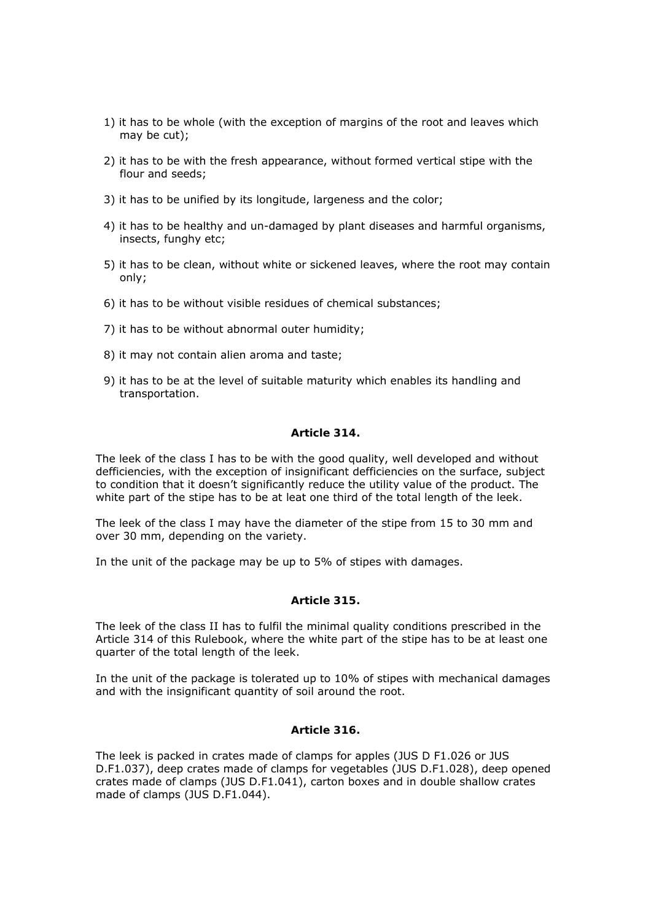- 1) it has to be whole (with the exception of margins of the root and leaves which may be cut);
- 2) it has to be with the fresh appearance, without formed vertical stipe with the flour and seeds;
- 3) it has to be unified by its longitude, largeness and the color;
- 4) it has to be healthy and un-damaged by plant diseases and harmful organisms, insects, funghy etc;
- 5) it has to be clean, without white or sickened leaves, where the root may contain only;
- 6) it has to be without visible residues of chemical substances;
- 7) it has to be without abnormal outer humidity;
- 8) it may not contain alien aroma and taste;
- 9) it has to be at the level of suitable maturity which enables its handling and transportation.

#### *Article 314.*

The leek of the class I has to be with the good quality, well developed and without defficiencies, with the exception of insignificant defficiencies on the surface, subject to condition that it doesn't significantly reduce the utility value of the product. The white part of the stipe has to be at leat one third of the total length of the leek.

The leek of the class I may have the diameter of the stipe from 15 to 30 mm and over 30 mm, depending on the variety.

In the unit of the package may be up to 5% of stipes with damages.

#### *Article 315.*

The leek of the class II has to fulfil the minimal quality conditions prescribed in the Article 314 of this Rulebook, where the white part of the stipe has to be at least one quarter of the total length of the leek.

In the unit of the package is tolerated up to 10% of stipes with mechanical damages and with the insignificant quantity of soil around the root.

#### *Article 316.*

The leek is packed in crates made of clamps for apples (JUS D F1.026 or JUS D.F1.037), deep crates made of clamps for vegetables (JUS D.F1.028), deep opened crates made of clamps (JUS D.F1.041), carton boxes and in double shallow crates made of clamps (JUS D.F1.044).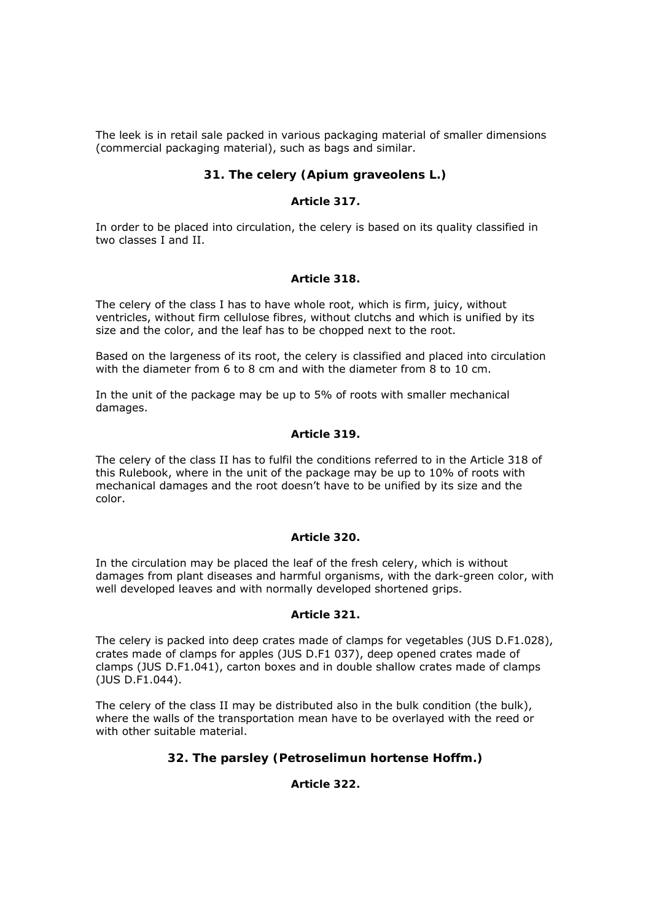The leek is in retail sale packed in various packaging material of smaller dimensions (commercial packaging material), such as bags and similar.

# **31. The celery (Apium graveolens L.)**

## *Article 317.*

In order to be placed into circulation, the celery is based on its quality classified in two classes I and II.

### *Article 318.*

The celery of the class I has to have whole root, which is firm, juicy, without ventricles, without firm cellulose fibres, without clutchs and which is unified by its size and the color, and the leaf has to be chopped next to the root.

Based on the largeness of its root, the celery is classified and placed into circulation with the diameter from 6 to 8 cm and with the diameter from 8 to 10 cm.

In the unit of the package may be up to 5% of roots with smaller mechanical damages.

### *Article 319.*

The celery of the class II has to fulfil the conditions referred to in the Article 318 of this Rulebook, where in the unit of the package may be up to 10% of roots with mechanical damages and the root doesn't have to be unified by its size and the color.

#### *Article 320.*

In the circulation may be placed the leaf of the fresh celery, which is without damages from plant diseases and harmful organisms, with the dark-green color, with well developed leaves and with normally developed shortened grips.

### *Article 321.*

The celery is packed into deep crates made of clamps for vegetables (JUS D.F1.028), crates made of clamps for apples (JUS D.F1 037), deep opened crates made of clamps (JUS D.F1.041), carton boxes and in double shallow crates made of clamps (JUS D.F1.044).

The celery of the class II may be distributed also in the bulk condition (the bulk), where the walls of the transportation mean have to be overlayed with the reed or with other suitable material.

# **32. The parsley (Petroselimun hortense Hoffm.)**

# *Article 322.*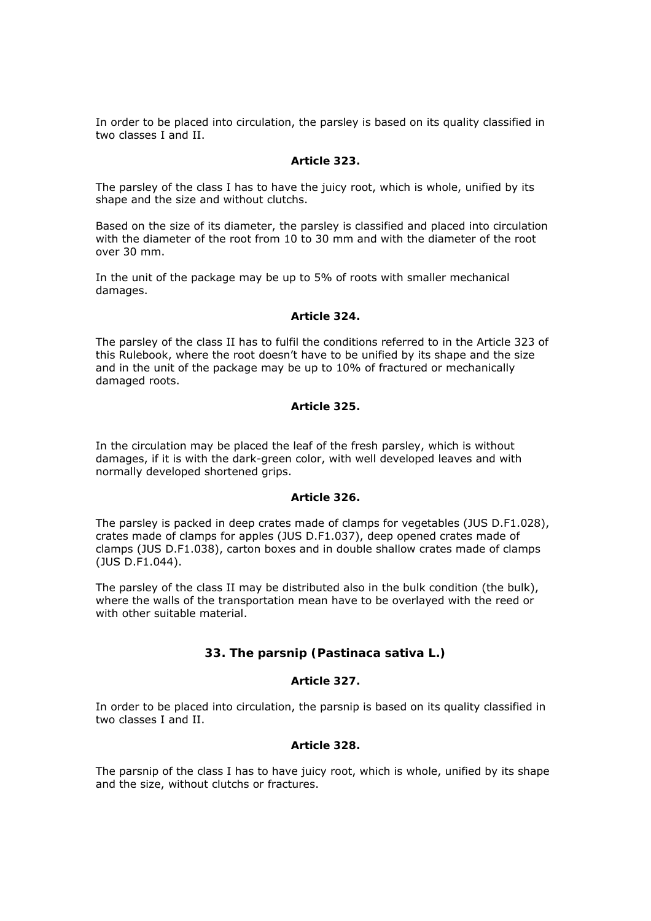In order to be placed into circulation, the parsley is based on its quality classified in two classes I and II.

#### *Article 323.*

The parsley of the class I has to have the juicy root, which is whole, unified by its shape and the size and without clutchs.

Based on the size of its diameter, the parsley is classified and placed into circulation with the diameter of the root from 10 to 30 mm and with the diameter of the root over 30 mm.

In the unit of the package may be up to 5% of roots with smaller mechanical damages.

#### *Article 324.*

The parsley of the class II has to fulfil the conditions referred to in the Article 323 of this Rulebook, where the root doesn't have to be unified by its shape and the size and in the unit of the package may be up to 10% of fractured or mechanically damaged roots.

#### *Article 325.*

In the circulation may be placed the leaf of the fresh parsley, which is without damages, if it is with the dark-green color, with well developed leaves and with normally developed shortened grips.

#### *Article 326.*

The parsley is packed in deep crates made of clamps for vegetables (JUS D.F1.028), crates made of clamps for apples (JUS D.F1.037), deep opened crates made of clamps (JUS D.F1.038), carton boxes and in double shallow crates made of clamps (JUS D.F1.044).

The parsley of the class II may be distributed also in the bulk condition (the bulk), where the walls of the transportation mean have to be overlayed with the reed or with other suitable material.

# **33. The parsnip (Pastinaca sativa L.)**

#### *Article 327.*

In order to be placed into circulation, the parsnip is based on its quality classified in two classes I and II.

# *Article 328.*

The parsnip of the class I has to have juicy root, which is whole, unified by its shape and the size, without clutchs or fractures.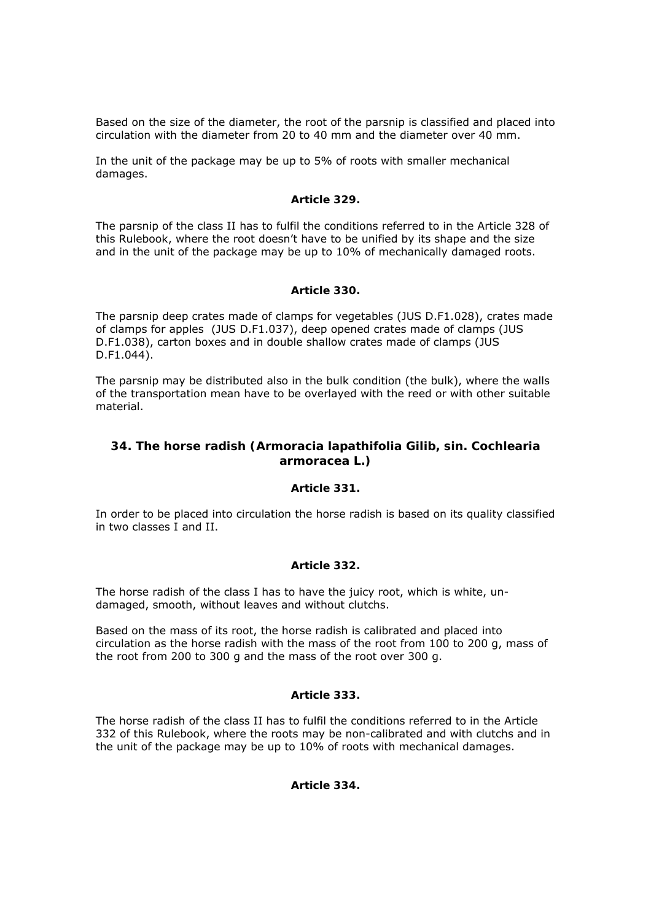Based on the size of the diameter, the root of the parsnip is classified and placed into circulation with the diameter from 20 to 40 mm and the diameter over 40 mm.

In the unit of the package may be up to 5% of roots with smaller mechanical damages.

### *Article 329.*

The parsnip of the class II has to fulfil the conditions referred to in the Article 328 of this Rulebook, where the root doesn't have to be unified by its shape and the size and in the unit of the package may be up to 10% of mechanically damaged roots.

### *Article 330.*

The parsnip deep crates made of clamps for vegetables (JUS D.F1.028), crates made of clamps for apples (JUS D.F1.037), deep opened crates made of clamps (JUS D.F1.038), carton boxes and in double shallow crates made of clamps (JUS D.F1.044).

The parsnip may be distributed also in the bulk condition (the bulk), where the walls of the transportation mean have to be overlayed with the reed or with other suitable material.

# **34. The horse radish (Armoracia lapathifolia Gilib, sin. Cochlearia armoracea L.)**

#### *Article 331.*

In order to be placed into circulation the horse radish is based on its quality classified in two classes I and II.

#### *Article 332.*

The horse radish of the class I has to have the juicy root, which is white, undamaged, smooth, without leaves and without clutchs.

Based on the mass of its root, the horse radish is calibrated and placed into circulation as the horse radish with the mass of the root from 100 to 200 g, mass of the root from 200 to 300 g and the mass of the root over 300 g.

#### *Article 333.*

The horse radish of the class II has to fulfil the conditions referred to in the Article 332 of this Rulebook, where the roots may be non-calibrated and with clutchs and in the unit of the package may be up to 10% of roots with mechanical damages.

# *Article 334.*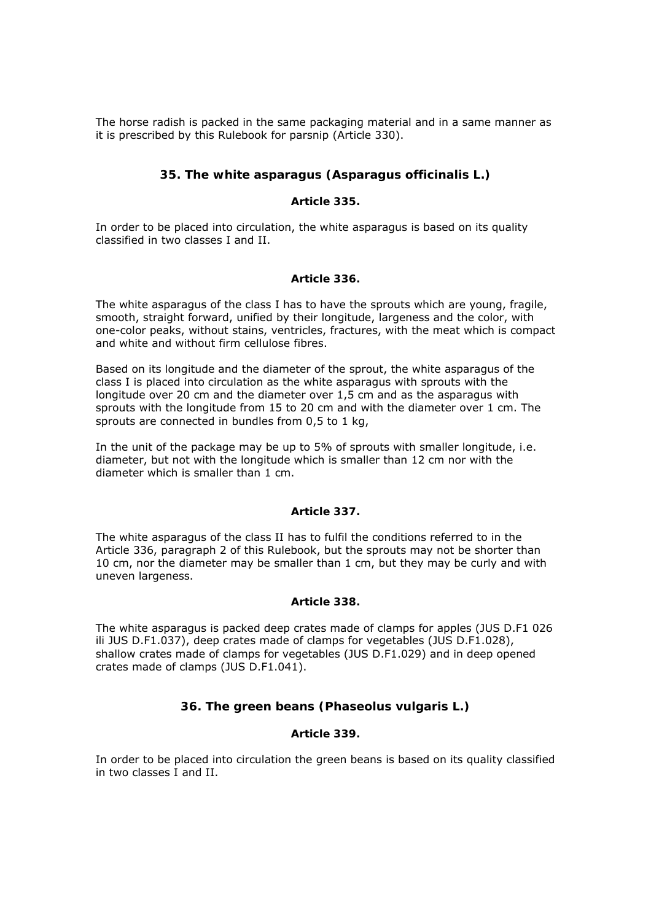The horse radish is packed in the same packaging material and in a same manner as it is prescribed by this Rulebook for parsnip (Article 330).

# **35. The white asparagus (Asparagus officinalis L.)**

### *Article 335.*

In order to be placed into circulation, the white asparagus is based on its quality classified in two classes I and II.

### *Article 336.*

The white asparagus of the class I has to have the sprouts which are young, fragile, smooth, straight forward, unified by their longitude, largeness and the color, with one-color peaks, without stains, ventricles, fractures, with the meat which is compact and white and without firm cellulose fibres.

Based on its longitude and the diameter of the sprout, the white asparagus of the class I is placed into circulation as the white asparagus with sprouts with the longitude over 20 cm and the diameter over 1,5 cm and as the asparagus with sprouts with the longitude from 15 to 20 cm and with the diameter over 1 cm. The sprouts are connected in bundles from 0,5 to 1 kg,

In the unit of the package may be up to 5% of sprouts with smaller longitude, i.e. diameter, but not with the longitude which is smaller than 12 cm nor with the diameter which is smaller than 1 cm.

#### *Article 337.*

The white asparagus of the class II has to fulfil the conditions referred to in the Article 336, paragraph 2 of this Rulebook, but the sprouts may not be shorter than 10 cm, nor the diameter may be smaller than 1 cm, but they may be curly and with uneven largeness.

# *Article 338.*

The white asparagus is packed deep crates made of clamps for apples (JUS D.F1 026 ili JUS D.F1.037), deep crates made of clamps for vegetables (JUS D.F1.028), shallow crates made of clamps for vegetables (JUS D.F1.029) and in deep opened crates made of clamps (JUS D.F1.041).

# **36. The green beans (Phaseolus vulgaris L.)**

# *Article 339.*

In order to be placed into circulation the green beans is based on its quality classified in two classes I and II.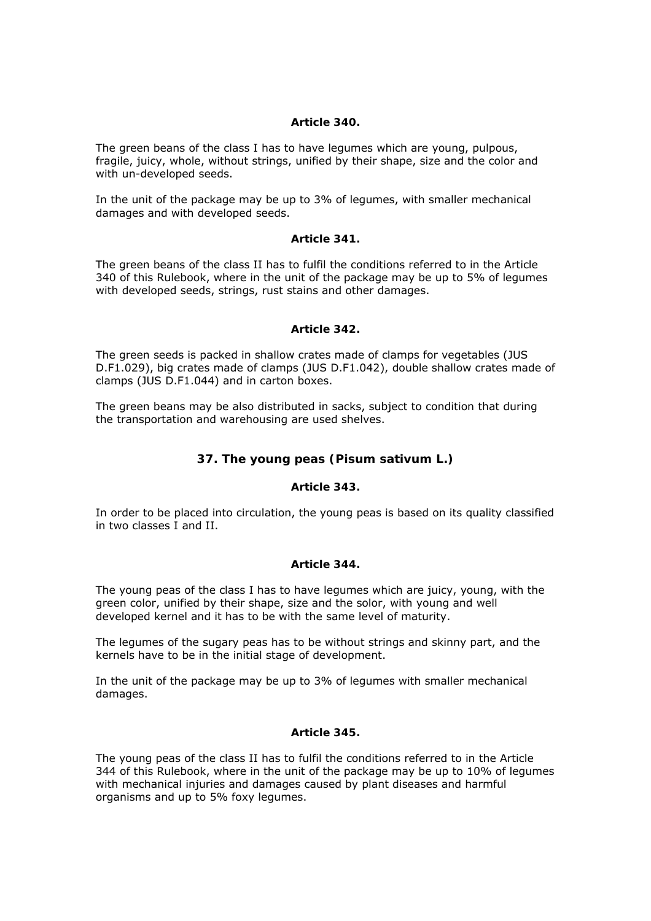### *Article 340.*

The green beans of the class I has to have legumes which are young, pulpous, fragile, juicy, whole, without strings, unified by their shape, size and the color and with un-developed seeds.

In the unit of the package may be up to 3% of legumes, with smaller mechanical damages and with developed seeds.

### *Article 341.*

The green beans of the class II has to fulfil the conditions referred to in the Article 340 of this Rulebook, where in the unit of the package may be up to 5% of legumes with developed seeds, strings, rust stains and other damages.

### *Article 342.*

The green seeds is packed in shallow crates made of clamps for vegetables (JUS D.F1.029), big crates made of clamps (JUS D.F1.042), double shallow crates made of clamps (JUS D.F1.044) and in carton boxes.

The green beans may be also distributed in sacks, subject to condition that during the transportation and warehousing are used shelves.

# **37. The young peas (Pisum sativum L.)**

# *Article 343.*

In order to be placed into circulation, the young peas is based on its quality classified in two classes I and II.

# *Article 344.*

The young peas of the class I has to have legumes which are juicy, young, with the green color, unified by their shape, size and the solor, with young and well developed kernel and it has to be with the same level of maturity.

The legumes of the sugary peas has to be without strings and skinny part, and the kernels have to be in the initial stage of development.

In the unit of the package may be up to 3% of legumes with smaller mechanical damages.

#### *Article 345.*

The young peas of the class II has to fulfil the conditions referred to in the Article 344 of this Rulebook, where in the unit of the package may be up to 10% of legumes with mechanical injuries and damages caused by plant diseases and harmful organisms and up to 5% foxy legumes.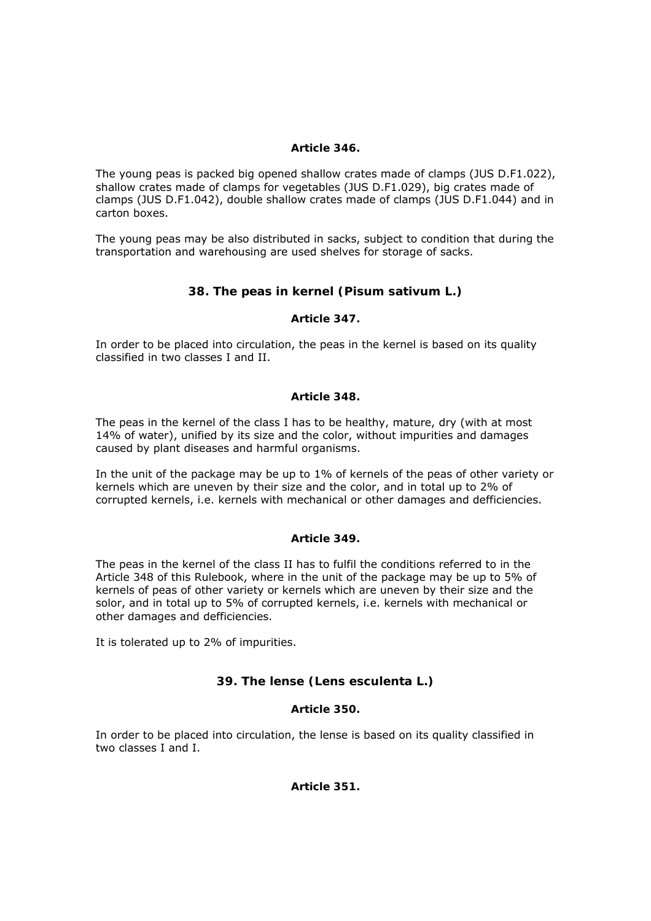## *Article 346.*

The young peas is packed big opened shallow crates made of clamps (JUS D.F1.022), shallow crates made of clamps for vegetables (JUS D.F1.029), big crates made of clamps (JUS D.F1.042), double shallow crates made of clamps (JUS D.F1.044) and in carton boxes.

The young peas may be also distributed in sacks, subject to condition that during the transportation and warehousing are used shelves for storage of sacks.

# **38. The peas in kernel (Pisum sativum L.)**

# *Article 347.*

In order to be placed into circulation, the peas in the kernel is based on its quality classified in two classes I and II.

### *Article 348.*

The peas in the kernel of the class I has to be healthy, mature, dry (with at most 14% of water), unified by its size and the color, without impurities and damages caused by plant diseases and harmful organisms.

In the unit of the package may be up to 1% of kernels of the peas of other variety or kernels which are uneven by their size and the color, and in total up to 2% of corrupted kernels, i.e. kernels with mechanical or other damages and defficiencies.

# *Article 349.*

The peas in the kernel of the class II has to fulfil the conditions referred to in the Article 348 of this Rulebook, where in the unit of the package may be up to 5% of kernels of peas of other variety or kernels which are uneven by their size and the solor, and in total up to 5% of corrupted kernels, i.e. kernels with mechanical or other damages and defficiencies.

It is tolerated up to 2% of impurities.

# **39. The lense (Lens esculenta L.)**

# *Article 350.*

In order to be placed into circulation, the lense is based on its quality classified in two classes I and I.

*Article 351.*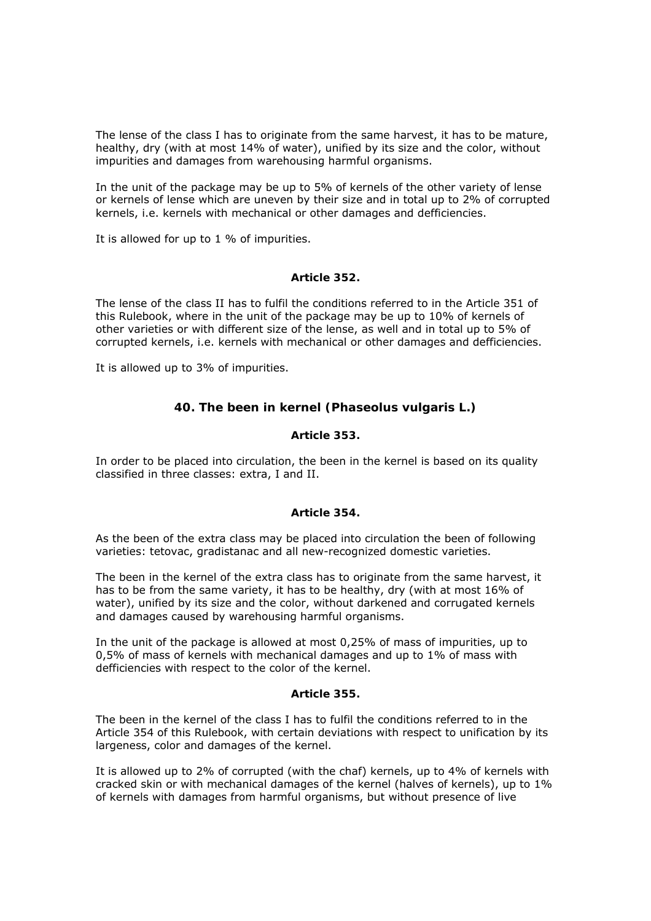The lense of the class I has to originate from the same harvest, it has to be mature, healthy, dry (with at most 14% of water), unified by its size and the color, without impurities and damages from warehousing harmful organisms.

In the unit of the package may be up to 5% of kernels of the other variety of lense or kernels of lense which are uneven by their size and in total up to 2% of corrupted kernels, i.e. kernels with mechanical or other damages and defficiencies.

It is allowed for up to 1 % of impurities.

### *Article 352.*

The lense of the class II has to fulfil the conditions referred to in the Article 351 of this Rulebook, where in the unit of the package may be up to 10% of kernels of other varieties or with different size of the lense, as well and in total up to 5% of corrupted kernels, i.e. kernels with mechanical or other damages and defficiencies.

It is allowed up to 3% of impurities.

# **40. The been in kernel (Phaseolus vulgaris L.)**

### *Article 353.*

In order to be placed into circulation, the been in the kernel is based on its quality classified in three classes: extra, I and II.

#### *Article 354.*

As the been of the extra class may be placed into circulation the been of following varieties: tetovac, gradistanac and all new-recognized domestic varieties.

The been in the kernel of the extra class has to originate from the same harvest, it has to be from the same variety, it has to be healthy, dry (with at most 16% of water), unified by its size and the color, without darkened and corrugated kernels and damages caused by warehousing harmful organisms.

In the unit of the package is allowed at most 0,25% of mass of impurities, up to 0,5% of mass of kernels with mechanical damages and up to 1% of mass with defficiencies with respect to the color of the kernel.

#### *Article 355.*

The been in the kernel of the class I has to fulfil the conditions referred to in the Article 354 of this Rulebook, with certain deviations with respect to unification by its largeness, color and damages of the kernel.

It is allowed up to 2% of corrupted (with the chaf) kernels, up to 4% of kernels with cracked skin or with mechanical damages of the kernel (halves of kernels), up to 1% of kernels with damages from harmful organisms, but without presence of live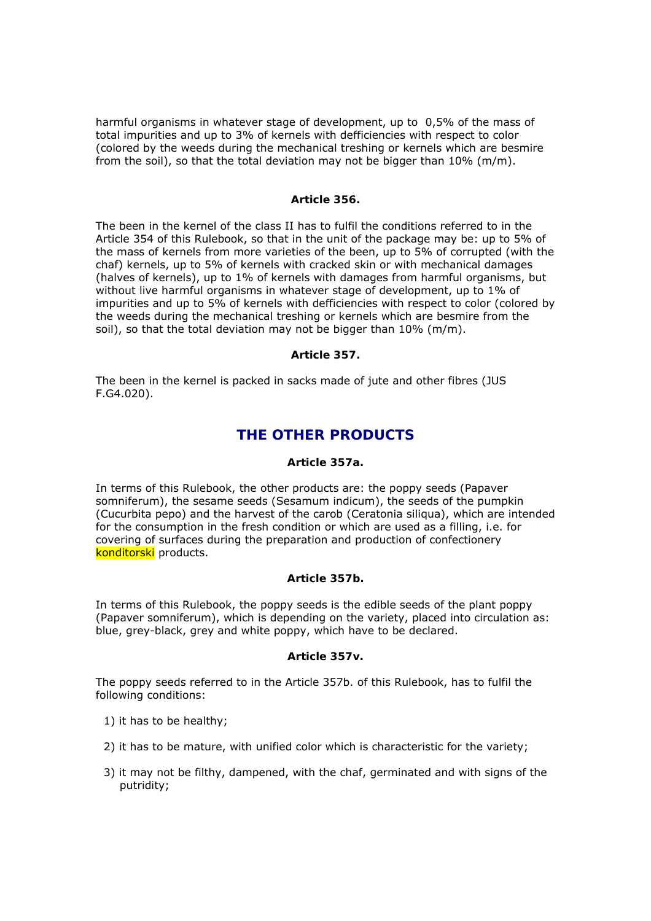harmful organisms in whatever stage of development, up to 0,5% of the mass of total impurities and up to 3% of kernels with defficiencies with respect to color (colored by the weeds during the mechanical treshing or kernels which are besmire from the soil), so that the total deviation may not be bigger than 10% (m/m).

#### *Article 356.*

The been in the kernel of the class II has to fulfil the conditions referred to in the Article 354 of this Rulebook, so that in the unit of the package may be: up to 5% of the mass of kernels from more varieties of the been, up to 5% of corrupted (with the chaf) kernels, up to 5% of kernels with cracked skin or with mechanical damages (halves of kernels), up to 1% of kernels with damages from harmful organisms, but without live harmful organisms in whatever stage of development, up to 1% of impurities and up to 5% of kernels with defficiencies with respect to color (colored by the weeds during the mechanical treshing or kernels which are besmire from the soil), so that the total deviation may not be bigger than 10% (m/m).

#### *Article 357.*

The been in the kernel is packed in sacks made of jute and other fibres (JUS F.G4.020).

# *THE OTHER PRODUCTS*

#### *Article 357a.*

In terms of this Rulebook, the other products are: the poppy seeds (Papaver somniferum), the sesame seeds (Sesamum indicum), the seeds of the pumpkin (Cucurbita pepo) and the harvest of the carob (Ceratonia siliqua), which are intended for the consumption in the fresh condition or which are used as a filling, i.e. for covering of surfaces during the preparation and production of confectionery konditorski products.

#### *Article 357b.*

In terms of this Rulebook, the poppy seeds is the edible seeds of the plant poppy (Papaver somniferum), which is depending on the variety, placed into circulation as: blue, grey-black, grey and white poppy, which have to be declared.

#### *Article 357v.*

The poppy seeds referred to in the Article 357b. of this Rulebook, has to fulfil the following conditions:

- 1) it has to be healthy;
- 2) it has to be mature, with unified color which is characteristic for the variety;
- 3) it may not be filthy, dampened, with the chaf, germinated and with signs of the putridity;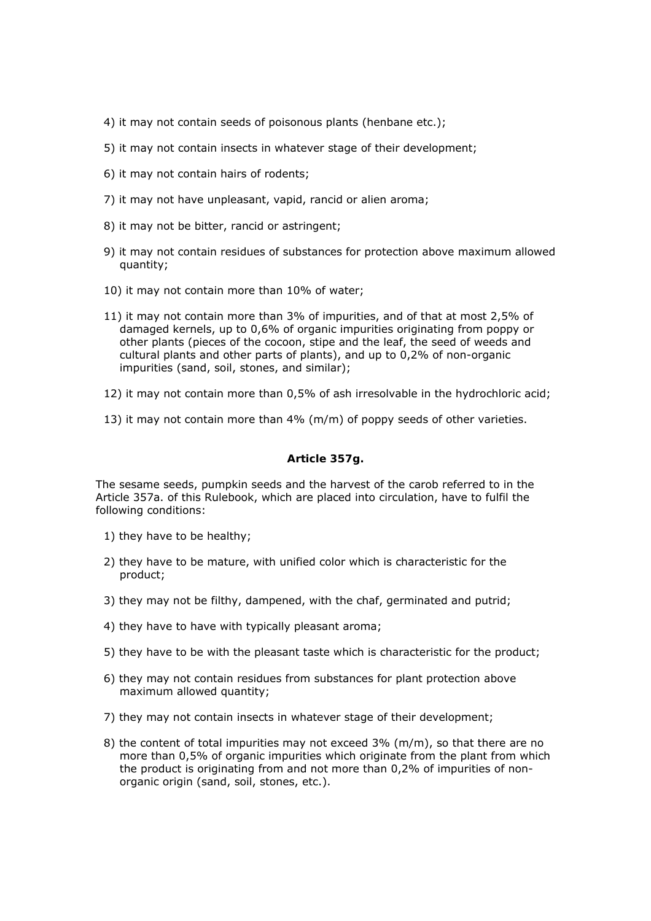- 4) it may not contain seeds of poisonous plants (henbane etc.);
- 5) it may not contain insects in whatever stage of their development;
- 6) it may not contain hairs of rodents;
- 7) it may not have unpleasant, vapid, rancid or alien aroma;
- 8) it may not be bitter, rancid or astringent;
- 9) it may not contain residues of substances for protection above maximum allowed quantity;
- 10) it may not contain more than 10% of water;
- 11) it may not contain more than 3% of impurities, and of that at most 2,5% of damaged kernels, up to 0,6% of organic impurities originating from poppy or other plants (pieces of the cocoon, stipe and the leaf, the seed of weeds and cultural plants and other parts of plants), and up to 0,2% of non-organic impurities (sand, soil, stones, and similar);
- 12) it may not contain more than 0,5% of ash irresolvable in the hydrochloric acid;
- 13) it may not contain more than 4% (m/m) of poppy seeds of other varieties.

## *Article 357g.*

The sesame seeds, pumpkin seeds and the harvest of the carob referred to in the Article 357a. of this Rulebook, which are placed into circulation, have to fulfil the following conditions:

- 1) they have to be healthy;
- 2) they have to be mature, with unified color which is characteristic for the product;
- 3) they may not be filthy, dampened, with the chaf, germinated and putrid;
- 4) they have to have with typically pleasant aroma;
- 5) they have to be with the pleasant taste which is characteristic for the product;
- 6) they may not contain residues from substances for plant protection above maximum allowed quantity;
- 7) they may not contain insects in whatever stage of their development;
- 8) the content of total impurities may not exceed  $3\%$  (m/m), so that there are no more than 0,5% of organic impurities which originate from the plant from which the product is originating from and not more than 0,2% of impurities of nonorganic origin (sand, soil, stones, etc.).